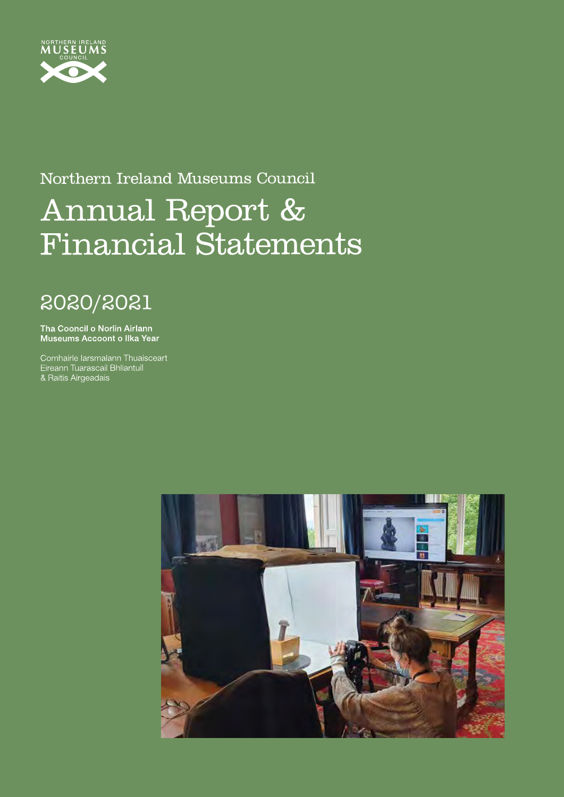

### Northern Ireland Museums Council

# Annual Report & **Financial Statements**

## 2020/2021

Tha Cooncil o Norlin Airlann Museums Accoont o Ilka Year

Comhairle Iarsmalann Thuaisceart Sommano Rafontaram Trida.<br>Eireann Tuarascail Bhliantuil<br>& Raitis Airgeadais

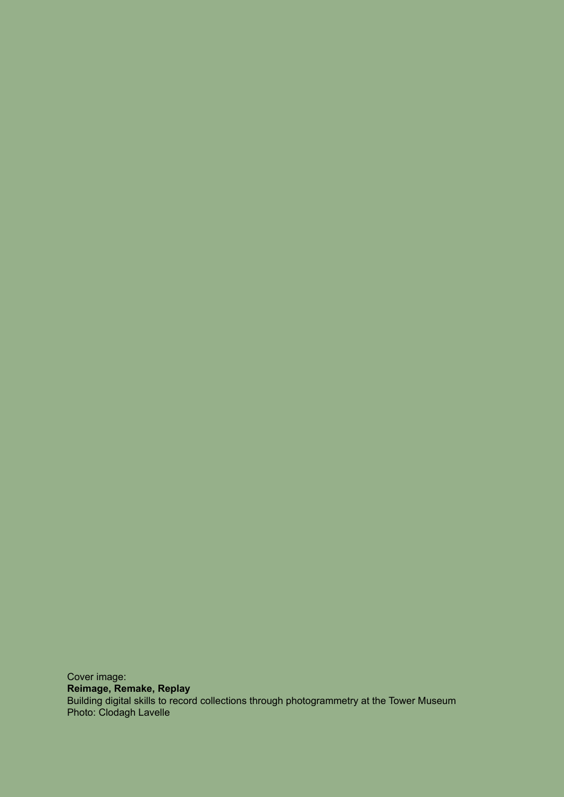Cover image: **Reimage, Remake, Replay** Building digital skills to record collections through photogrammetry at the Tower Museum Photo: Clodagh Lavelle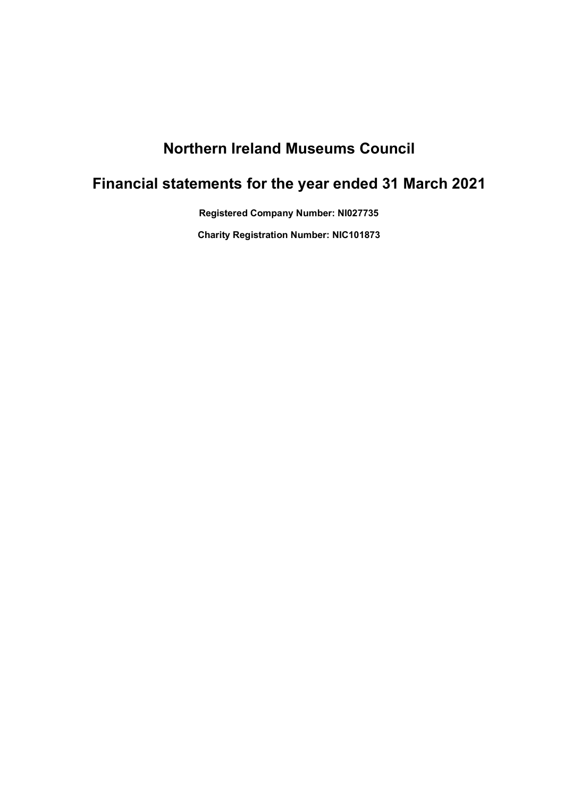### **Northern Ireland Museums Council**

### **Financial statements for the year ended 31 March 2021**

**Registered Company Number: NI027735**

**Charity Registration Number: NIC101873**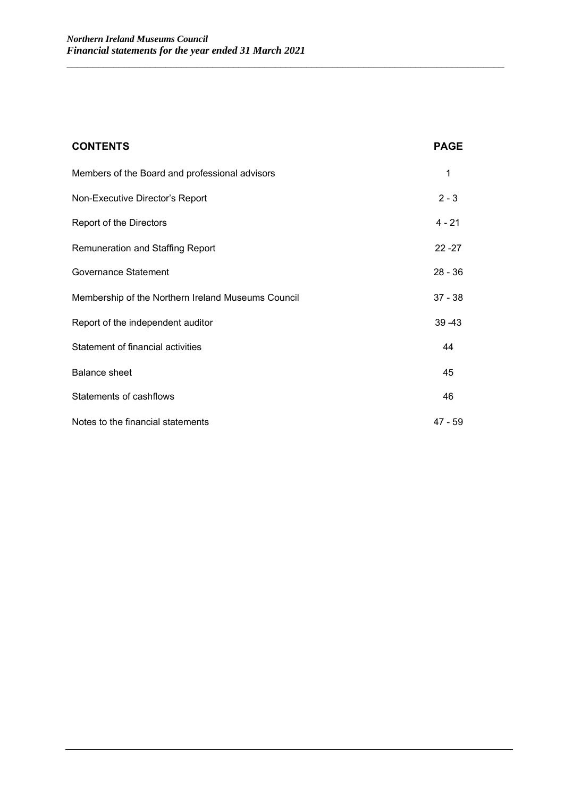| <b>CONTENTS</b>                                    | <b>PAGE</b> |
|----------------------------------------------------|-------------|
| Members of the Board and professional advisors     | 1           |
| Non-Executive Director's Report                    | $2 - 3$     |
| Report of the Directors                            | $4 - 21$    |
| Remuneration and Staffing Report                   | $22 - 27$   |
| Governance Statement                               | $28 - 36$   |
| Membership of the Northern Ireland Museums Council | $37 - 38$   |
| Report of the independent auditor                  | $39 - 43$   |
| Statement of financial activities                  | 44          |
| <b>Balance sheet</b>                               | 45          |
| Statements of cashflows                            | 46          |
| Notes to the financial statements                  | $47 - 59$   |

\_\_\_\_\_\_\_\_\_\_\_\_\_\_\_\_\_\_\_\_\_\_\_\_\_\_\_\_\_\_\_\_\_\_\_\_\_\_\_\_\_\_\_\_\_\_\_\_\_\_\_\_\_\_\_\_\_\_\_\_\_\_\_\_\_\_\_\_\_\_\_\_\_\_\_\_\_\_\_\_\_\_\_\_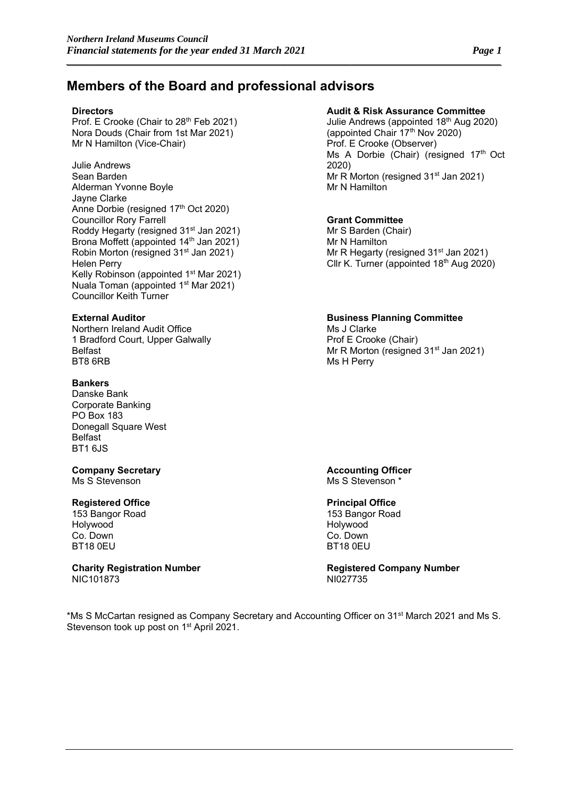### **Members of the Board and professional advisors**

*\_\_\_\_\_\_\_\_\_\_\_\_\_\_\_\_\_\_\_\_\_\_\_\_\_\_\_\_\_\_\_\_\_\_\_\_\_\_\_\_\_\_\_\_\_\_\_\_\_\_\_\_\_\_\_\_\_\_\_\_\_\_\_\_\_\_\_\_\_\_\_\_\_\_\_\_\_\_\_\_\_\_\_\_\_\_\_\_\_\_\_\_\_\_\_\_\_\_\_\_\_\_*

Prof. E Crooke (Chair to 28<sup>th</sup> Feb 2021) Nora Douds (Chair from 1st Mar 2021) Mr N Hamilton (Vice-Chair)

Julie Andrews Sean Barden Alderman Yvonne Boyle Jayne Clarke Anne Dorbie (resigned 17<sup>th</sup> Oct 2020) Councillor Rory Farrell Roddy Hegarty (resigned 31<sup>st</sup> Jan 2021) Brona Moffett (appointed 14<sup>th</sup> Jan 2021) Robin Morton (resigned 31<sup>st</sup> Jan 2021) Helen Perry Kelly Robinson (appointed 1<sup>st</sup> Mar 2021) Nuala Toman (appointed 1st Mar 2021) Councillor Keith Turner

Northern Ireland Audit Office 1 Bradford Court, Upper Galwally Belfast BT8 6RB

#### **Bankers**

Danske Bank Corporate Banking PO Box 183 Donegall Square West Belfast BT1 6JS

## **Company Secretary and Company Secretary and Company Secretary and Accounting Officer<br>
Ms S Stevenson and Ms S Stevenson \***

#### **Registered Office**

153 Bangor Road Holywood Co. Down BT18 0EU

NIC101873

#### **Directors Audit & Risk Assurance Committee**

Julie Andrews (appointed 18th Aug 2020) (appointed Chair 17<sup>th</sup> Nov 2020) Prof. E Crooke (Observer) Ms A Dorbie (Chair) (resigned 17<sup>th</sup> Oct 2020) Mr R Morton (resigned  $31^{st}$  Jan 2021) Mr N Hamilton

#### **Grant Committee**

Mr S Barden (Chair) Mr N Hamilton Mr R Hegarty (resigned 31<sup>st</sup> Jan 2021) Cllr K. Turner (appointed 18<sup>th</sup> Aug 2020)

#### **External Auditor Business Planning Committee**

Ms J Clarke Prof E Crooke (Chair) Mr R Morton (resigned 31<sup>st</sup> Jan 2021) Ms H Perry

Ms S Stevenson \*

### **Principal Office**

153 Bangor Road Holywood Co. Down BT18 0EU

**Charity Registration Number**<br>NIC101873<br>NIC101873

\*Ms S McCartan resigned as Company Secretary and Accounting Officer on 31st March 2021 and Ms S. Stevenson took up post on 1<sup>st</sup> April 2021.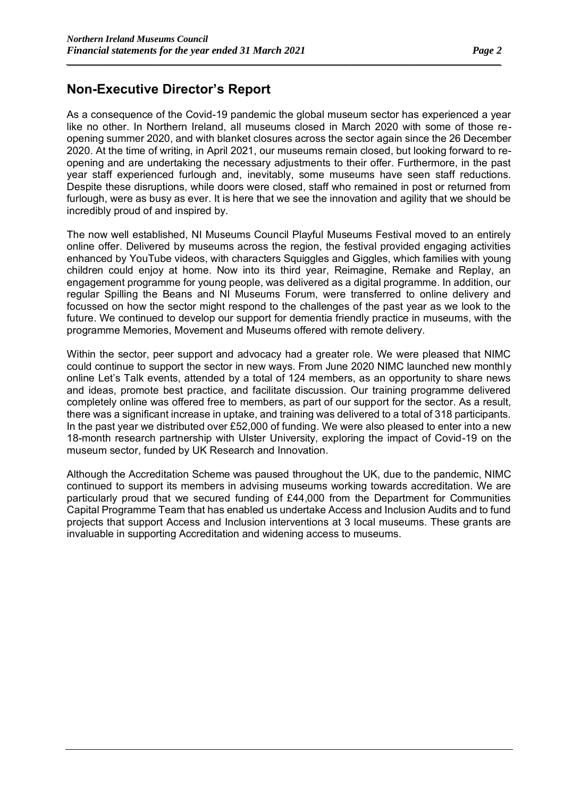### **Non-Executive Director's Report**

As a consequence of the Covid-19 pandemic the global museum sector has experienced a year like no other. In Northern Ireland, all museums closed in March 2020 with some of those reopening summer 2020, and with blanket closures across the sector again since the 26 December 2020. At the time of writing, in April 2021, our museums remain closed, but looking forward to reopening and are undertaking the necessary adjustments to their offer. Furthermore, in the past year staff experienced furlough and, inevitably, some museums have seen staff reductions. Despite these disruptions, while doors were closed, staff who remained in post or returned from furlough, were as busy as ever. It is here that we see the innovation and agility that we should be incredibly proud of and inspired by.

*\_\_\_\_\_\_\_\_\_\_\_\_\_\_\_\_\_\_\_\_\_\_\_\_\_\_\_\_\_\_\_\_\_\_\_\_\_\_\_\_\_\_\_\_\_\_\_\_\_\_\_\_\_\_\_\_\_\_\_\_\_\_\_\_\_\_\_\_\_\_\_\_\_\_\_\_\_\_\_\_\_\_\_\_\_\_\_\_\_\_\_\_\_\_\_\_\_\_\_\_\_\_*

The now well established, NI Museums Council Playful Museums Festival moved to an entirely online offer. Delivered by museums across the region, the festival provided engaging activities enhanced by YouTube videos, with characters Squiggles and Giggles, which families with young children could enjoy at home. Now into its third year, Reimagine, Remake and Replay, an engagement programme for young people, was delivered as a digital programme. In addition, our regular Spilling the Beans and NI Museums Forum, were transferred to online delivery and focussed on how the sector might respond to the challenges of the past year as we look to the future. We continued to develop our support for dementia friendly practice in museums, with the programme Memories, Movement and Museums offered with remote delivery.

Within the sector, peer support and advocacy had a greater role. We were pleased that NIMC could continue to support the sector in new ways. From June 2020 NIMC launched new monthly online Let's Talk events, attended by a total of 124 members, as an opportunity to share news and ideas, promote best practice, and facilitate discussion. Our training programme delivered completely online was offered free to members, as part of our support for the sector. As a result, there was a significant increase in uptake, and training was delivered to a total of 318 participants. In the past year we distributed over £52,000 of funding. We were also pleased to enter into a new 18-month research partnership with Ulster University, exploring the impact of Covid-19 on the museum sector, funded by UK Research and Innovation.

Although the Accreditation Scheme was paused throughout the UK, due to the pandemic, NIMC continued to support its members in advising museums working towards accreditation. We are particularly proud that we secured funding of £44,000 from the Department for Communities Capital Programme Team that has enabled us undertake Access and Inclusion Audits and to fund projects that support Access and Inclusion interventions at 3 local museums. These grants are invaluable in supporting Accreditation and widening access to museums.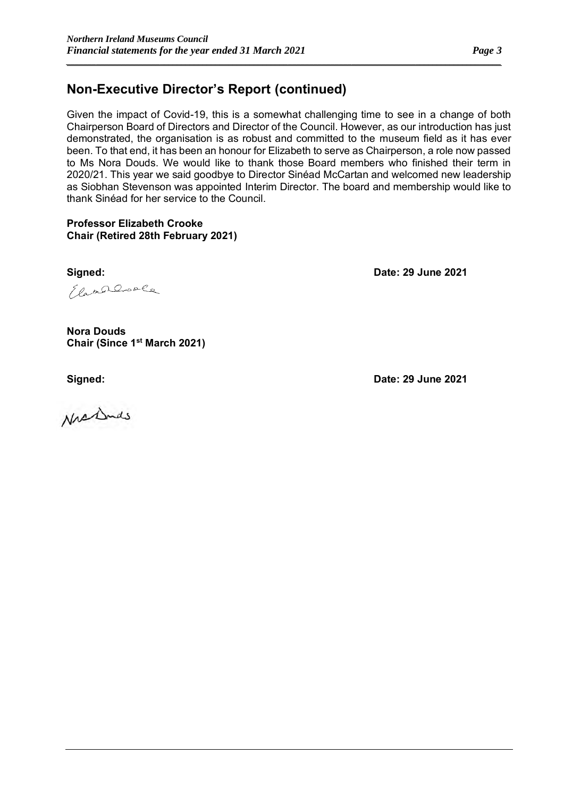### **Non-Executive Director's Report (continued)**

Given the impact of Covid-19, this is a somewhat challenging time to see in a change of both Chairperson Board of Directors and Director of the Council. However, as our introduction has just demonstrated, the organisation is as robust and committed to the museum field as it has ever been. To that end, it has been an honour for Elizabeth to serve as Chairperson, a role now passed to Ms Nora Douds. We would like to thank those Board members who finished their term in 2020/21. This year we said goodbye to Director Sinéad McCartan and welcomed new leadership as Siobhan Stevenson was appointed Interim Director. The board and membership would like to thank Sinéad for her service to the Council.

### **Professor Elizabeth Crooke Chair (Retired 28th February 2021)**

**Signed: Date: 29 June 2021**

Elameranole

**Nora Douds Chair (Since 1st March 2021)**

Nrsidnas

**Signed: Date: 29 June 2021**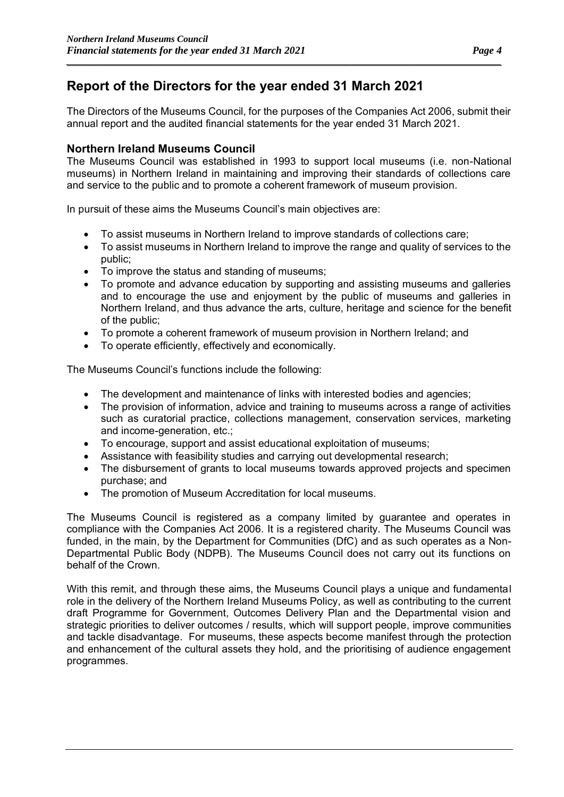### **Report of the Directors for the year ended 31 March 2021**

The Directors of the Museums Council, for the purposes of the Companies Act 2006, submit their annual report and the audited financial statements for the year ended 31 March 2021.

*\_\_\_\_\_\_\_\_\_\_\_\_\_\_\_\_\_\_\_\_\_\_\_\_\_\_\_\_\_\_\_\_\_\_\_\_\_\_\_\_\_\_\_\_\_\_\_\_\_\_\_\_\_\_\_\_\_\_\_\_\_\_\_\_\_\_\_\_\_\_\_\_\_\_\_\_\_\_\_\_\_\_\_\_\_\_\_\_\_\_\_\_\_\_\_\_\_\_\_\_\_\_*

### **Northern Ireland Museums Council**

The Museums Council was established in 1993 to support local museums (i.e. non-National museums) in Northern Ireland in maintaining and improving their standards of collections care and service to the public and to promote a coherent framework of museum provision.

In pursuit of these aims the Museums Council's main objectives are:

- To assist museums in Northern Ireland to improve standards of collections care;
- To assist museums in Northern Ireland to improve the range and quality of services to the public;
- To improve the status and standing of museums;
- To promote and advance education by supporting and assisting museums and galleries and to encourage the use and enjoyment by the public of museums and galleries in Northern Ireland, and thus advance the arts, culture, heritage and science for the benefit of the public;
- To promote a coherent framework of museum provision in Northern Ireland; and
- To operate efficiently, effectively and economically.

The Museums Council's functions include the following:

- The development and maintenance of links with interested bodies and agencies;
- The provision of information, advice and training to museums across a range of activities such as curatorial practice, collections management, conservation services, marketing and income-generation, etc.;
- To encourage, support and assist educational exploitation of museums;
- Assistance with feasibility studies and carrying out developmental research;
- The disbursement of grants to local museums towards approved projects and specimen purchase; and
- The promotion of Museum Accreditation for local museums.

The Museums Council is registered as a company limited by guarantee and operates in compliance with the Companies Act 2006. It is a registered charity. The Museums Council was funded, in the main, by the Department for Communities (DfC) and as such operates as a Non-Departmental Public Body (NDPB). The Museums Council does not carry out its functions on behalf of the Crown.

With this remit, and through these aims, the Museums Council plays a unique and fundamental role in the delivery of the Northern Ireland Museums Policy, as well as contributing to the current draft Programme for Government, Outcomes Delivery Plan and the Departmental vision and strategic priorities to deliver outcomes / results, which will support people, improve communities and tackle disadvantage. For museums, these aspects become manifest through the protection and enhancement of the cultural assets they hold, and the prioritising of audience engagement programmes.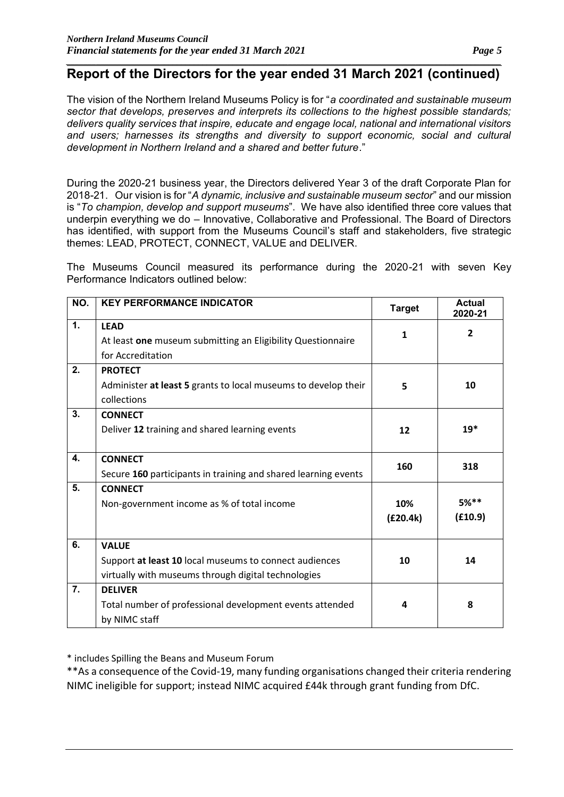The vision of the Northern Ireland Museums Policy is for "*a coordinated and sustainable museum sector that develops, preserves and interprets its collections to the highest possible standards; delivers quality services that inspire, educate and engage local, national and international visitors and users; harnesses its strengths and diversity to support economic, social and cultural development in Northern Ireland and a shared and better future*."

During the 2020-21 business year, the Directors delivered Year 3 of the draft Corporate Plan for 2018-21. Our vision is for "*A dynamic, inclusive and sustainable museum sector*" and our mission is "*To champion, develop and support museums*". We have also identified three core values that underpin everything we do – Innovative, Collaborative and Professional. The Board of Directors has identified, with support from the Museums Council's staff and stakeholders, five strategic themes: LEAD, PROTECT, CONNECT, VALUE and DELIVER.

The Museums Council measured its performance during the 2020-21 with seven Key Performance Indicators outlined below:

| NO. | <b>KEY PERFORMANCE INDICATOR</b>                                                                                              | <b>Target</b>   | <b>Actual</b><br>2020-21 |
|-----|-------------------------------------------------------------------------------------------------------------------------------|-----------------|--------------------------|
| 1.  | <b>LEAD</b><br>At least one museum submitting an Eligibility Questionnaire<br>for Accreditation                               | $\mathbf{1}$    | $\overline{2}$           |
| 2.  | <b>PROTECT</b><br>Administer at least 5 grants to local museums to develop their<br>collections                               | 5               | 10                       |
| 3.  | <b>CONNECT</b><br>Deliver 12 training and shared learning events                                                              | 12              | $19*$                    |
| 4.  | <b>CONNECT</b><br>Secure 160 participants in training and shared learning events                                              | 160             | 318                      |
| 5.  | <b>CONNECT</b><br>Non-government income as % of total income                                                                  | 10%<br>(E20.4k) | $5%***$<br>(E10.9)       |
| 6.  | <b>VALUE</b><br>Support at least 10 local museums to connect audiences<br>virtually with museums through digital technologies | 10              | 14                       |
| 7.  | <b>DELIVER</b><br>Total number of professional development events attended<br>by NIMC staff                                   | 4               | 8                        |

\* includes Spilling the Beans and Museum Forum

\*\*As a consequence of the Covid-19, many funding organisations changed their criteria rendering NIMC ineligible for support; instead NIMC acquired £44k through grant funding from DfC.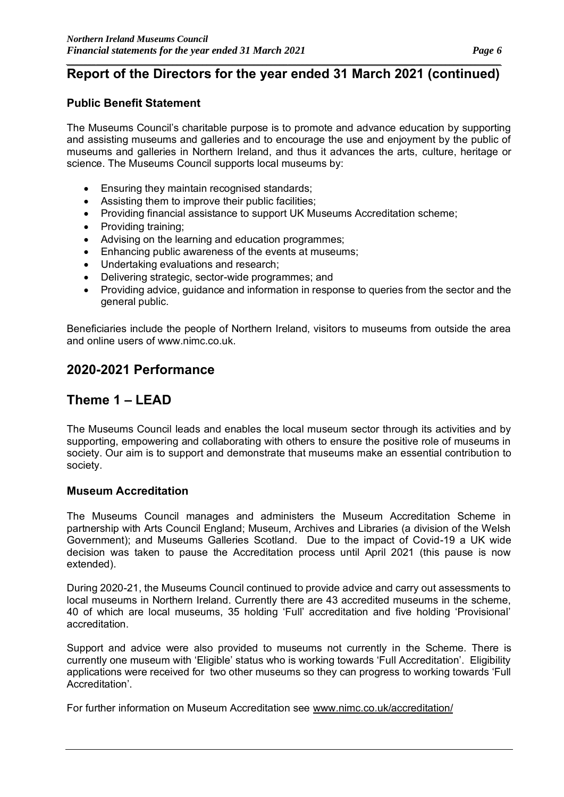### **Public Benefit Statement**

The Museums Council's charitable purpose is to promote and advance education by supporting and assisting museums and galleries and to encourage the use and enjoyment by the public of museums and galleries in Northern Ireland, and thus it advances the arts, culture, heritage or science. The Museums Council supports local museums by:

- Ensuring they maintain recognised standards:
- Assisting them to improve their public facilities;
- Providing financial assistance to support UK Museums Accreditation scheme;
- Providing training;
- Advising on the learning and education programmes;
- Enhancing public awareness of the events at museums;
- Undertaking evaluations and research;
- Delivering strategic, sector-wide programmes; and
- Providing advice, guidance and information in response to queries from the sector and the general public.

Beneficiaries include the people of Northern Ireland, visitors to museums from outside the area and online users of www.nimc.co.uk.

### **2020-2021 Performance**

### **Theme 1 – LEAD**

The Museums Council leads and enables the local museum sector through its activities and by supporting, empowering and collaborating with others to ensure the positive role of museums in society. Our aim is to support and demonstrate that museums make an essential contribution to society.

### **Museum Accreditation**

The Museums Council manages and administers the Museum Accreditation Scheme in partnership with Arts Council England; Museum, Archives and Libraries (a division of the Welsh Government); and Museums Galleries Scotland. Due to the impact of Covid-19 a UK wide decision was taken to pause the Accreditation process until April 2021 (this pause is now extended).

During 2020-21, the Museums Council continued to provide advice and carry out assessments to local museums in Northern Ireland. Currently there are 43 accredited museums in the scheme, 40 of which are local museums, 35 holding 'Full' accreditation and five holding 'Provisional' accreditation.

Support and advice were also provided to museums not currently in the Scheme. There is currently one museum with 'Eligible' status who is working towards 'Full Accreditation'. Eligibility applications were received for two other museums so they can progress to working towards 'Full Accreditation'.

For further information on Museum Accreditation see www.nimc.co.uk/accreditation/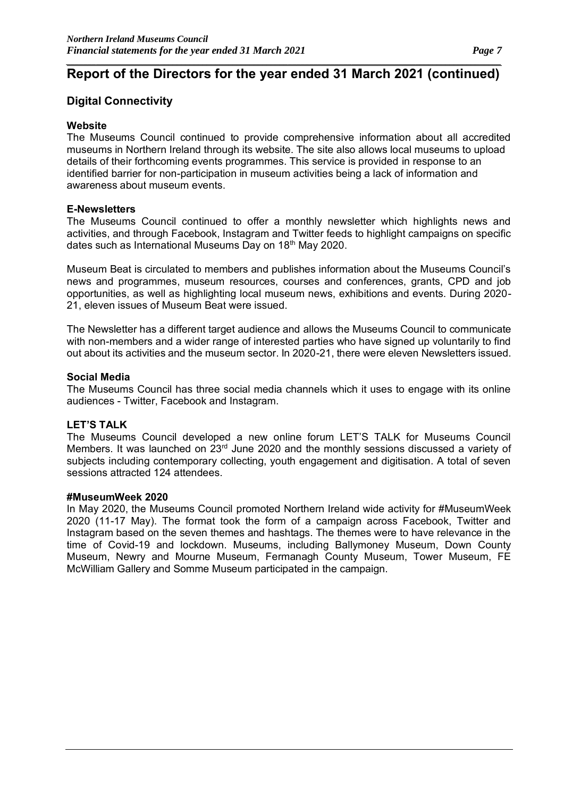### **Digital Connectivity**

### **Website**

The Museums Council continued to provide comprehensive information about all accredited museums in Northern Ireland through its website. The site also allows local museums to upload details of their forthcoming events programmes. This service is provided in response to an identified barrier for non-participation in museum activities being a lack of information and awareness about museum events.

#### **E-Newsletters**

The Museums Council continued to offer a monthly newsletter which highlights news and activities, and through Facebook, Instagram and Twitter feeds to highlight campaigns on specific dates such as International Museums Day on 18<sup>th</sup> May 2020.

Museum Beat is circulated to members and publishes information about the Museums Council's news and programmes, museum resources, courses and conferences, grants, CPD and job opportunities, as well as highlighting local museum news, exhibitions and events. During 2020- 21, eleven issues of Museum Beat were issued.

The Newsletter has a different target audience and allows the Museums Council to communicate with non-members and a wider range of interested parties who have signed up voluntarily to find out about its activities and the museum sector. In 2020-21, there were eleven Newsletters issued.

#### **Social Media**

The Museums Council has three social media channels which it uses to engage with its online audiences - Twitter, Facebook and Instagram.

#### **LET'S TALK**

The Museums Council developed a new online forum LET'S TALK for Museums Council Members. It was launched on 23rd June 2020 and the monthly sessions discussed a variety of subjects including contemporary collecting, youth engagement and digitisation. A total of seven sessions attracted 124 attendees.

#### **#MuseumWeek 2020**

In May 2020, the Museums Council promoted Northern Ireland wide activity for #MuseumWeek 2020 (11-17 May). The format took the form of a campaign across Facebook, Twitter and Instagram based on the seven themes and hashtags. The themes were to have relevance in the time of Covid-19 and lockdown. Museums, including Ballymoney Museum, Down County Museum, Newry and Mourne Museum, Fermanagh County Museum, Tower Museum, FE McWilliam Gallery and Somme Museum participated in the campaign.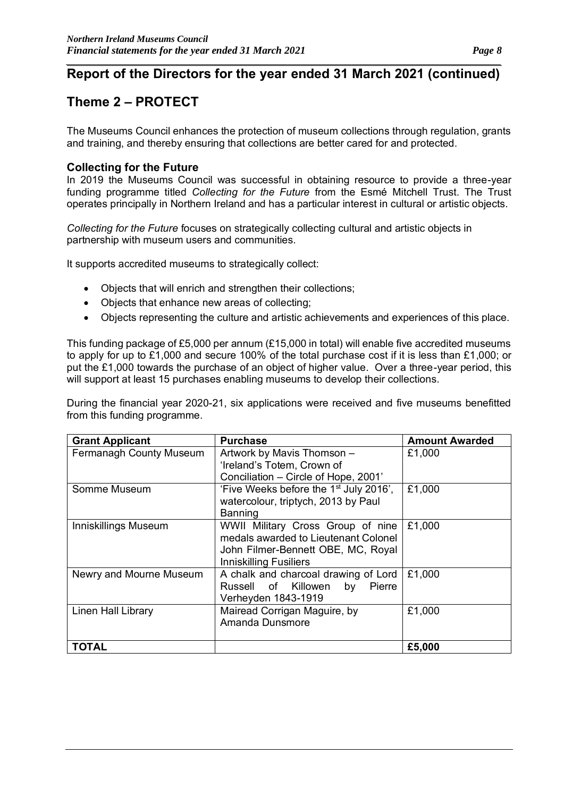### **Theme 2 – PROTECT**

The Museums Council enhances the protection of museum collections through regulation, grants and training, and thereby ensuring that collections are better cared for and protected.

### **Collecting for the Future**

In 2019 the Museums Council was successful in obtaining resource to provide a three-year funding programme titled *Collecting for the Future* from the Esmé Mitchell Trust. The Trust operates principally in Northern Ireland and has a particular interest in cultural or artistic objects.

*Collecting for the Future* focuses on strategically collecting cultural and artistic objects in partnership with museum users and communities.

It supports accredited museums to strategically collect:

- Objects that will enrich and strengthen their collections;
- Objects that enhance new areas of collecting;
- Objects representing the culture and artistic achievements and experiences of this place.

This funding package of £5,000 per annum (£15,000 in total) will enable five accredited museums to apply for up to £1,000 and secure 100% of the total purchase cost if it is less than £1,000; or put the £1,000 towards the purchase of an object of higher value. Over a three-year period, this will support at least 15 purchases enabling museums to develop their collections.

During the financial year 2020-21, six applications were received and five museums benefitted from this funding programme.

| <b>Grant Applicant</b>  | <b>Purchase</b>                                    | <b>Amount Awarded</b> |
|-------------------------|----------------------------------------------------|-----------------------|
| Fermanagh County Museum | Artwork by Mavis Thomson -                         | £1,000                |
|                         | 'Ireland's Totem, Crown of                         |                       |
|                         | Conciliation - Circle of Hope, 2001'               |                       |
| Somme Museum            | 'Five Weeks before the 1 <sup>st</sup> July 2016', | £1,000                |
|                         | watercolour, triptych, 2013 by Paul                |                       |
|                         | Banning                                            |                       |
| Inniskillings Museum    | WWII Military Cross Group of nine                  | £1,000                |
|                         | medals awarded to Lieutenant Colonel               |                       |
|                         | John Filmer-Bennett OBE, MC, Royal                 |                       |
|                         | <b>Inniskilling Fusiliers</b>                      |                       |
| Newry and Mourne Museum | A chalk and charcoal drawing of Lord               | £1,000                |
|                         | Russell of Killowen<br>by<br>Pierre                |                       |
|                         | Verheyden 1843-1919                                |                       |
| Linen Hall Library      | Mairead Corrigan Maguire, by                       | £1,000                |
|                         | Amanda Dunsmore                                    |                       |
|                         |                                                    |                       |
| TOTAL                   |                                                    | £5,000                |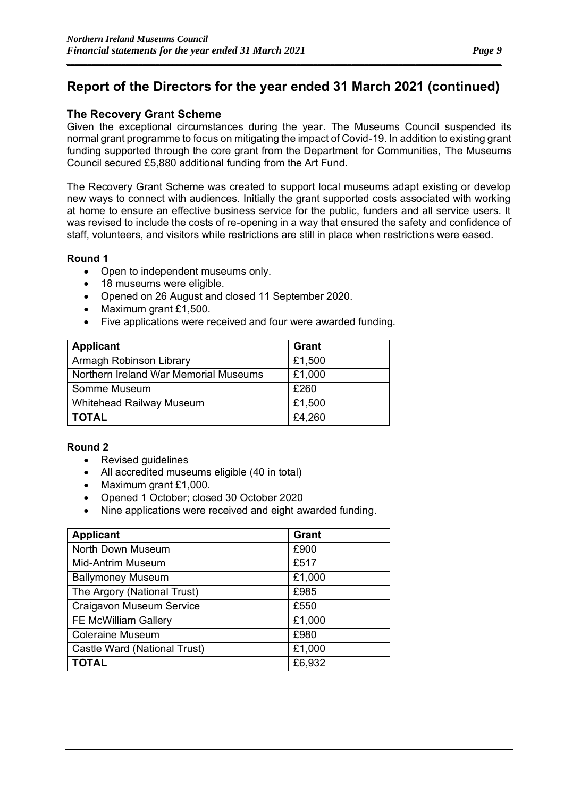*\_\_\_\_\_\_\_\_\_\_\_\_\_\_\_\_\_\_\_\_\_\_\_\_\_\_\_\_\_\_\_\_\_\_\_\_\_\_\_\_\_\_\_\_\_\_\_\_\_\_\_\_\_\_\_\_\_\_\_\_\_\_\_\_\_\_\_\_\_\_\_\_\_\_\_\_\_\_\_\_\_\_\_\_\_\_\_\_\_\_\_\_\_\_\_\_\_\_\_\_\_\_*

### **The Recovery Grant Scheme**

Given the exceptional circumstances during the year. The Museums Council suspended its normal grant programme to focus on mitigating the impact of Covid-19. In addition to existing grant funding supported through the core grant from the Department for Communities, The Museums Council secured £5,880 additional funding from the Art Fund.

The Recovery Grant Scheme was created to support local museums adapt existing or develop new ways to connect with audiences. Initially the grant supported costs associated with working at home to ensure an effective business service for the public, funders and all service users. It was revised to include the costs of re-opening in a way that ensured the safety and confidence of staff, volunteers, and visitors while restrictions are still in place when restrictions were eased.

### **Round 1**

- Open to independent museums only.
- 18 museums were eligible.
- Opened on 26 August and closed 11 September 2020.
- Maximum grant £1,500.
- Five applications were received and four were awarded funding.

| <b>Applicant</b>                      | Grant  |
|---------------------------------------|--------|
| Armagh Robinson Library               | £1,500 |
| Northern Ireland War Memorial Museums | £1,000 |
| Somme Museum                          | £260   |
| Whitehead Railway Museum              | £1,500 |
| <b>TOTAL</b>                          | £4,260 |

### **Round 2**

- Revised guidelines
- All accredited museums eligible (40 in total)
- Maximum grant £1,000.
- Opened 1 October; closed 30 October 2020
- Nine applications were received and eight awarded funding.

| <b>Applicant</b>             | <b>Grant</b> |
|------------------------------|--------------|
| North Down Museum            | £900         |
| <b>Mid-Antrim Museum</b>     | £517         |
| <b>Ballymoney Museum</b>     | £1,000       |
| The Argory (National Trust)  | £985         |
| Craigavon Museum Service     | £550         |
| FE McWilliam Gallery         | £1,000       |
| <b>Coleraine Museum</b>      | £980         |
| Castle Ward (National Trust) | £1,000       |
| <b>TOTAL</b>                 | £6,932       |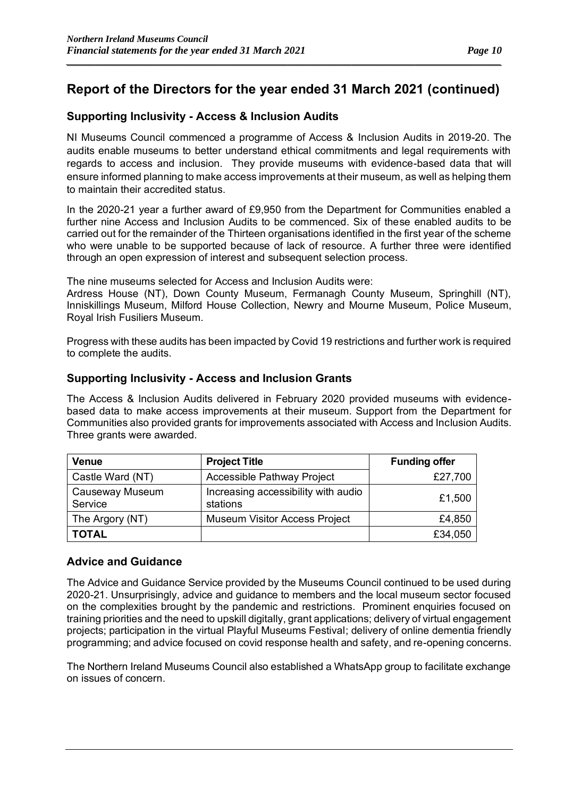*\_\_\_\_\_\_\_\_\_\_\_\_\_\_\_\_\_\_\_\_\_\_\_\_\_\_\_\_\_\_\_\_\_\_\_\_\_\_\_\_\_\_\_\_\_\_\_\_\_\_\_\_\_\_\_\_\_\_\_\_\_\_\_\_\_\_\_\_\_\_\_\_\_\_\_\_\_\_\_\_\_\_\_\_\_\_\_\_\_\_\_\_\_\_\_\_\_\_\_\_\_\_*

### **Supporting Inclusivity - Access & Inclusion Audits**

NI Museums Council commenced a programme of Access & Inclusion Audits in 2019-20. The audits enable museums to better understand ethical commitments and legal requirements with regards to access and inclusion. They provide museums with evidence-based data that will ensure informed planning to make access improvements at their museum, as well as helping them to maintain their accredited status.

In the 2020-21 year a further award of £9,950 from the Department for Communities enabled a further nine Access and Inclusion Audits to be commenced. Six of these enabled audits to be carried out for the remainder of the Thirteen organisations identified in the first year of the scheme who were unable to be supported because of lack of resource. A further three were identified through an open expression of interest and subsequent selection process.

The nine museums selected for Access and Inclusion Audits were:

Ardress House (NT), Down County Museum, Fermanagh County Museum, Springhill (NT), Inniskillings Museum, Milford House Collection, Newry and Mourne Museum, Police Museum, Royal Irish Fusiliers Museum.

Progress with these audits has been impacted by Covid 19 restrictions and further work is required to complete the audits.

### **Supporting Inclusivity - Access and Inclusion Grants**

The Access & Inclusion Audits delivered in February 2020 provided museums with evidencebased data to make access improvements at their museum. Support from the Department for Communities also provided grants for improvements associated with Access and Inclusion Audits. Three grants were awarded.

| <b>Venue</b>               | <b>Project Title</b>                            | <b>Funding offer</b> |
|----------------------------|-------------------------------------------------|----------------------|
| Castle Ward (NT)           | Accessible Pathway Project                      | £27,700              |
| Causeway Museum<br>Service | Increasing accessibility with audio<br>stations | £1,500               |
| The Argory (NT)            | <b>Museum Visitor Access Project</b>            | £4,850               |
| <b>TOTAL</b>               |                                                 | £34,050              |

### **Advice and Guidance**

The Advice and Guidance Service provided by the Museums Council continued to be used during 2020-21. Unsurprisingly, advice and guidance to members and the local museum sector focused on the complexities brought by the pandemic and restrictions. Prominent enquiries focused on training priorities and the need to upskill digitally, grant applications; delivery of virtual engagement projects; participation in the virtual Playful Museums Festival; delivery of online dementia friendly programming; and advice focused on covid response health and safety, and re-opening concerns.

The Northern Ireland Museums Council also established a WhatsApp group to facilitate exchange on issues of concern.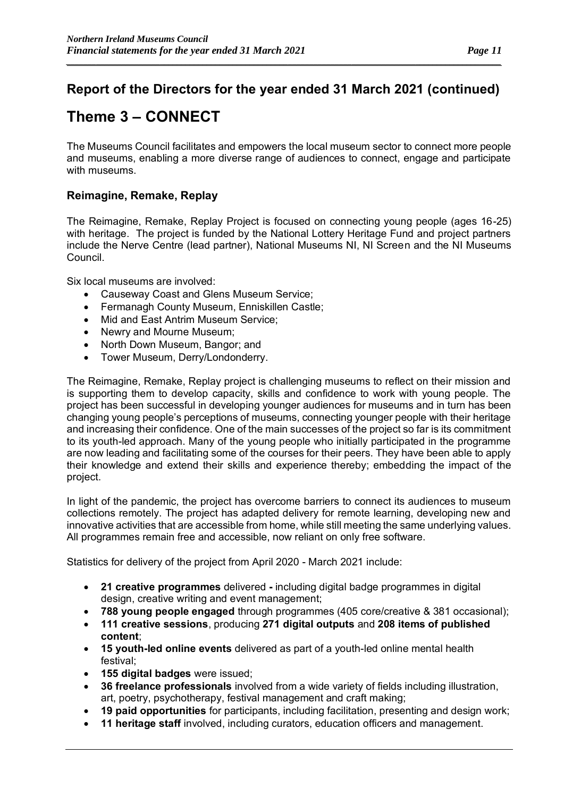*\_\_\_\_\_\_\_\_\_\_\_\_\_\_\_\_\_\_\_\_\_\_\_\_\_\_\_\_\_\_\_\_\_\_\_\_\_\_\_\_\_\_\_\_\_\_\_\_\_\_\_\_\_\_\_\_\_\_\_\_\_\_\_\_\_\_\_\_\_\_\_\_\_\_\_\_\_\_\_\_\_\_\_\_\_\_\_\_\_\_\_\_\_\_\_\_\_\_\_\_\_\_*

### **Theme 3 – CONNECT**

The Museums Council facilitates and empowers the local museum sector to connect more people and museums, enabling a more diverse range of audiences to connect, engage and participate with museums.

### **Reimagine, Remake, Replay**

The Reimagine, Remake, Replay Project is focused on connecting young people (ages 16-25) with heritage. The project is funded by the National Lottery Heritage Fund and project partners include the Nerve Centre (lead partner), National Museums NI, NI Screen and the NI Museums Council.

Six local museums are involved:

- Causeway Coast and Glens Museum Service;
- Fermanagh County Museum, Enniskillen Castle;
- Mid and East Antrim Museum Service:
- Newry and Mourne Museum;
- North Down Museum, Bangor; and
- Tower Museum, Derry/Londonderry.

The Reimagine, Remake, Replay project is challenging museums to reflect on their mission and is supporting them to develop capacity, skills and confidence to work with young people. The project has been successful in developing younger audiences for museums and in turn has been changing young people's perceptions of museums, connecting younger people with their heritage and increasing their confidence. One of the main successes of the project so far is its commitment to its youth-led approach. Many of the young people who initially participated in the programme are now leading and facilitating some of the courses for their peers. They have been able to apply their knowledge and extend their skills and experience thereby; embedding the impact of the project.

In light of the pandemic, the project has overcome barriers to connect its audiences to museum collections remotely. The project has adapted delivery for remote learning, developing new and innovative activities that are accessible from home, while still meeting the same underlying values. All programmes remain free and accessible, now reliant on only free software.

Statistics for delivery of the project from April 2020 - March 2021 include:

- **21 creative programmes** delivered **-** including digital badge programmes in digital design, creative writing and event management;
- **788 young people engaged** through programmes (405 core/creative & 381 occasional);
- **111 creative sessions**, producing **271 digital outputs** and **208 items of published content**;
- **15 youth-led online events** delivered as part of a youth-led online mental health festival;
- **155 digital badges** were issued;
- **36 freelance professionals** involved from a wide variety of fields including illustration, art, poetry, psychotherapy, festival management and craft making;
- **19 paid opportunities** for participants, including facilitation, presenting and design work;
- **11 heritage staff** involved, including curators, education officers and management.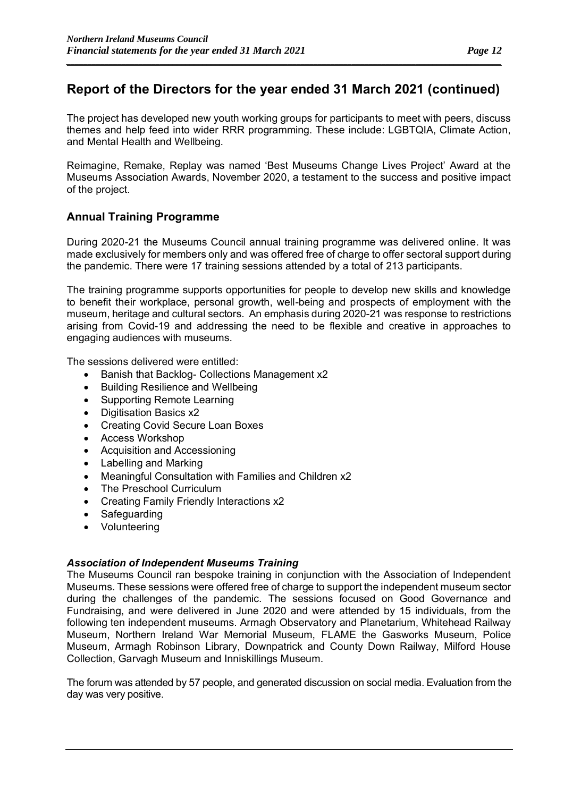*\_\_\_\_\_\_\_\_\_\_\_\_\_\_\_\_\_\_\_\_\_\_\_\_\_\_\_\_\_\_\_\_\_\_\_\_\_\_\_\_\_\_\_\_\_\_\_\_\_\_\_\_\_\_\_\_\_\_\_\_\_\_\_\_\_\_\_\_\_\_\_\_\_\_\_\_\_\_\_\_\_\_\_\_\_\_\_\_\_\_\_\_\_\_\_\_\_\_\_\_\_\_*

The project has developed new youth working groups for participants to meet with peers, discuss themes and help feed into wider RRR programming. These include: LGBTQIA, Climate Action, and Mental Health and Wellbeing.

Reimagine, Remake, Replay was named 'Best Museums Change Lives Project' Award at the Museums Association Awards, November 2020, a testament to the success and positive impact of the project.

### **Annual Training Programme**

During 2020-21 the Museums Council annual training programme was delivered online. It was made exclusively for members only and was offered free of charge to offer sectoral support during the pandemic. There were 17 training sessions attended by a total of 213 participants.

The training programme supports opportunities for people to develop new skills and knowledge to benefit their workplace, personal growth, well-being and prospects of employment with the museum, heritage and cultural sectors. An emphasis during 2020-21 was response to restrictions arising from Covid-19 and addressing the need to be flexible and creative in approaches to engaging audiences with museums.

The sessions delivered were entitled:

- Banish that Backlog- Collections Management x2
- Building Resilience and Wellbeing
- Supporting Remote Learning
- Digitisation Basics x2
- Creating Covid Secure Loan Boxes
- Access Workshop
- Acquisition and Accessioning
- Labelling and Marking
- Meaningful Consultation with Families and Children x2
- The Preschool Curriculum
- Creating Family Friendly Interactions x2
- **Safequarding**
- Volunteering

### *Association of Independent Museums Training*

The Museums Council ran bespoke training in conjunction with the Association of Independent Museums. These sessions were offered free of charge to support the independent museum sector during the challenges of the pandemic. The sessions focused on Good Governance and Fundraising, and were delivered in June 2020 and were attended by 15 individuals, from the following ten independent museums. Armagh Observatory and Planetarium, Whitehead Railway Museum, Northern Ireland War Memorial Museum, FLAME the Gasworks Museum, Police Museum, Armagh Robinson Library, Downpatrick and County Down Railway, Milford House Collection, Garvagh Museum and Inniskillings Museum.

The forum was attended by 57 people, and generated discussion on social media. Evaluation from the day was very positive.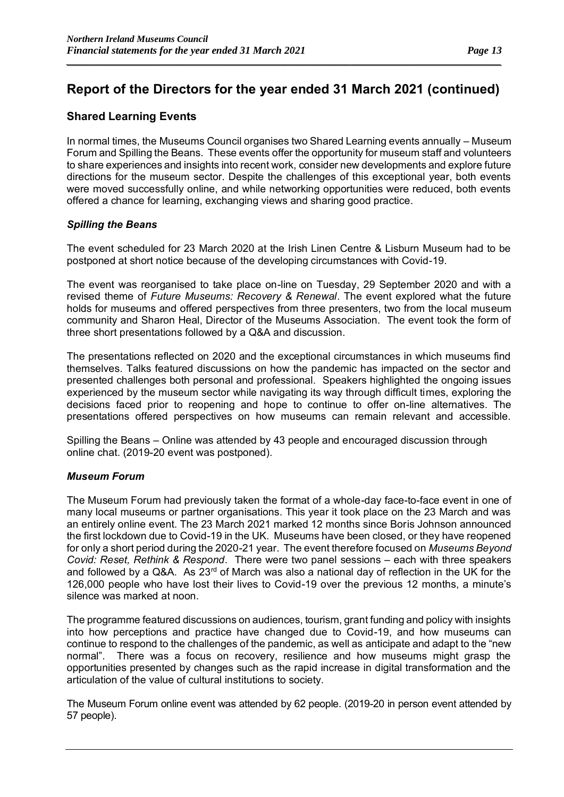*\_\_\_\_\_\_\_\_\_\_\_\_\_\_\_\_\_\_\_\_\_\_\_\_\_\_\_\_\_\_\_\_\_\_\_\_\_\_\_\_\_\_\_\_\_\_\_\_\_\_\_\_\_\_\_\_\_\_\_\_\_\_\_\_\_\_\_\_\_\_\_\_\_\_\_\_\_\_\_\_\_\_\_\_\_\_\_\_\_\_\_\_\_\_\_\_\_\_\_\_\_\_*

### **Shared Learning Events**

In normal times, the Museums Council organises two Shared Learning events annually – Museum Forum and Spilling the Beans. These events offer the opportunity for museum staff and volunteers to share experiences and insights into recent work, consider new developments and explore future directions for the museum sector. Despite the challenges of this exceptional year, both events were moved successfully online, and while networking opportunities were reduced, both events offered a chance for learning, exchanging views and sharing good practice.

### *Spilling the Beans*

The event scheduled for 23 March 2020 at the Irish Linen Centre & Lisburn Museum had to be postponed at short notice because of the developing circumstances with Covid-19.

The event was reorganised to take place on-line on Tuesday, 29 September 2020 and with a revised theme of *Future Museums: Recovery & Renewal*. The event explored what the future holds for museums and offered perspectives from three presenters, two from the local museum community and Sharon Heal, Director of the Museums Association. The event took the form of three short presentations followed by a Q&A and discussion.

The presentations reflected on 2020 and the exceptional circumstances in which museums find themselves. Talks featured discussions on how the pandemic has impacted on the sector and presented challenges both personal and professional. Speakers highlighted the ongoing issues experienced by the museum sector while navigating its way through difficult times, exploring the decisions faced prior to reopening and hope to continue to offer on-line alternatives. The presentations offered perspectives on how museums can remain relevant and accessible.

Spilling the Beans – Online was attended by 43 people and encouraged discussion through online chat. (2019-20 event was postponed).

#### *Museum Forum*

The Museum Forum had previously taken the format of a whole-day face-to-face event in one of many local museums or partner organisations. This year it took place on the 23 March and was an entirely online event. The 23 March 2021 marked 12 months since Boris Johnson announced the first lockdown due to Covid-19 in the UK. Museums have been closed, or they have reopened for only a short period during the 2020-21 year. The event therefore focused on *Museums Beyond Covid: Reset, Rethink & Respond*. There were two panel sessions – each with three speakers and followed by a Q&A. As 23<sup>rd</sup> of March was also a national day of reflection in the UK for the 126,000 people who have lost their lives to Covid-19 over the previous 12 months, a minute's silence was marked at noon.

The programme featured discussions on audiences, tourism, grant funding and policy with insights into how perceptions and practice have changed due to Covid-19, and how museums can continue to respond to the challenges of the pandemic, as well as anticipate and adapt to the "new normal". There was a focus on recovery, resilience and how museums might grasp the opportunities presented by changes such as the rapid increase in digital transformation and the articulation of the value of cultural institutions to society.

The Museum Forum online event was attended by 62 people. (2019-20 in person event attended by 57 people).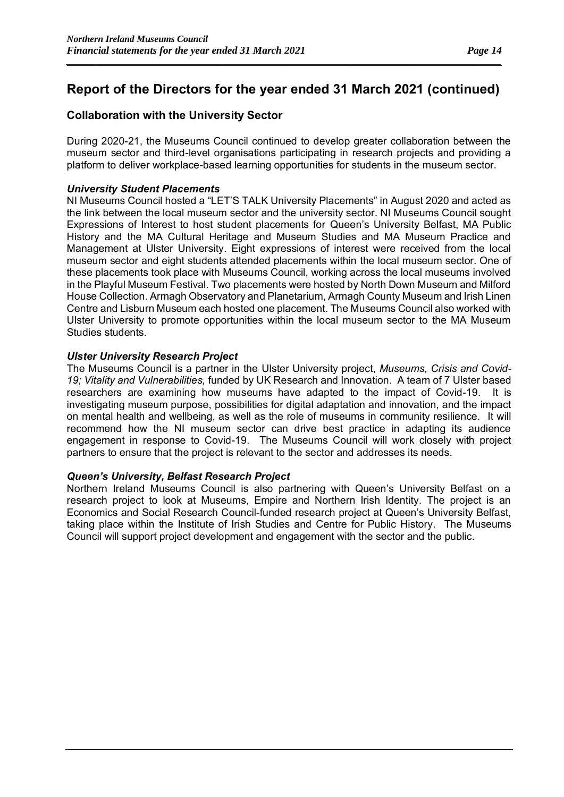*\_\_\_\_\_\_\_\_\_\_\_\_\_\_\_\_\_\_\_\_\_\_\_\_\_\_\_\_\_\_\_\_\_\_\_\_\_\_\_\_\_\_\_\_\_\_\_\_\_\_\_\_\_\_\_\_\_\_\_\_\_\_\_\_\_\_\_\_\_\_\_\_\_\_\_\_\_\_\_\_\_\_\_\_\_\_\_\_\_\_\_\_\_\_\_\_\_\_\_\_\_\_*

### **Collaboration with the University Sector**

During 2020-21, the Museums Council continued to develop greater collaboration between the museum sector and third-level organisations participating in research projects and providing a platform to deliver workplace-based learning opportunities for students in the museum sector.

### *University Student Placements*

NI Museums Council hosted a "LET'S TALK University Placements" in August 2020 and acted as the link between the local museum sector and the university sector. NI Museums Council sought Expressions of Interest to host student placements for Queen's University Belfast, MA Public History and the MA Cultural Heritage and Museum Studies and MA Museum Practice and Management at Ulster University. Eight expressions of interest were received from the local museum sector and eight students attended placements within the local museum sector. One of these placements took place with Museums Council, working across the local museums involved in the Playful Museum Festival. Two placements were hosted by North Down Museum and Milford House Collection. Armagh Observatory and Planetarium, Armagh County Museum and Irish Linen Centre and Lisburn Museum each hosted one placement. The Museums Council also worked with Ulster University to promote opportunities within the local museum sector to the MA Museum Studies students.

### *Ulster University Research Project*

The Museums Council is a partner in the Ulster University project, *Museums, Crisis and Covid-19; Vitality and Vulnerabilities,* funded by UK Research and Innovation. A team of 7 Ulster based researchers are examining how museums have adapted to the impact of Covid-19. It is investigating museum purpose, possibilities for digital adaptation and innovation, and the impact on mental health and wellbeing, as well as the role of museums in community resilience. It will recommend how the NI museum sector can drive best practice in adapting its audience engagement in response to Covid-19. The Museums Council will work closely with project partners to ensure that the project is relevant to the sector and addresses its needs.

### *Queen's University, Belfast Research Project*

Northern Ireland Museums Council is also partnering with Queen's University Belfast on a research project to look at Museums, Empire and Northern Irish Identity. The project is an Economics and Social Research Council-funded research project at Queen's University Belfast, taking place within the [Institute of Irish Studies](https://www.qub.ac.uk/schools/IrishStudiesGateway/) and [Centre for Public History.](https://www.qub.ac.uk/research-centres/CentreforPublicHistory/) The Museums Council will support project development and engagement with the sector and the public.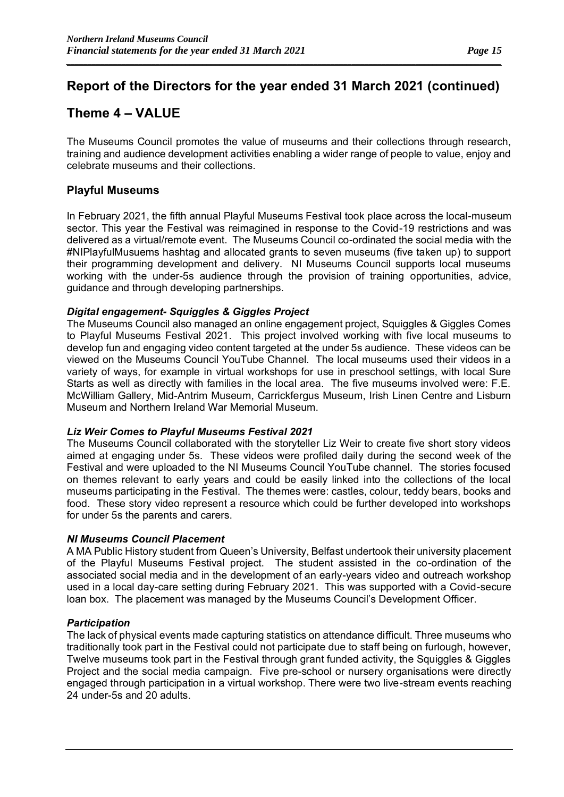*\_\_\_\_\_\_\_\_\_\_\_\_\_\_\_\_\_\_\_\_\_\_\_\_\_\_\_\_\_\_\_\_\_\_\_\_\_\_\_\_\_\_\_\_\_\_\_\_\_\_\_\_\_\_\_\_\_\_\_\_\_\_\_\_\_\_\_\_\_\_\_\_\_\_\_\_\_\_\_\_\_\_\_\_\_\_\_\_\_\_\_\_\_\_\_\_\_\_\_\_\_\_*

### **Theme 4 – VALUE**

The Museums Council promotes the value of museums and their collections through research, training and audience development activities enabling a wider range of people to value, enjoy and celebrate museums and their collections.

### **Playful Museums**

In February 2021, the fifth annual Playful Museums Festival took place across the local-museum sector. This year the Festival was reimagined in response to the Covid-19 restrictions and was delivered as a virtual/remote event. The Museums Council co-ordinated the social media with the #NIPlayfulMusuems hashtag and allocated grants to seven museums (five taken up) to support their programming development and delivery. NI Museums Council supports local museums working with the under-5s audience through the provision of training opportunities, advice, guidance and through developing partnerships.

#### *Digital engagement- Squiggles & Giggles Project*

The Museums Council also managed an online engagement project, Squiggles & Giggles Comes to Playful Museums Festival 2021. This project involved working with five local museums to develop fun and engaging video content targeted at the under 5s audience. These videos can be viewed on the Museums Council YouTube Channel. The local museums used their videos in a variety of ways, for example in virtual workshops for use in preschool settings, with local Sure Starts as well as directly with families in the local area. The five museums involved were: F.E. McWilliam Gallery, Mid-Antrim Museum, Carrickfergus Museum, Irish Linen Centre and Lisburn Museum and Northern Ireland War Memorial Museum.

#### *Liz Weir Comes to Playful Museums Festival 2021*

The Museums Council collaborated with the storyteller Liz Weir to create five short story videos aimed at engaging under 5s. These videos were profiled daily during the second week of the Festival and were uploaded to the NI Museums Council YouTube channel. The stories focused on themes relevant to early years and could be easily linked into the collections of the local museums participating in the Festival. The themes were: castles, colour, teddy bears, books and food. These story video represent a resource which could be further developed into workshops for under 5s the parents and carers.

### *NI Museums Council Placement*

A MA Public History student from Queen's University, Belfast undertook their university placement of the Playful Museums Festival project. The student assisted in the co-ordination of the associated social media and in the development of an early-years video and outreach workshop used in a local day-care setting during February 2021. This was supported with a Covid-secure loan box. The placement was managed by the Museums Council's Development Officer.

### *Participation*

The lack of physical events made capturing statistics on attendance difficult. Three museums who traditionally took part in the Festival could not participate due to staff being on furlough, however, Twelve museums took part in the Festival through grant funded activity, the Squiggles & Giggles Project and the social media campaign. Five pre-school or nursery organisations were directly engaged through participation in a virtual workshop. There were two live-stream events reaching 24 under-5s and 20 adults.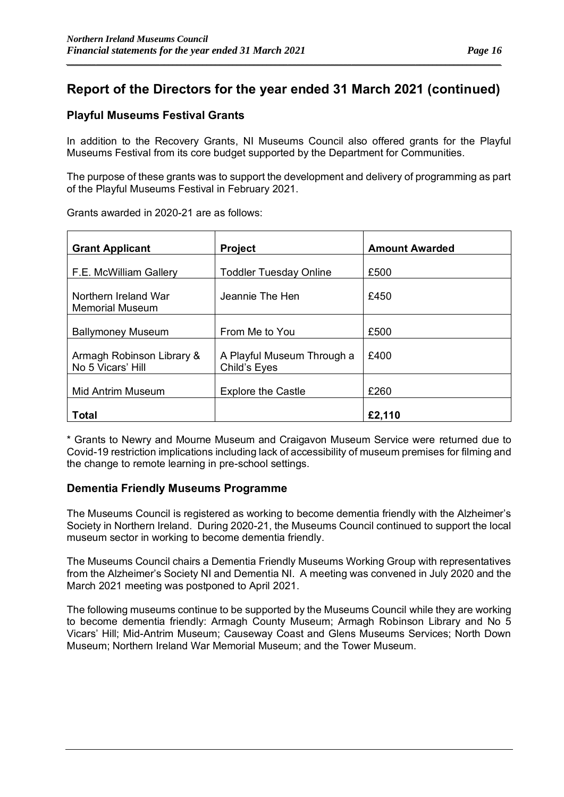*\_\_\_\_\_\_\_\_\_\_\_\_\_\_\_\_\_\_\_\_\_\_\_\_\_\_\_\_\_\_\_\_\_\_\_\_\_\_\_\_\_\_\_\_\_\_\_\_\_\_\_\_\_\_\_\_\_\_\_\_\_\_\_\_\_\_\_\_\_\_\_\_\_\_\_\_\_\_\_\_\_\_\_\_\_\_\_\_\_\_\_\_\_\_\_\_\_\_\_\_\_\_*

### **Playful Museums Festival Grants**

In addition to the Recovery Grants, NI Museums Council also offered grants for the Playful Museums Festival from its core budget supported by the Department for Communities.

The purpose of these grants was to support the development and delivery of programming as part of the Playful Museums Festival in February 2021.

| <b>Grant Applicant</b>                         | <b>Project</b>                             | <b>Amount Awarded</b> |
|------------------------------------------------|--------------------------------------------|-----------------------|
| F.E. McWilliam Gallery                         | <b>Toddler Tuesday Online</b>              | £500                  |
| Northern Ireland War<br><b>Memorial Museum</b> | Jeannie The Hen                            | £450                  |
| <b>Ballymoney Museum</b>                       | From Me to You                             | £500                  |
| Armagh Robinson Library &<br>No 5 Vicars' Hill | A Playful Museum Through a<br>Child's Eyes | £400                  |
| Mid Antrim Museum                              | <b>Explore the Castle</b>                  | £260                  |
| Total                                          |                                            | £2,110                |

Grants awarded in 2020-21 are as follows:

\* Grants to Newry and Mourne Museum and Craigavon Museum Service were returned due to Covid-19 restriction implications including lack of accessibility of museum premises for filming and the change to remote learning in pre-school settings.

### **Dementia Friendly Museums Programme**

The Museums Council is registered as working to become dementia friendly with the Alzheimer's Society in Northern Ireland. During 2020-21, the Museums Council continued to support the local museum sector in working to become dementia friendly.

The Museums Council chairs a Dementia Friendly Museums Working Group with representatives from the Alzheimer's Society NI and Dementia NI. A meeting was convened in July 2020 and the March 2021 meeting was postponed to April 2021.

The following museums continue to be supported by the Museums Council while they are working to become dementia friendly: Armagh County Museum; Armagh Robinson Library and No 5 Vicars' Hill; Mid-Antrim Museum; Causeway Coast and Glens Museums Services; North Down Museum; Northern Ireland War Memorial Museum; and the Tower Museum.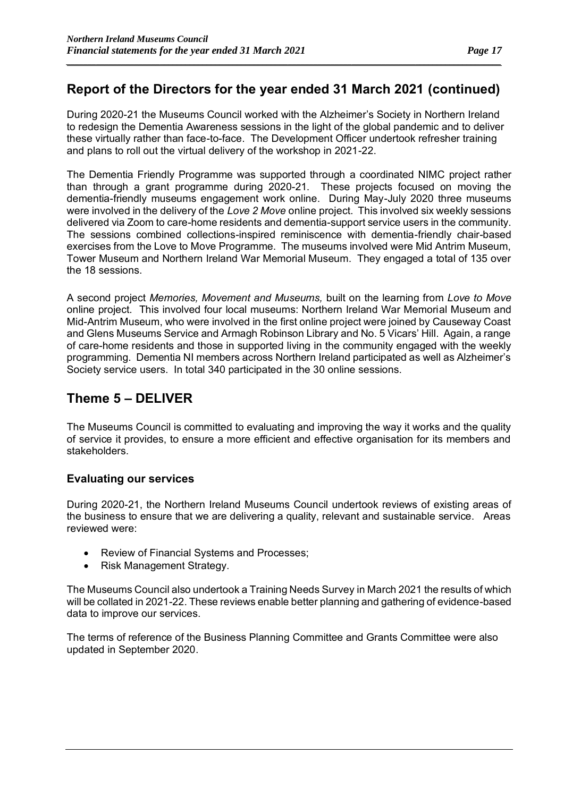*\_\_\_\_\_\_\_\_\_\_\_\_\_\_\_\_\_\_\_\_\_\_\_\_\_\_\_\_\_\_\_\_\_\_\_\_\_\_\_\_\_\_\_\_\_\_\_\_\_\_\_\_\_\_\_\_\_\_\_\_\_\_\_\_\_\_\_\_\_\_\_\_\_\_\_\_\_\_\_\_\_\_\_\_\_\_\_\_\_\_\_\_\_\_\_\_\_\_\_\_\_\_*

During 2020-21 the Museums Council worked with the Alzheimer's Society in Northern Ireland to redesign the Dementia Awareness sessions in the light of the global pandemic and to deliver these virtually rather than face-to-face. The Development Officer undertook refresher training and plans to roll out the virtual delivery of the workshop in 2021-22.

The Dementia Friendly Programme was supported through a coordinated NIMC project rather than through a grant programme during 2020-21. These projects focused on moving the dementia-friendly museums engagement work online. During May-July 2020 three museums were involved in the delivery of the *Love 2 Move* online project. This involved six weekly sessions delivered via Zoom to care-home residents and dementia-support service users in the community. The sessions combined collections-inspired reminiscence with dementia-friendly chair-based exercises from the Love to Move Programme. The museums involved were Mid Antrim Museum, Tower Museum and Northern Ireland War Memorial Museum. They engaged a total of 135 over the 18 sessions.

A second project *Memories, Movement and Museums,* built on the learning from *Love to Move* online project. This involved four local museums: Northern Ireland War Memorial Museum and Mid-Antrim Museum, who were involved in the first online project were joined by Causeway Coast and Glens Museums Service and Armagh Robinson Library and No. 5 Vicars' Hill. Again, a range of care-home residents and those in supported living in the community engaged with the weekly programming. Dementia NI members across Northern Ireland participated as well as Alzheimer's Society service users. In total 340 participated in the 30 online sessions.

### **Theme 5 – DELIVER**

The Museums Council is committed to evaluating and improving the way it works and the quality of service it provides, to ensure a more efficient and effective organisation for its members and stakeholders.

### **Evaluating our services**

During 2020-21, the Northern Ireland Museums Council undertook reviews of existing areas of the business to ensure that we are delivering a quality, relevant and sustainable service. Areas reviewed were:

- Review of Financial Systems and Processes;
- Risk Management Strategy.

The Museums Council also undertook a Training Needs Survey in March 2021 the results of which will be collated in 2021-22. These reviews enable better planning and gathering of evidence-based data to improve our services.

The terms of reference of the Business Planning Committee and Grants Committee were also updated in September 2020.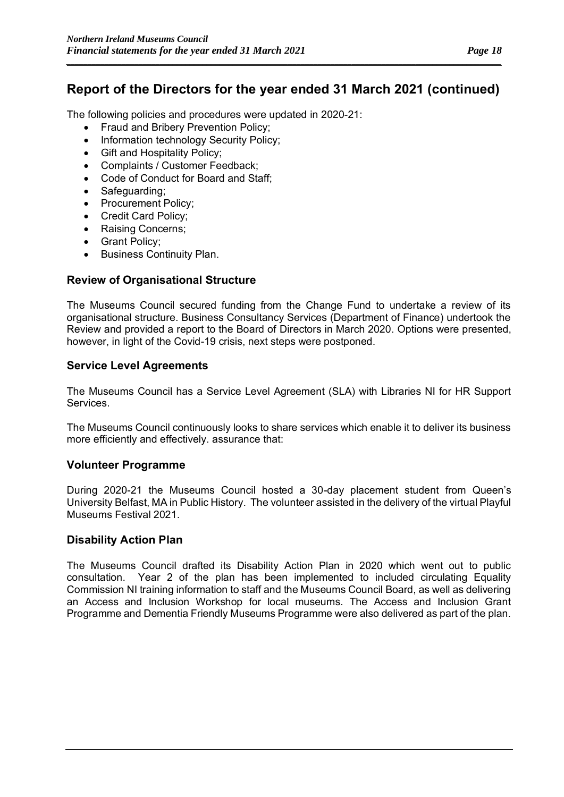*\_\_\_\_\_\_\_\_\_\_\_\_\_\_\_\_\_\_\_\_\_\_\_\_\_\_\_\_\_\_\_\_\_\_\_\_\_\_\_\_\_\_\_\_\_\_\_\_\_\_\_\_\_\_\_\_\_\_\_\_\_\_\_\_\_\_\_\_\_\_\_\_\_\_\_\_\_\_\_\_\_\_\_\_\_\_\_\_\_\_\_\_\_\_\_\_\_\_\_\_\_\_*

The following policies and procedures were updated in 2020-21:

- Fraud and Bribery Prevention Policy;
- Information technology Security Policy;
- Gift and Hospitality Policy;
- Complaints / Customer Feedback;
- Code of Conduct for Board and Staff;
- Safeguarding;
- Procurement Policy;
- Credit Card Policy;
- Raising Concerns;
- Grant Policy;
- Business Continuity Plan.

### **Review of Organisational Structure**

The Museums Council secured funding from the Change Fund to undertake a review of its organisational structure. Business Consultancy Services (Department of Finance) undertook the Review and provided a report to the Board of Directors in March 2020. Options were presented, however, in light of the Covid-19 crisis, next steps were postponed.

### **Service Level Agreements**

The Museums Council has a Service Level Agreement (SLA) with Libraries NI for HR Support Services.

The Museums Council continuously looks to share services which enable it to deliver its business more efficiently and effectively. assurance that:

### **Volunteer Programme**

During 2020-21 the Museums Council hosted a 30-day placement student from Queen's University Belfast, MA in Public History. The volunteer assisted in the delivery of the virtual Playful Museums Festival 2021.

### **Disability Action Plan**

The Museums Council drafted its Disability Action Plan in 2020 which went out to public consultation. Year 2 of the plan has been implemented to included circulating Equality Commission NI training information to staff and the Museums Council Board, as well as delivering an Access and Inclusion Workshop for local museums. The Access and Inclusion Grant Programme and Dementia Friendly Museums Programme were also delivered as part of the plan.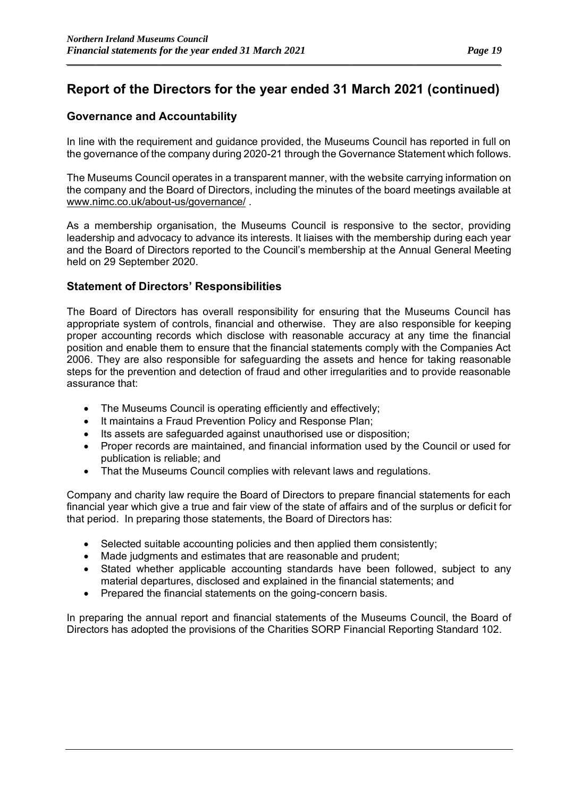*\_\_\_\_\_\_\_\_\_\_\_\_\_\_\_\_\_\_\_\_\_\_\_\_\_\_\_\_\_\_\_\_\_\_\_\_\_\_\_\_\_\_\_\_\_\_\_\_\_\_\_\_\_\_\_\_\_\_\_\_\_\_\_\_\_\_\_\_\_\_\_\_\_\_\_\_\_\_\_\_\_\_\_\_\_\_\_\_\_\_\_\_\_\_\_\_\_\_\_\_\_\_*

### **Governance and Accountability**

In line with the requirement and guidance provided, the Museums Council has reported in full on the governance of the company during 2020-21 through the Governance Statement which follows.

The Museums Council operates in a transparent manner, with the website carrying information on the company and the Board of Directors, including the minutes of the board meetings available at [www.nimc.co.uk/about-us/governance/](http://www.nimc.co.uk/about-us/governance/) .

As a membership organisation, the Museums Council is responsive to the sector, providing leadership and advocacy to advance its interests. It liaises with the membership during each year and the Board of Directors reported to the Council's membership at the Annual General Meeting held on 29 September 2020.

### **Statement of Directors' Responsibilities**

The Board of Directors has overall responsibility for ensuring that the Museums Council has appropriate system of controls, financial and otherwise. They are also responsible for keeping proper accounting records which disclose with reasonable accuracy at any time the financial position and enable them to ensure that the financial statements comply with the Companies Act 2006. They are also responsible for safeguarding the assets and hence for taking reasonable steps for the prevention and detection of fraud and other irregularities and to provide reasonable assurance that:

- The Museums Council is operating efficiently and effectively;
- It maintains a Fraud Prevention Policy and Response Plan;
- Its assets are safeguarded against unauthorised use or disposition;
- Proper records are maintained, and financial information used by the Council or used for publication is reliable; and
- That the Museums Council complies with relevant laws and regulations.

Company and charity law require the Board of Directors to prepare financial statements for each financial year which give a true and fair view of the state of affairs and of the surplus or deficit for that period. In preparing those statements, the Board of Directors has:

- Selected suitable accounting policies and then applied them consistently;
- Made judgments and estimates that are reasonable and prudent;
- Stated whether applicable accounting standards have been followed, subject to any material departures, disclosed and explained in the financial statements; and
- Prepared the financial statements on the going-concern basis.

In preparing the annual report and financial statements of the Museums Council, the Board of Directors has adopted the provisions of the Charities SORP Financial Reporting Standard 102.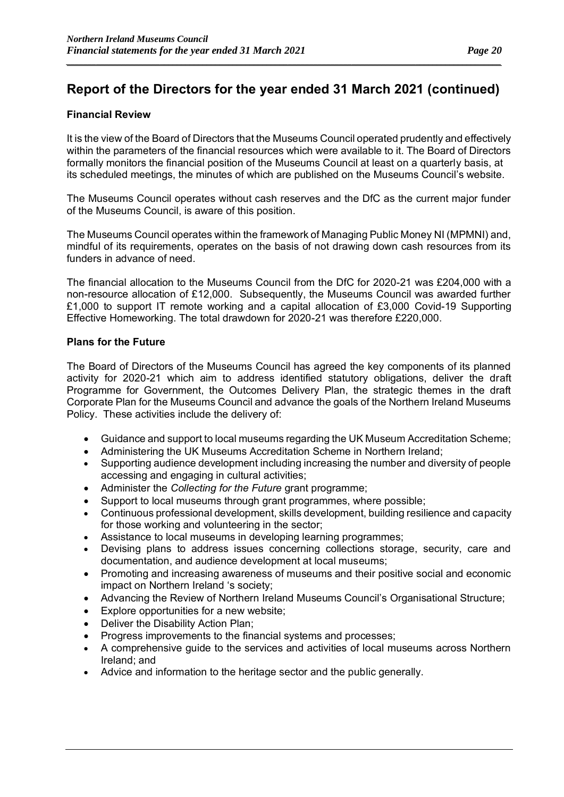*\_\_\_\_\_\_\_\_\_\_\_\_\_\_\_\_\_\_\_\_\_\_\_\_\_\_\_\_\_\_\_\_\_\_\_\_\_\_\_\_\_\_\_\_\_\_\_\_\_\_\_\_\_\_\_\_\_\_\_\_\_\_\_\_\_\_\_\_\_\_\_\_\_\_\_\_\_\_\_\_\_\_\_\_\_\_\_\_\_\_\_\_\_\_\_\_\_\_\_\_\_\_*

### **Financial Review**

It is the view of the Board of Directors that the Museums Council operated prudently and effectively within the parameters of the financial resources which were available to it. The Board of Directors formally monitors the financial position of the Museums Council at least on a quarterly basis, at its scheduled meetings, the minutes of which are published on the Museums Council's website.

The Museums Council operates without cash reserves and the DfC as the current major funder of the Museums Council, is aware of this position.

The Museums Council operates within the framework of Managing Public Money NI (MPMNI) and, mindful of its requirements, operates on the basis of not drawing down cash resources from its funders in advance of need.

The financial allocation to the Museums Council from the DfC for 2020-21 was £204,000 with a non-resource allocation of £12,000. Subsequently, the Museums Council was awarded further £1,000 to support IT remote working and a capital allocation of £3,000 Covid-19 Supporting Effective Homeworking. The total drawdown for 2020-21 was therefore £220,000.

#### **Plans for the Future**

The Board of Directors of the Museums Council has agreed the key components of its planned activity for 2020-21 which aim to address identified statutory obligations, deliver the draft Programme for Government, the Outcomes Delivery Plan, the strategic themes in the draft Corporate Plan for the Museums Council and advance the goals of the Northern Ireland Museums Policy. These activities include the delivery of:

- Guidance and support to local museums regarding the UK Museum Accreditation Scheme;
- Administering the UK Museums Accreditation Scheme in Northern Ireland;
- Supporting audience development including increasing the number and diversity of people accessing and engaging in cultural activities;
- Administer the *Collecting for the Future* grant programme;
- Support to local museums through grant programmes, where possible;
- Continuous professional development, skills development, building resilience and capacity for those working and volunteering in the sector;
- Assistance to local museums in developing learning programmes;
- Devising plans to address issues concerning collections storage, security, care and documentation, and audience development at local museums;
- Promoting and increasing awareness of museums and their positive social and economic impact on Northern Ireland 's society;
- Advancing the Review of Northern Ireland Museums Council's Organisational Structure;
- Explore opportunities for a new website;
- Deliver the Disability Action Plan;
- Progress improvements to the financial systems and processes;
- A comprehensive guide to the services and activities of local museums across Northern Ireland; and
- Advice and information to the heritage sector and the public generally.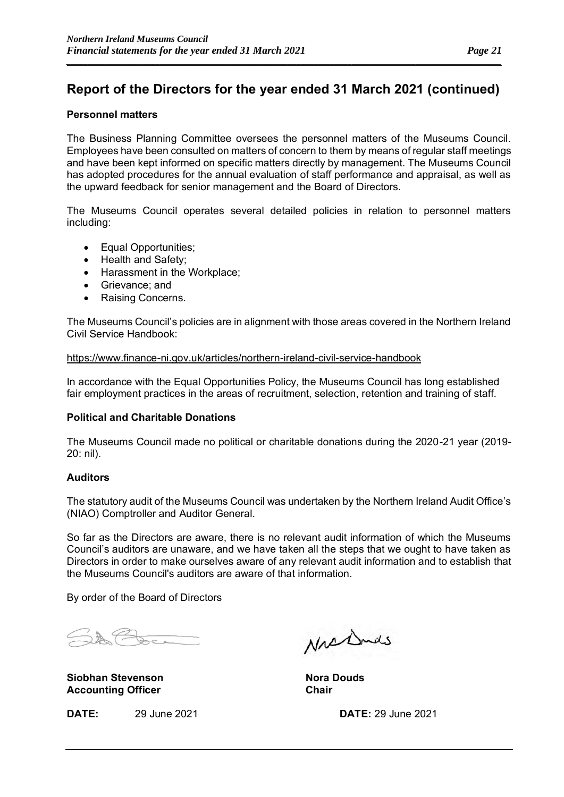#### **Personnel matters**

The Business Planning Committee oversees the personnel matters of the Museums Council. Employees have been consulted on matters of concern to them by means of regular staff meetings and have been kept informed on specific matters directly by management. The Museums Council has adopted procedures for the annual evaluation of staff performance and appraisal, as well as the upward feedback for senior management and the Board of Directors.

The Museums Council operates several detailed policies in relation to personnel matters including:

- Equal Opportunities;
- Health and Safety;
- Harassment in the Workplace;
- Grievance; and
- Raising Concerns.

The Museums Council's policies are in alignment with those areas covered in the Northern Ireland Civil Service Handbook:

<https://www.finance-ni.gov.uk/articles/northern-ireland-civil-service-handbook>

In accordance with the Equal Opportunities Policy, the Museums Council has long established fair employment practices in the areas of recruitment, selection, retention and training of staff.

### **Political and Charitable Donations**

The Museums Council made no political or charitable donations during the 2020-21 year (2019- 20: nil).

### **Auditors**

The statutory audit of the Museums Council was undertaken by the Northern Ireland Audit Office's (NIAO) Comptroller and Auditor General.

So far as the Directors are aware, there is no relevant audit information of which the Museums Council's auditors are unaware, and we have taken all the steps that we ought to have taken as Directors in order to make ourselves aware of any relevant audit information and to establish that the Museums Council's auditors are aware of that information.

By order of the Board of Directors

 $\mathbb{A} \nleftrightarrow \mathbb{C}$ 

**Siobhan Stevenson Nora Douds Accounting Officer** 

Nrshnds

**DATE:** 29 June 2021 **DATE:** 29 June 2021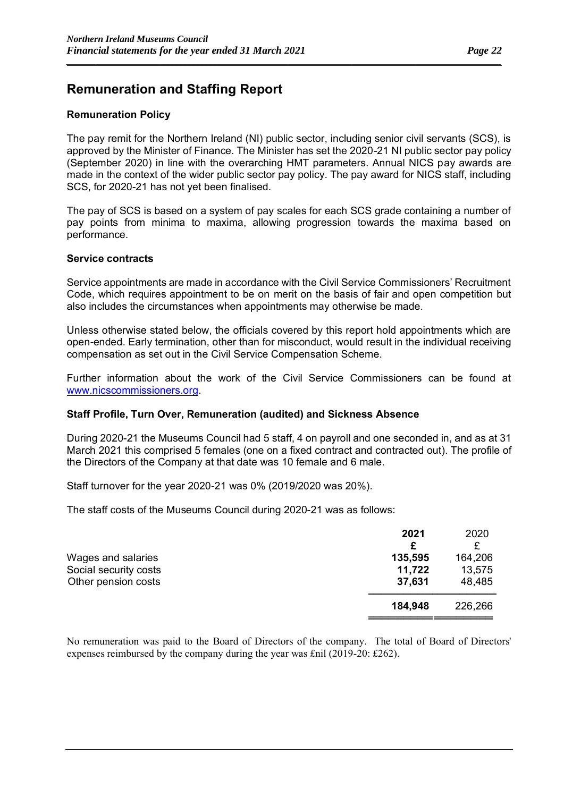### **Remuneration and Staffing Report**

#### **Remuneration Policy**

The pay remit for the Northern Ireland (NI) public sector, including senior civil servants (SCS), is approved by the Minister of Finance. The Minister has set the 2020-21 NI public sector pay policy (September 2020) in line with the overarching HMT parameters. Annual NICS pay awards are made in the context of the wider public sector pay policy. The pay award for NICS staff, including SCS, for 2020-21 has not yet been finalised.

*\_\_\_\_\_\_\_\_\_\_\_\_\_\_\_\_\_\_\_\_\_\_\_\_\_\_\_\_\_\_\_\_\_\_\_\_\_\_\_\_\_\_\_\_\_\_\_\_\_\_\_\_\_\_\_\_\_\_\_\_\_\_\_\_\_\_\_\_\_\_\_\_\_\_\_\_\_\_\_\_\_\_\_\_\_\_\_\_\_\_\_\_\_\_\_\_\_\_\_\_\_\_*

The pay of SCS is based on a system of pay scales for each SCS grade containing a number of pay points from minima to maxima, allowing progression towards the maxima based on performance.

#### **Service contracts**

Service appointments are made in accordance with the Civil Service Commissioners' Recruitment Code, which requires appointment to be on merit on the basis of fair and open competition but also includes the circumstances when appointments may otherwise be made.

Unless otherwise stated below, the officials covered by this report hold appointments which are open-ended. Early termination, other than for misconduct, would result in the individual receiving compensation as set out in the Civil Service Compensation Scheme.

Further information about the work of the Civil Service Commissioners can be found at [www.nicscommissioners.org.](http://www.nicscommissioners.org/)

#### **Staff Profile, Turn Over, Remuneration (audited) and Sickness Absence**

During 2020-21 the Museums Council had 5 staff, 4 on payroll and one seconded in, and as at 31 March 2021 this comprised 5 females (one on a fixed contract and contracted out). The profile of the Directors of the Company at that date was 10 female and 6 male.

Staff turnover for the year 2020-21 was 0% (2019/2020 was 20%).

The staff costs of the Museums Council during 2020-21 was as follows:

|                       | 2021    | 2020    |
|-----------------------|---------|---------|
|                       | £       |         |
| Wages and salaries    | 135,595 | 164,206 |
| Social security costs | 11,722  | 13,575  |
| Other pension costs   | 37,631  | 48,485  |
|                       | 184,948 | 226,266 |
|                       |         |         |

No remuneration was paid to the Board of Directors of the company. The total of Board of Directors' expenses reimbursed by the company during the year was £nil (2019-20: £262).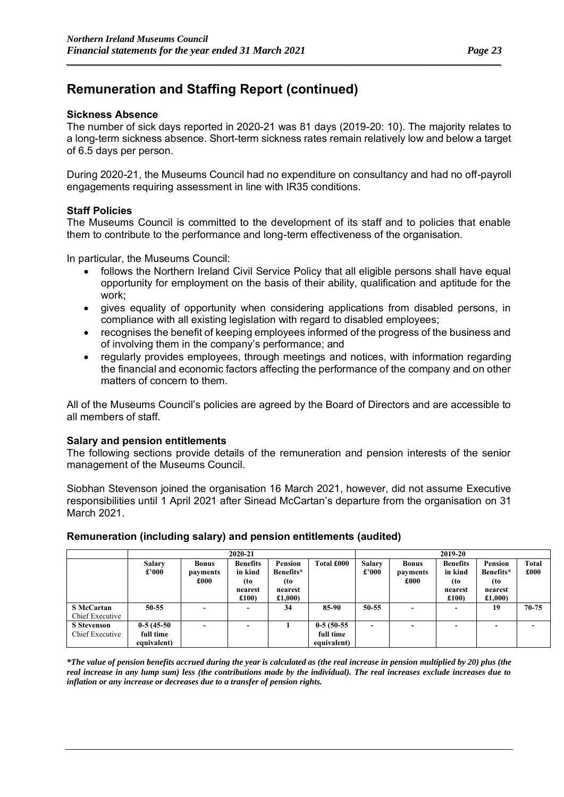### **Sickness Absence**

The number of sick days reported in 2020-21 was 81 days (2019-20: 10). The majority relates to a long-term sickness absence. Short-term sickness rates remain relatively low and below a target of 6.5 days per person.

*\_\_\_\_\_\_\_\_\_\_\_\_\_\_\_\_\_\_\_\_\_\_\_\_\_\_\_\_\_\_\_\_\_\_\_\_\_\_\_\_\_\_\_\_\_\_\_\_\_\_\_\_\_\_\_\_\_\_\_\_\_\_\_\_\_\_\_\_\_\_\_\_\_\_\_\_\_\_\_\_\_\_\_\_\_\_\_\_\_\_\_\_\_\_\_\_\_\_\_\_\_\_*

During 2020-21, the Museums Council had no expenditure on consultancy and had no off-payroll engagements requiring assessment in line with IR35 conditions.

#### **Staff Policies**

The Museums Council is committed to the development of its staff and to policies that enable them to contribute to the performance and long-term effectiveness of the organisation.

In particular, the Museums Council:

- follows the Northern Ireland Civil Service Policy that all eligible persons shall have equal opportunity for employment on the basis of their ability, qualification and aptitude for the work;
- gives equality of opportunity when considering applications from disabled persons, in compliance with all existing legislation with regard to disabled employees;
- recognises the benefit of keeping employees informed of the progress of the business and of involving them in the company's performance; and
- regularly provides employees, through meetings and notices, with information regarding the financial and economic factors affecting the performance of the company and on other matters of concern to them.

All of the Museums Council's policies are agreed by the Board of Directors and are accessible to all members of staff.

#### **Salary and pension entitlements**

The following sections provide details of the remuneration and pension interests of the senior management of the Museums Council.

Siobhan Stevenson joined the organisation 16 March 2021, however, did not assume Executive responsibilities until 1 April 2021 after Sinead McCartan's departure from the organisation on 31 March 2021.

|                                       | 2020-21                                  |                          |                            |                             |                                          |                          | 2019-20                  |                            |                           |                      |
|---------------------------------------|------------------------------------------|--------------------------|----------------------------|-----------------------------|------------------------------------------|--------------------------|--------------------------|----------------------------|---------------------------|----------------------|
|                                       | Salary<br>£'000                          | <b>Bonus</b><br>payments | <b>Benefits</b><br>in kind | <b>Pension</b><br>Benefits* | Total £000                               | <b>Salary</b><br>£'000   | <b>Bonus</b><br>payments | <b>Benefits</b><br>in kind | Pension<br>Benefits*      | <b>Total</b><br>£000 |
|                                       |                                          | £000                     | (to<br>nearest<br>£100     | (to<br>nearest<br>£1,000)   |                                          |                          | £000                     | (to<br>nearest<br>£100     | (to<br>nearest<br>£1,000) |                      |
| <b>S</b> McCartan<br>Chief Executive  | $50 - 55$                                |                          | $\overline{\phantom{0}}$   | 34                          | 85-90                                    | 50-55                    |                          |                            | 19                        | $70 - 75$            |
| <b>S</b> Stevenson<br>Chief Executive | $0-5(45-50)$<br>full time<br>equivalent) |                          | $\overline{\phantom{0}}$   |                             | $0-5(50-55)$<br>full time<br>equivalent) | $\overline{\phantom{a}}$ |                          | -                          |                           |                      |

### **Remuneration (including salary) and pension entitlements (audited)**

*\*The value of pension benefits accrued during the year is calculated as (the real increase in pension multiplied by 20) plus (the real increase in any lump sum) less (the contributions made by the individual). The real increases exclude increases due to inflation or any increase or decreases due to a transfer of pension rights.*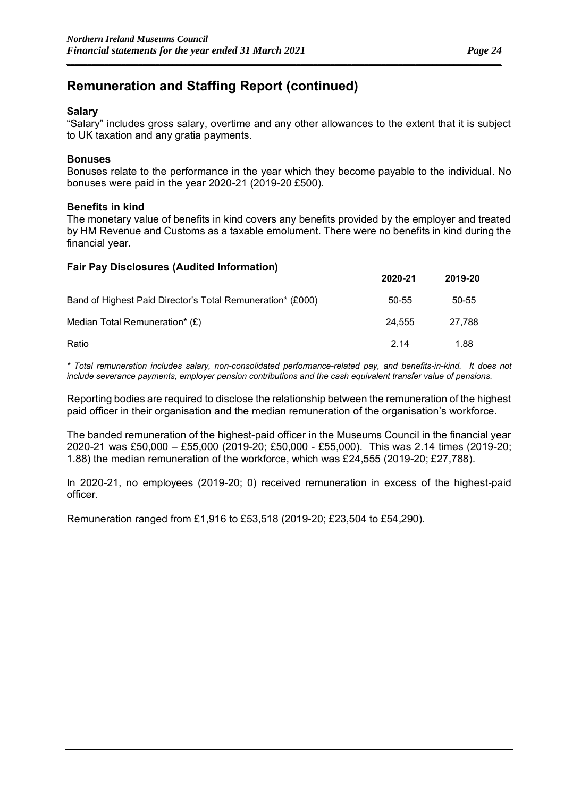### **Salary**

"Salary" includes gross salary, overtime and any other allowances to the extent that it is subject to UK taxation and any gratia payments.

*\_\_\_\_\_\_\_\_\_\_\_\_\_\_\_\_\_\_\_\_\_\_\_\_\_\_\_\_\_\_\_\_\_\_\_\_\_\_\_\_\_\_\_\_\_\_\_\_\_\_\_\_\_\_\_\_\_\_\_\_\_\_\_\_\_\_\_\_\_\_\_\_\_\_\_\_\_\_\_\_\_\_\_\_\_\_\_\_\_\_\_\_\_\_\_\_\_\_\_\_\_\_*

### **Bonuses**

Bonuses relate to the performance in the year which they become payable to the individual. No bonuses were paid in the year 2020-21 (2019-20 £500).

#### **Benefits in kind**

The monetary value of benefits in kind covers any benefits provided by the employer and treated by HM Revenue and Customs as a taxable emolument. There were no benefits in kind during the financial year.

| <b>Fair Pay Disclosures (Audited Information)</b>          |         |         |
|------------------------------------------------------------|---------|---------|
|                                                            | 2020-21 | 2019-20 |
| Band of Highest Paid Director's Total Remuneration* (£000) | 50-55   | 50-55   |
| Median Total Remuneration* (£)                             | 24.555  | 27.788  |
| Ratio                                                      | 2.14    | 1.88    |

*\* Total remuneration includes salary, non-consolidated performance-related pay, and benefits-in-kind. It does not include severance payments, employer pension contributions and the cash equivalent transfer value of pensions.*

Reporting bodies are required to disclose the relationship between the remuneration of the highest paid officer in their organisation and the median remuneration of the organisation's workforce.

The banded remuneration of the highest-paid officer in the Museums Council in the financial year 2020-21 was £50,000 – £55,000 (2019-20; £50,000 - £55,000). This was 2.14 times (2019-20; 1.88) the median remuneration of the workforce, which was £24,555 (2019-20; £27,788).

In 2020-21, no employees (2019-20; 0) received remuneration in excess of the highest-paid officer.

Remuneration ranged from £1,916 to £53,518 (2019-20; £23,504 to £54,290).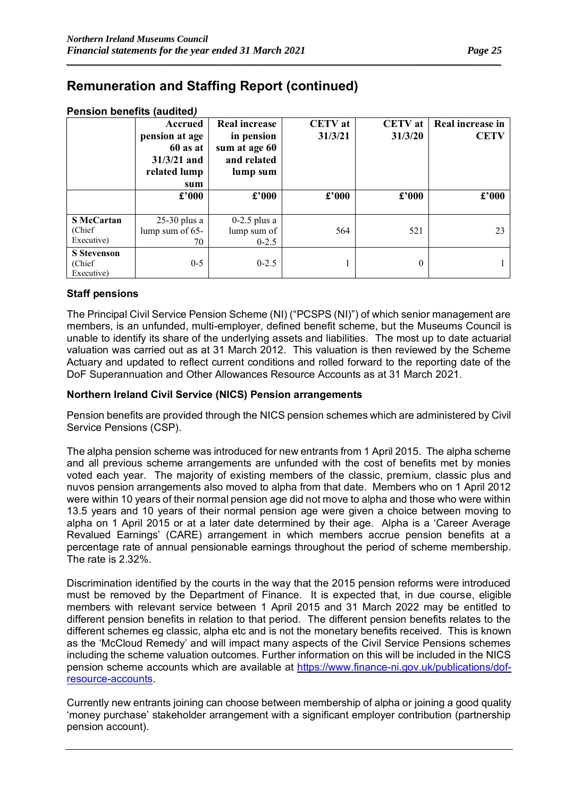| <b>Pension benefits (audited)</b> |  |
|-----------------------------------|--|
|                                   |  |

|                                             | Accrued<br>pension at age<br>60 as at<br>$31/3/21$ and<br>related lump<br>sum | <b>Real increase</b><br>in pension<br>sum at age 60<br>and related<br>lump sum | <b>CETV</b> at<br>31/3/21 | <b>CETV</b> at<br>31/3/20 | Real increase in<br><b>CETV</b> |
|---------------------------------------------|-------------------------------------------------------------------------------|--------------------------------------------------------------------------------|---------------------------|---------------------------|---------------------------------|
|                                             | $\pmb{\pounds}^{\pmb{\cdot}} 000$                                             | $\pounds$ '000                                                                 | $\pounds$ '000            | $\pounds$ '000            | £'000                           |
| <b>S</b> McCartan<br>(Chief)<br>Executive)  | $25-30$ plus a<br>lump sum of 65-<br>70                                       | $0-2.5$ plus a<br>lump sum of<br>$0-2.5$                                       | 564                       | 521                       | 23                              |
| <b>S</b> Stevenson<br>(Chief)<br>Executive) | $0-5$                                                                         | $0-2.5$                                                                        |                           | $\theta$                  |                                 |

*\_\_\_\_\_\_\_\_\_\_\_\_\_\_\_\_\_\_\_\_\_\_\_\_\_\_\_\_\_\_\_\_\_\_\_\_\_\_\_\_\_\_\_\_\_\_\_\_\_\_\_\_\_\_\_\_\_\_\_\_\_\_\_\_\_\_\_\_\_\_\_\_\_\_\_\_\_\_\_\_\_\_\_\_\_\_\_\_\_\_\_\_\_\_\_\_\_\_\_\_\_\_*

### **Staff pensions**

The Principal Civil Service Pension Scheme (NI) ("PCSPS (NI)") of which senior management are members, is an unfunded, multi-employer, defined benefit scheme, but the Museums Council is unable to identify its share of the underlying assets and liabilities. The most up to date actuarial valuation was carried out as at 31 March 2012. This valuation is then reviewed by the Scheme Actuary and updated to reflect current conditions and rolled forward to the reporting date of the DoF Superannuation and Other Allowances Resource Accounts as at 31 March 2021.

#### **Northern Ireland Civil Service (NICS) Pension arrangements**

Pension benefits are provided through the NICS pension schemes which are administered by Civil Service Pensions (CSP).

The alpha pension scheme was introduced for new entrants from 1 April 2015. The alpha scheme and all previous scheme arrangements are unfunded with the cost of benefits met by monies voted each year. The majority of existing members of the classic, premium, classic plus and nuvos pension arrangements also moved to alpha from that date. Members who on 1 April 2012 were within 10 years of their normal pension age did not move to alpha and those who were within 13.5 years and 10 years of their normal pension age were given a choice between moving to alpha on 1 April 2015 or at a later date determined by their age. Alpha is a 'Career Average Revalued Earnings' (CARE) arrangement in which members accrue pension benefits at a percentage rate of annual pensionable earnings throughout the period of scheme membership. The rate is 2.32%.

Discrimination identified by the courts in the way that the 2015 pension reforms were introduced must be removed by the Department of Finance. It is expected that, in due course, eligible members with relevant service between 1 April 2015 and 31 March 2022 may be entitled to different pension benefits in relation to that period. The different pension benefits relates to the different schemes eg classic, alpha etc and is not the monetary benefits received. This is known as the 'McCloud Remedy' and will impact many aspects of the Civil Service Pensions schemes including the scheme valuation outcomes. Further information on this will be included in the NICS pension scheme accounts which are available at [https://www.finance-ni.gov.uk/publications/dof](https://www.finance-ni.gov.uk/publications/dof-resource-accounts)[resource-accounts.](https://www.finance-ni.gov.uk/publications/dof-resource-accounts)

Currently new entrants joining can choose between membership of alpha or joining a good quality 'money purchase' stakeholder arrangement with a significant employer contribution (partnership pension account).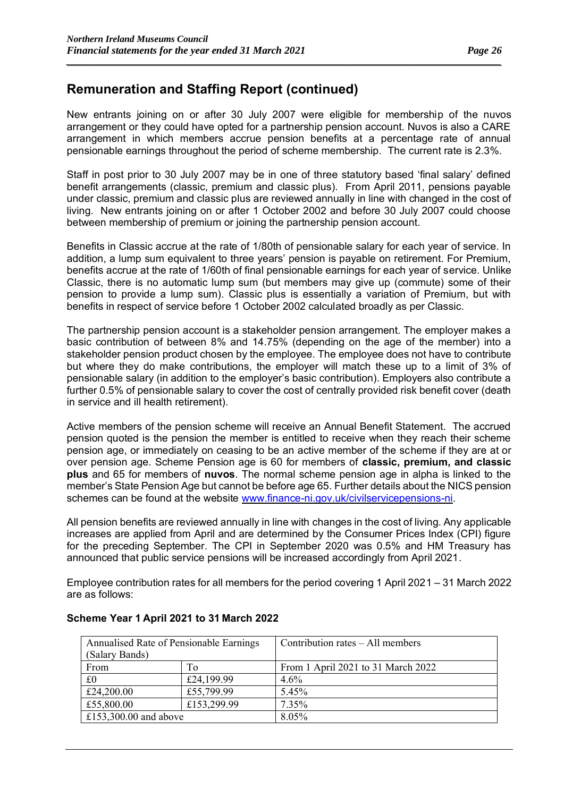New entrants joining on or after 30 July 2007 were eligible for membership of the nuvos arrangement or they could have opted for a partnership pension account. Nuvos is also a CARE arrangement in which members accrue pension benefits at a percentage rate of annual pensionable earnings throughout the period of scheme membership. The current rate is 2.3%.

*\_\_\_\_\_\_\_\_\_\_\_\_\_\_\_\_\_\_\_\_\_\_\_\_\_\_\_\_\_\_\_\_\_\_\_\_\_\_\_\_\_\_\_\_\_\_\_\_\_\_\_\_\_\_\_\_\_\_\_\_\_\_\_\_\_\_\_\_\_\_\_\_\_\_\_\_\_\_\_\_\_\_\_\_\_\_\_\_\_\_\_\_\_\_\_\_\_\_\_\_\_\_*

Staff in post prior to 30 July 2007 may be in one of three statutory based 'final salary' defined benefit arrangements (classic, premium and classic plus). From April 2011, pensions payable under classic, premium and classic plus are reviewed annually in line with changed in the cost of living. New entrants joining on or after 1 October 2002 and before 30 July 2007 could choose between membership of premium or joining the partnership pension account.

Benefits in Classic accrue at the rate of 1/80th of pensionable salary for each year of service. In addition, a lump sum equivalent to three years' pension is payable on retirement. For Premium, benefits accrue at the rate of 1/60th of final pensionable earnings for each year of service. Unlike Classic, there is no automatic lump sum (but members may give up (commute) some of their pension to provide a lump sum). Classic plus is essentially a variation of Premium, but with benefits in respect of service before 1 October 2002 calculated broadly as per Classic.

The partnership pension account is a stakeholder pension arrangement. The employer makes a basic contribution of between 8% and 14.75% (depending on the age of the member) into a stakeholder pension product chosen by the employee. The employee does not have to contribute but where they do make contributions, the employer will match these up to a limit of 3% of pensionable salary (in addition to the employer's basic contribution). Employers also contribute a further 0.5% of pensionable salary to cover the cost of centrally provided risk benefit cover (death in service and ill health retirement).

Active members of the pension scheme will receive an Annual Benefit Statement. The accrued pension quoted is the pension the member is entitled to receive when they reach their scheme pension age, or immediately on ceasing to be an active member of the scheme if they are at or over pension age. Scheme Pension age is 60 for members of **classic, premium, and classic plus** and 65 for members of **nuvos**. The normal scheme pension age in alpha is linked to the member's State Pension Age but cannot be before age 65. Further details about the NICS pension schemes can be found at the website [www.finance-ni.gov.uk/civilservicepensions-ni.](http://www.finance-ni.gov.uk/civilservicepensions-ni)

All pension benefits are reviewed annually in line with changes in the cost of living. Any applicable increases are applied from April and are determined by the Consumer Prices Index (CPI) figure for the preceding September. The CPI in September 2020 was 0.5% and HM Treasury has announced that public service pensions will be increased accordingly from April 2021.

Employee contribution rates for all members for the period covering 1 April 2021 – 31 March 2022 are as follows:

| Annualised Rate of Pensionable Earnings |             | Contribution rates – All members   |
|-----------------------------------------|-------------|------------------------------------|
| (Salary Bands)                          |             |                                    |
| From                                    | To          | From 1 April 2021 to 31 March 2022 |
| £0                                      | £24,199.99  | $4.6\%$                            |
| £24,200.00                              | £55,799.99  | 5.45%                              |
| £55,800.00                              | £153,299.99 | 7.35%                              |
| £153,300.00 and above                   |             | 8.05%                              |

### **Scheme Year 1 April 2021 to 31 March 2022**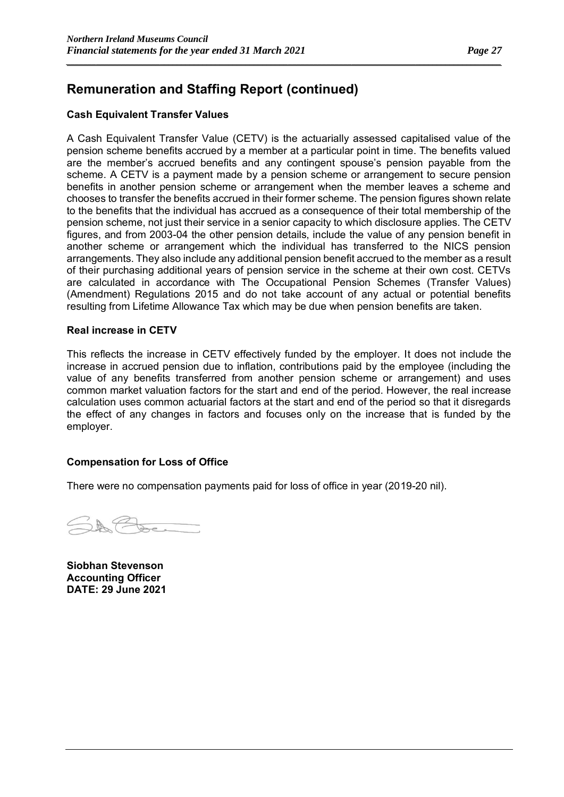### **Cash Equivalent Transfer Values**

A Cash Equivalent Transfer Value (CETV) is the actuarially assessed capitalised value of the pension scheme benefits accrued by a member at a particular point in time. The benefits valued are the member's accrued benefits and any contingent spouse's pension payable from the scheme. A CETV is a payment made by a pension scheme or arrangement to secure pension benefits in another pension scheme or arrangement when the member leaves a scheme and chooses to transfer the benefits accrued in their former scheme. The pension figures shown relate to the benefits that the individual has accrued as a consequence of their total membership of the pension scheme, not just their service in a senior capacity to which disclosure applies. The CETV figures, and from 2003-04 the other pension details, include the value of any pension benefit in another scheme or arrangement which the individual has transferred to the NICS pension arrangements. They also include any additional pension benefit accrued to the member as a result of their purchasing additional years of pension service in the scheme at their own cost. CETVs are calculated in accordance with The Occupational Pension Schemes (Transfer Values) (Amendment) Regulations 2015 and do not take account of any actual or potential benefits resulting from Lifetime Allowance Tax which may be due when pension benefits are taken.

*\_\_\_\_\_\_\_\_\_\_\_\_\_\_\_\_\_\_\_\_\_\_\_\_\_\_\_\_\_\_\_\_\_\_\_\_\_\_\_\_\_\_\_\_\_\_\_\_\_\_\_\_\_\_\_\_\_\_\_\_\_\_\_\_\_\_\_\_\_\_\_\_\_\_\_\_\_\_\_\_\_\_\_\_\_\_\_\_\_\_\_\_\_\_\_\_\_\_\_\_\_\_*

### **Real increase in CETV**

This reflects the increase in CETV effectively funded by the employer. It does not include the increase in accrued pension due to inflation, contributions paid by the employee (including the value of any benefits transferred from another pension scheme or arrangement) and uses common market valuation factors for the start and end of the period. However, the real increase calculation uses common actuarial factors at the start and end of the period so that it disregards the effect of any changes in factors and focuses only on the increase that is funded by the employer.

### **Compensation for Loss of Office**

There were no compensation payments paid for loss of office in year (2019-20 nil).

**Siobhan Stevenson Accounting Officer DATE: 29 June 2021**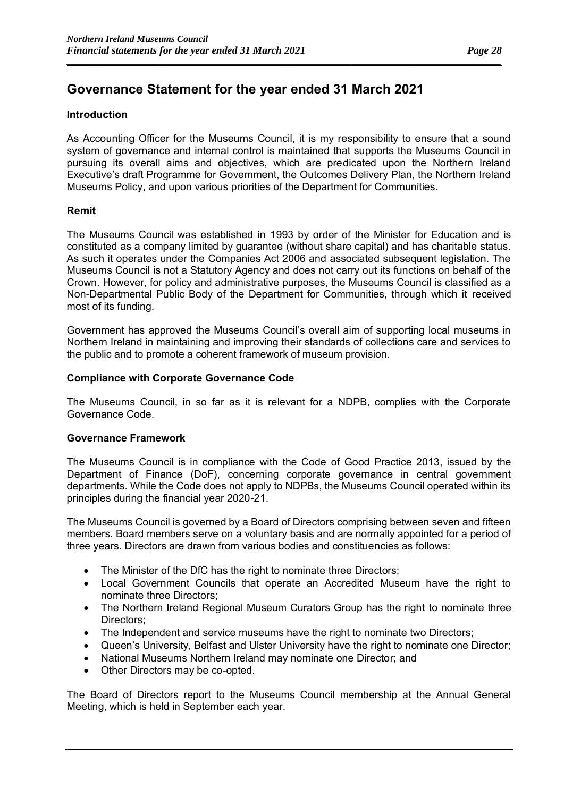### **Governance Statement for the year ended 31 March 2021**

### **Introduction**

As Accounting Officer for the Museums Council, it is my responsibility to ensure that a sound system of governance and internal control is maintained that supports the Museums Council in pursuing its overall aims and objectives, which are predicated upon the Northern Ireland Executive's draft Programme for Government, the Outcomes Delivery Plan, the Northern Ireland Museums Policy, and upon various priorities of the Department for Communities.

*\_\_\_\_\_\_\_\_\_\_\_\_\_\_\_\_\_\_\_\_\_\_\_\_\_\_\_\_\_\_\_\_\_\_\_\_\_\_\_\_\_\_\_\_\_\_\_\_\_\_\_\_\_\_\_\_\_\_\_\_\_\_\_\_\_\_\_\_\_\_\_\_\_\_\_\_\_\_\_\_\_\_\_\_\_\_\_\_\_\_\_\_\_\_\_\_\_\_\_\_\_\_*

### **Remit**

The Museums Council was established in 1993 by order of the Minister for Education and is constituted as a company limited by guarantee (without share capital) and has charitable status. As such it operates under the Companies Act 2006 and associated subsequent legislation. The Museums Council is not a Statutory Agency and does not carry out its functions on behalf of the Crown. However, for policy and administrative purposes, the Museums Council is classified as a Non-Departmental Public Body of the Department for Communities, through which it received most of its funding.

Government has approved the Museums Council's overall aim of supporting local museums in Northern Ireland in maintaining and improving their standards of collections care and services to the public and to promote a coherent framework of museum provision.

#### **Compliance with Corporate Governance Code**

The Museums Council, in so far as it is relevant for a NDPB, complies with the Corporate Governance Code.

### **Governance Framework**

The Museums Council is in compliance with the Code of Good Practice 2013, issued by the Department of Finance (DoF), concerning corporate governance in central government departments. While the Code does not apply to NDPBs, the Museums Council operated within its principles during the financial year 2020-21.

The Museums Council is governed by a Board of Directors comprising between seven and fifteen members. Board members serve on a voluntary basis and are normally appointed for a period of three years. Directors are drawn from various bodies and constituencies as follows:

- The Minister of the DfC has the right to nominate three Directors;
- Local Government Councils that operate an Accredited Museum have the right to nominate three Directors;
- The Northern Ireland Regional Museum Curators Group has the right to nominate three Directors;
- The Independent and service museums have the right to nominate two Directors;
- Queen's University, Belfast and Ulster University have the right to nominate one Director;
- National Museums Northern Ireland may nominate one Director; and
- Other Directors may be co-opted.

The Board of Directors report to the Museums Council membership at the Annual General Meeting, which is held in September each year.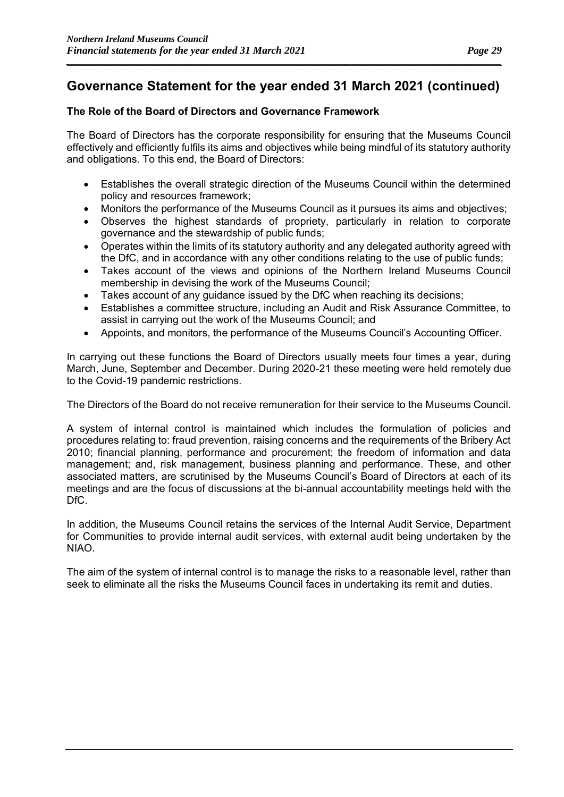*\_\_\_\_\_\_\_\_\_\_\_\_\_\_\_\_\_\_\_\_\_\_\_\_\_\_\_\_\_\_\_\_\_\_\_\_\_\_\_\_\_\_\_\_\_\_\_\_\_\_\_\_\_\_\_\_\_\_\_\_\_\_\_\_\_\_\_\_\_\_\_\_\_\_\_\_\_\_\_\_\_\_\_\_\_\_\_\_\_\_\_\_\_\_\_\_\_\_\_\_\_\_*

### **The Role of the Board of Directors and Governance Framework**

The Board of Directors has the corporate responsibility for ensuring that the Museums Council effectively and efficiently fulfils its aims and objectives while being mindful of its statutory authority and obligations. To this end, the Board of Directors:

- Establishes the overall strategic direction of the Museums Council within the determined policy and resources framework;
- Monitors the performance of the Museums Council as it pursues its aims and objectives;
- Observes the highest standards of propriety, particularly in relation to corporate governance and the stewardship of public funds;
- Operates within the limits of its statutory authority and any delegated authority agreed with the DfC, and in accordance with any other conditions relating to the use of public funds;
- Takes account of the views and opinions of the Northern Ireland Museums Council membership in devising the work of the Museums Council;
- Takes account of any quidance issued by the DfC when reaching its decisions:
- Establishes a committee structure, including an Audit and Risk Assurance Committee, to assist in carrying out the work of the Museums Council; and
- Appoints, and monitors, the performance of the Museums Council's Accounting Officer.

In carrying out these functions the Board of Directors usually meets four times a year, during March, June, September and December. During 2020-21 these meeting were held remotely due to the Covid-19 pandemic restrictions.

The Directors of the Board do not receive remuneration for their service to the Museums Council.

A system of internal control is maintained which includes the formulation of policies and procedures relating to: fraud prevention, raising concerns and the requirements of the Bribery Act 2010; financial planning, performance and procurement; the freedom of information and data management; and, risk management, business planning and performance. These, and other associated matters, are scrutinised by the Museums Council's Board of Directors at each of its meetings and are the focus of discussions at the bi-annual accountability meetings held with the DfC.

In addition, the Museums Council retains the services of the Internal Audit Service, Department for Communities to provide internal audit services, with external audit being undertaken by the NIAO.

The aim of the system of internal control is to manage the risks to a reasonable level, rather than seek to eliminate all the risks the Museums Council faces in undertaking its remit and duties.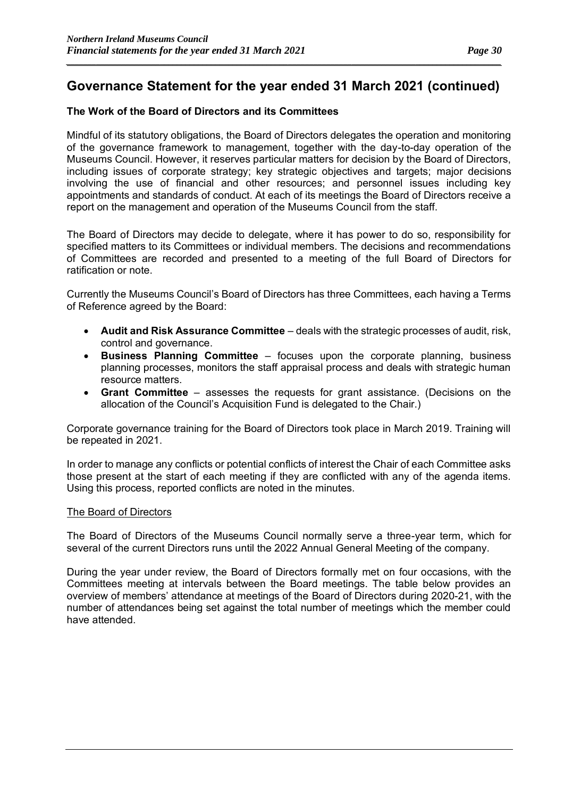*\_\_\_\_\_\_\_\_\_\_\_\_\_\_\_\_\_\_\_\_\_\_\_\_\_\_\_\_\_\_\_\_\_\_\_\_\_\_\_\_\_\_\_\_\_\_\_\_\_\_\_\_\_\_\_\_\_\_\_\_\_\_\_\_\_\_\_\_\_\_\_\_\_\_\_\_\_\_\_\_\_\_\_\_\_\_\_\_\_\_\_\_\_\_\_\_\_\_\_\_\_\_*

### **The Work of the Board of Directors and its Committees**

Mindful of its statutory obligations, the Board of Directors delegates the operation and monitoring of the governance framework to management, together with the day-to-day operation of the Museums Council. However, it reserves particular matters for decision by the Board of Directors, including issues of corporate strategy; key strategic objectives and targets; major decisions involving the use of financial and other resources; and personnel issues including key appointments and standards of conduct. At each of its meetings the Board of Directors receive a report on the management and operation of the Museums Council from the staff.

The Board of Directors may decide to delegate, where it has power to do so, responsibility for specified matters to its Committees or individual members. The decisions and recommendations of Committees are recorded and presented to a meeting of the full Board of Directors for ratification or note.

Currently the Museums Council's Board of Directors has three Committees, each having a Terms of Reference agreed by the Board:

- **Audit and Risk Assurance Committee** deals with the strategic processes of audit, risk, control and governance.
- **Business Planning Committee** focuses upon the corporate planning, business planning processes, monitors the staff appraisal process and deals with strategic human resource matters.
- **Grant Committee** assesses the requests for grant assistance. (Decisions on the allocation of the Council's Acquisition Fund is delegated to the Chair.)

Corporate governance training for the Board of Directors took place in March 2019. Training will be repeated in 2021.

In order to manage any conflicts or potential conflicts of interest the Chair of each Committee asks those present at the start of each meeting if they are conflicted with any of the agenda items. Using this process, reported conflicts are noted in the minutes.

#### The Board of Directors

The Board of Directors of the Museums Council normally serve a three-year term, which for several of the current Directors runs until the 2022 Annual General Meeting of the company.

During the year under review, the Board of Directors formally met on four occasions, with the Committees meeting at intervals between the Board meetings. The table below provides an overview of members' attendance at meetings of the Board of Directors during 2020-21, with the number of attendances being set against the total number of meetings which the member could have attended.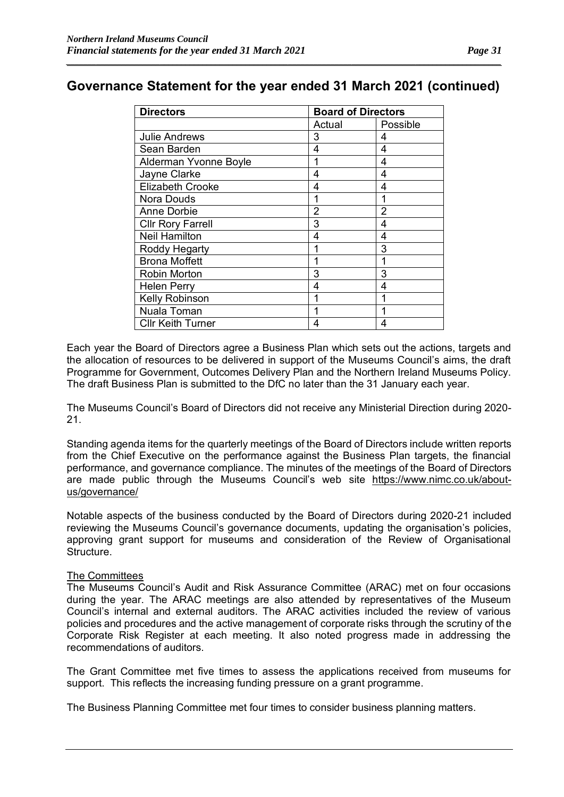*\_\_\_\_\_\_\_\_\_\_\_\_\_\_\_\_\_\_\_\_\_\_\_\_\_\_\_\_\_\_\_\_\_\_\_\_\_\_\_\_\_\_\_\_\_\_\_\_\_\_\_\_\_\_\_\_\_\_\_\_\_\_\_\_\_\_\_\_\_\_\_\_\_\_\_\_\_\_\_\_\_\_\_\_\_\_\_\_\_\_\_\_\_\_\_\_\_\_\_\_\_\_*

| <b>Directors</b>         | <b>Board of Directors</b> |          |  |
|--------------------------|---------------------------|----------|--|
|                          | Actual                    | Possible |  |
| <b>Julie Andrews</b>     | 3                         | 4        |  |
| Sean Barden              | 4                         | 4        |  |
| Alderman Yvonne Boyle    | 1                         | 4        |  |
| Jayne Clarke             | 4                         | 4        |  |
| <b>Elizabeth Crooke</b>  | 4                         | 4        |  |
| Nora Douds               | 1                         | 1        |  |
| <b>Anne Dorbie</b>       | $\overline{2}$            | 2        |  |
| <b>Cllr Rory Farrell</b> | 3                         | 4        |  |
| <b>Neil Hamilton</b>     | 4                         | 4        |  |
| Roddy Hegarty            | 1                         | 3        |  |
| <b>Brona Moffett</b>     |                           | 1        |  |
| Robin Morton             | 3                         | 3        |  |
| <b>Helen Perry</b>       | 4                         | 4        |  |
| Kelly Robinson           | 1                         | 1        |  |
| Nuala Toman              | 1                         | 1        |  |
| <b>Cllr Keith Turner</b> | 4                         | 4        |  |

Each year the Board of Directors agree a Business Plan which sets out the actions, targets and the allocation of resources to be delivered in support of the Museums Council's aims, the draft Programme for Government, Outcomes Delivery Plan and the Northern Ireland Museums Policy. The draft Business Plan is submitted to the DfC no later than the 31 January each year.

The Museums Council's Board of Directors did not receive any Ministerial Direction during 2020- 21.

Standing agenda items for the quarterly meetings of the Board of Directors include written reports from the Chief Executive on the performance against the Business Plan targets, the financial performance, and governance compliance. The minutes of the meetings of the Board of Directors are made public through the Museums Council's web site [https://www.nimc.co.uk/about](https://www.nimc.co.uk/about-us/governance/)[us/governance/](https://www.nimc.co.uk/about-us/governance/)

Notable aspects of the business conducted by the Board of Directors during 2020-21 included reviewing the Museums Council's governance documents, updating the organisation's policies, approving grant support for museums and consideration of the Review of Organisational Structure.

#### The Committees

The Museums Council's Audit and Risk Assurance Committee (ARAC) met on four occasions during the year. The ARAC meetings are also attended by representatives of the Museum Council's internal and external auditors. The ARAC activities included the review of various policies and procedures and the active management of corporate risks through the scrutiny of the Corporate Risk Register at each meeting. It also noted progress made in addressing the recommendations of auditors.

The Grant Committee met five times to assess the applications received from museums for support. This reflects the increasing funding pressure on a grant programme.

The Business Planning Committee met four times to consider business planning matters.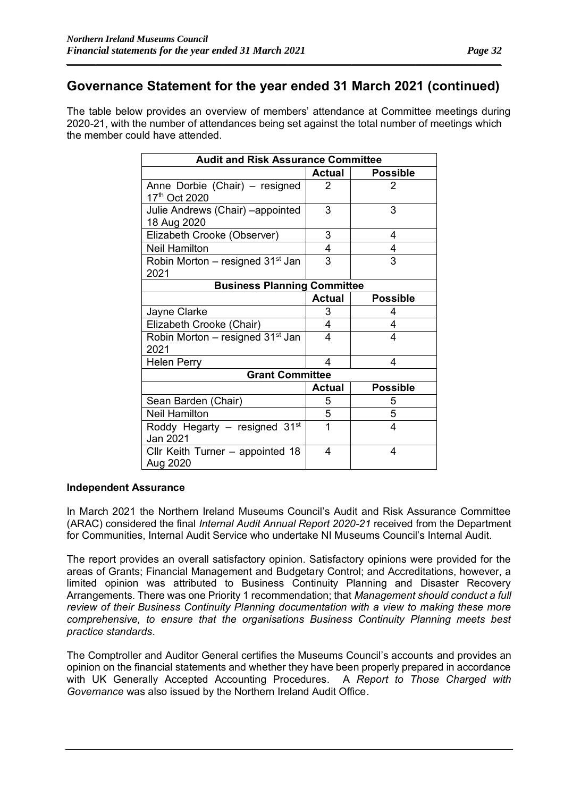*\_\_\_\_\_\_\_\_\_\_\_\_\_\_\_\_\_\_\_\_\_\_\_\_\_\_\_\_\_\_\_\_\_\_\_\_\_\_\_\_\_\_\_\_\_\_\_\_\_\_\_\_\_\_\_\_\_\_\_\_\_\_\_\_\_\_\_\_\_\_\_\_\_\_\_\_\_\_\_\_\_\_\_\_\_\_\_\_\_\_\_\_\_\_\_\_\_\_\_\_\_\_*

The table below provides an overview of members' attendance at Committee meetings during 2020-21, with the number of attendances being set against the total number of meetings which the member could have attended.

| <b>Audit and Risk Assurance Committee</b>                   |               |                 |  |
|-------------------------------------------------------------|---------------|-----------------|--|
|                                                             | <b>Actual</b> | <b>Possible</b> |  |
| Anne Dorbie (Chair) - resigned<br>17 <sup>th</sup> Oct 2020 | $\mathcal{P}$ | 2               |  |
| Julie Andrews (Chair) - appointed<br>18 Aug 2020            | 3             | 3               |  |
| Elizabeth Crooke (Observer)                                 | 3             | 4               |  |
| <b>Neil Hamilton</b>                                        | 4             | 4               |  |
| Robin Morton – resigned 31 <sup>st</sup> Jan<br>2021        | 3             | 3               |  |
| <b>Business Planning Committee</b>                          |               |                 |  |
|                                                             | <b>Actual</b> | <b>Possible</b> |  |
| Jayne Clarke                                                | 3             | 4               |  |
| Elizabeth Crooke (Chair)                                    | 4             | 4               |  |
| Robin Morton - resigned 31 <sup>st</sup> Jan<br>2021        | 4             | 4               |  |
| <b>Helen Perry</b>                                          | 4             | 4               |  |
| <b>Grant Committee</b>                                      |               |                 |  |
|                                                             | <b>Actual</b> | <b>Possible</b> |  |
| Sean Barden (Chair)                                         | 5             | 5               |  |
| <b>Neil Hamilton</b>                                        | 5             | 5               |  |
| Roddy Hegarty – resigned $31st$<br>Jan 2021                 | 1             | 4               |  |
| Cllr Keith Turner - appointed 18<br>Aug 2020                | 4             | 4               |  |

### **Independent Assurance**

In March 2021 the Northern Ireland Museums Council's Audit and Risk Assurance Committee (ARAC) considered the final *Internal Audit Annual Report 2020-21* received from the Department for Communities, Internal Audit Service who undertake NI Museums Council's Internal Audit.

The report provides an overall satisfactory opinion. Satisfactory opinions were provided for the areas of Grants; Financial Management and Budgetary Control; and Accreditations, however, a limited opinion was attributed to Business Continuity Planning and Disaster Recovery Arrangements. There was one Priority 1 recommendation; that *Management should conduct a full review of their Business Continuity Planning documentation with a view to making these more comprehensive, to ensure that the organisations Business Continuity Planning meets best practice standards*.

The Comptroller and Auditor General certifies the Museums Council's accounts and provides an opinion on the financial statements and whether they have been properly prepared in accordance with UK Generally Accepted Accounting Procedures. A *Report to Those Charged with Governance* was also issued by the Northern Ireland Audit Office.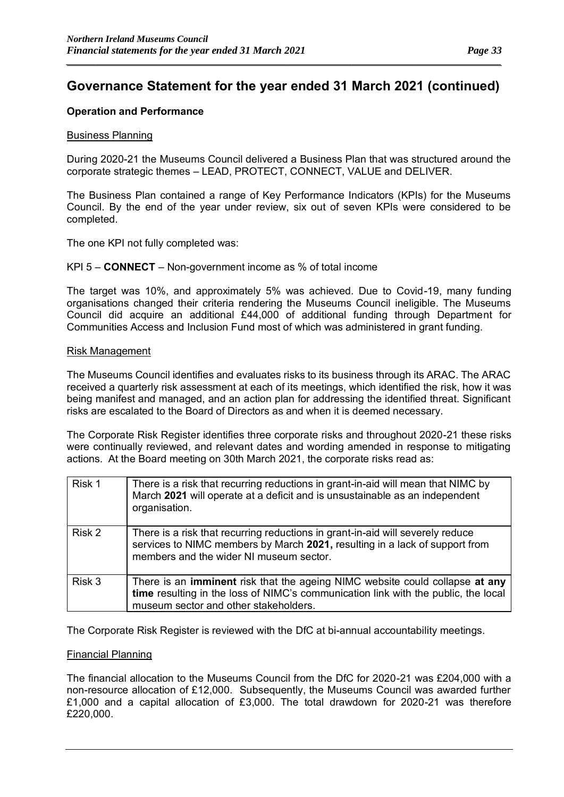*\_\_\_\_\_\_\_\_\_\_\_\_\_\_\_\_\_\_\_\_\_\_\_\_\_\_\_\_\_\_\_\_\_\_\_\_\_\_\_\_\_\_\_\_\_\_\_\_\_\_\_\_\_\_\_\_\_\_\_\_\_\_\_\_\_\_\_\_\_\_\_\_\_\_\_\_\_\_\_\_\_\_\_\_\_\_\_\_\_\_\_\_\_\_\_\_\_\_\_\_\_\_*

#### **Operation and Performance**

#### Business Planning

During 2020-21 the Museums Council delivered a Business Plan that was structured around the corporate strategic themes – LEAD, PROTECT, CONNECT, VALUE and DELIVER.

The Business Plan contained a range of Key Performance Indicators (KPIs) for the Museums Council. By the end of the year under review, six out of seven KPIs were considered to be completed.

The one KPI not fully completed was:

#### KPI 5 – **CONNECT** – Non-government income as % of total income

The target was 10%, and approximately 5% was achieved. Due to Covid-19, many funding organisations changed their criteria rendering the Museums Council ineligible. The Museums Council did acquire an additional £44,000 of additional funding through Department for Communities Access and Inclusion Fund most of which was administered in grant funding.

#### Risk Management

The Museums Council identifies and evaluates risks to its business through its ARAC. The ARAC received a quarterly risk assessment at each of its meetings, which identified the risk, how it was being manifest and managed, and an action plan for addressing the identified threat. Significant risks are escalated to the Board of Directors as and when it is deemed necessary.

The Corporate Risk Register identifies three corporate risks and throughout 2020-21 these risks were continually reviewed, and relevant dates and wording amended in response to mitigating actions. At the Board meeting on 30th March 2021, the corporate risks read as:

| Risk 1 | There is a risk that recurring reductions in grant-in-aid will mean that NIMC by<br>March 2021 will operate at a deficit and is unsustainable as an independent<br>organisation.                                   |
|--------|--------------------------------------------------------------------------------------------------------------------------------------------------------------------------------------------------------------------|
| Risk 2 | There is a risk that recurring reductions in grant-in-aid will severely reduce<br>services to NIMC members by March 2021, resulting in a lack of support from<br>members and the wider NI museum sector.           |
| Risk 3 | There is an <b>imminent</b> risk that the ageing NIMC website could collapse at any<br>time resulting in the loss of NIMC's communication link with the public, the local<br>museum sector and other stakeholders. |

The Corporate Risk Register is reviewed with the DfC at bi-annual accountability meetings.

#### Financial Planning

The financial allocation to the Museums Council from the DfC for 2020-21 was £204,000 with a non-resource allocation of £12,000. Subsequently, the Museums Council was awarded further £1,000 and a capital allocation of £3,000. The total drawdown for 2020-21 was therefore £220,000.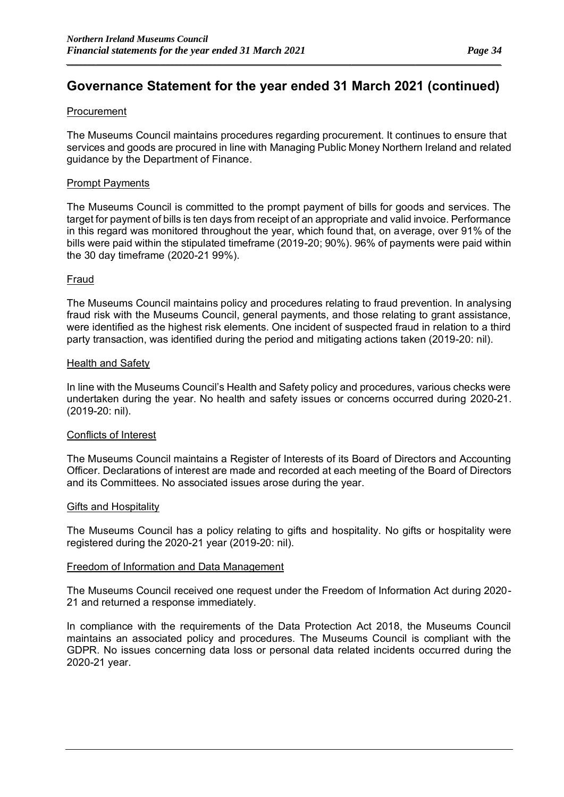*\_\_\_\_\_\_\_\_\_\_\_\_\_\_\_\_\_\_\_\_\_\_\_\_\_\_\_\_\_\_\_\_\_\_\_\_\_\_\_\_\_\_\_\_\_\_\_\_\_\_\_\_\_\_\_\_\_\_\_\_\_\_\_\_\_\_\_\_\_\_\_\_\_\_\_\_\_\_\_\_\_\_\_\_\_\_\_\_\_\_\_\_\_\_\_\_\_\_\_\_\_\_*

### Procurement

The Museums Council maintains procedures regarding procurement. It continues to ensure that services and goods are procured in line with Managing Public Money Northern Ireland and related guidance by the Department of Finance.

### Prompt Payments

The Museums Council is committed to the prompt payment of bills for goods and services. The target for payment of bills is ten days from receipt of an appropriate and valid invoice. Performance in this regard was monitored throughout the year, which found that, on average, over 91% of the bills were paid within the stipulated timeframe (2019-20; 90%). 96% of payments were paid within the 30 day timeframe (2020-21 99%).

#### Fraud

The Museums Council maintains policy and procedures relating to fraud prevention. In analysing fraud risk with the Museums Council, general payments, and those relating to grant assistance, were identified as the highest risk elements. One incident of suspected fraud in relation to a third party transaction, was identified during the period and mitigating actions taken (2019-20: nil).

#### Health and Safety

In line with the Museums Council's Health and Safety policy and procedures, various checks were undertaken during the year. No health and safety issues or concerns occurred during 2020-21. (2019-20: nil).

#### Conflicts of Interest

The Museums Council maintains a Register of Interests of its Board of Directors and Accounting Officer. Declarations of interest are made and recorded at each meeting of the Board of Directors and its Committees. No associated issues arose during the year.

#### Gifts and Hospitality

The Museums Council has a policy relating to gifts and hospitality. No gifts or hospitality were registered during the 2020-21 year (2019-20: nil).

#### Freedom of Information and Data Management

The Museums Council received one request under the Freedom of Information Act during 2020- 21 and returned a response immediately.

In compliance with the requirements of the Data Protection Act 2018, the Museums Council maintains an associated policy and procedures. The Museums Council is compliant with the GDPR. No issues concerning data loss or personal data related incidents occurred during the 2020-21 year.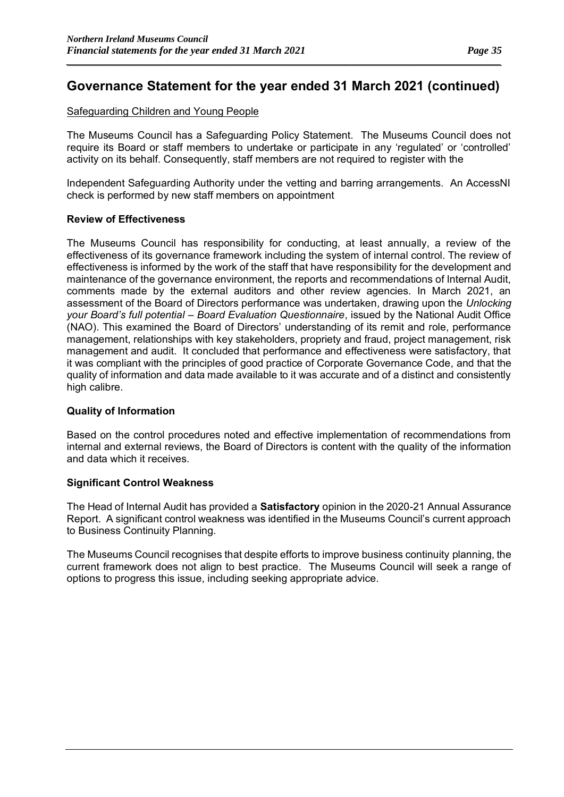### Safeguarding Children and Young People

The Museums Council has a Safeguarding Policy Statement. The Museums Council does not require its Board or staff members to undertake or participate in any 'regulated' or 'controlled' activity on its behalf. Consequently, staff members are not required to register with the

Independent Safeguarding Authority under the vetting and barring arrangements. An AccessNI check is performed by new staff members on appointment

#### **Review of Effectiveness**

The Museums Council has responsibility for conducting, at least annually, a review of the effectiveness of its governance framework including the system of internal control. The review of effectiveness is informed by the work of the staff that have responsibility for the development and maintenance of the governance environment, the reports and recommendations of Internal Audit, comments made by the external auditors and other review agencies. In March 2021, an assessment of the Board of Directors performance was undertaken, drawing upon the *Unlocking your Board's full potential – Board Evaluation Questionnaire*, issued by the National Audit Office (NAO). This examined the Board of Directors' understanding of its remit and role, performance management, relationships with key stakeholders, propriety and fraud, project management, risk management and audit. It concluded that performance and effectiveness were satisfactory, that it was compliant with the principles of good practice of Corporate Governance Code, and that the quality of information and data made available to it was accurate and of a distinct and consistently high calibre.

#### **Quality of Information**

Based on the control procedures noted and effective implementation of recommendations from internal and external reviews, the Board of Directors is content with the quality of the information and data which it receives.

### **Significant Control Weakness**

The Head of Internal Audit has provided a **Satisfactory** opinion in the 2020-21 Annual Assurance Report. A significant control weakness was identified in the Museums Council's current approach to Business Continuity Planning.

The Museums Council recognises that despite efforts to improve business continuity planning, the current framework does not align to best practice. The Museums Council will seek a range of options to progress this issue, including seeking appropriate advice.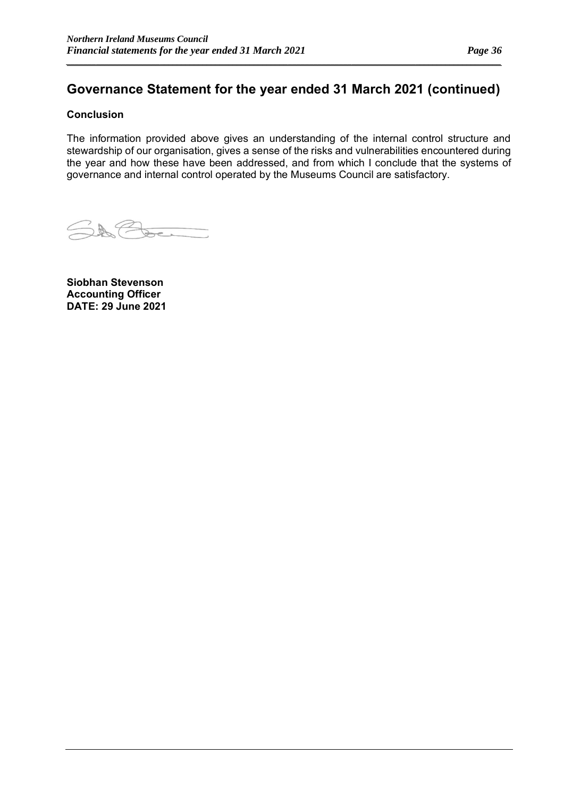*\_\_\_\_\_\_\_\_\_\_\_\_\_\_\_\_\_\_\_\_\_\_\_\_\_\_\_\_\_\_\_\_\_\_\_\_\_\_\_\_\_\_\_\_\_\_\_\_\_\_\_\_\_\_\_\_\_\_\_\_\_\_\_\_\_\_\_\_\_\_\_\_\_\_\_\_\_\_\_\_\_\_\_\_\_\_\_\_\_\_\_\_\_\_\_\_\_\_\_\_\_\_*

### **Conclusion**

The information provided above gives an understanding of the internal control structure and stewardship of our organisation, gives a sense of the risks and vulnerabilities encountered during the year and how these have been addressed, and from which I conclude that the systems of governance and internal control operated by the Museums Council are satisfactory.

SACte

**Siobhan Stevenson Accounting Officer DATE: 29 June 2021**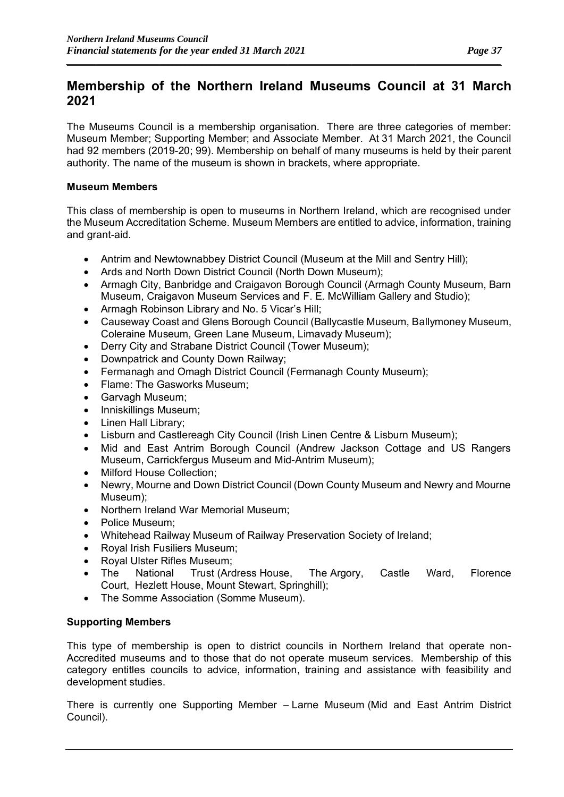### **Membership of the Northern Ireland Museums Council at 31 March 2021**

*\_\_\_\_\_\_\_\_\_\_\_\_\_\_\_\_\_\_\_\_\_\_\_\_\_\_\_\_\_\_\_\_\_\_\_\_\_\_\_\_\_\_\_\_\_\_\_\_\_\_\_\_\_\_\_\_\_\_\_\_\_\_\_\_\_\_\_\_\_\_\_\_\_\_\_\_\_\_\_\_\_\_\_\_\_\_\_\_\_\_\_\_\_\_\_\_\_\_\_\_\_\_*

The Museums Council is a membership organisation. There are three categories of member: Museum Member; Supporting Member; and Associate Member. At 31 March 2021, the Council had 92 members (2019-20; 99). Membership on behalf of many museums is held by their parent authority. The name of the museum is shown in brackets, where appropriate.

### **Museum Members**

This class of membership is open to museums in Northern Ireland, which are recognised under the Museum Accreditation Scheme. Museum Members are entitled to advice, information, training and grant-aid.

- Antrim and Newtownabbey District Council (Museum at the Mill and Sentry Hill);
- Ards and North Down District Council (North Down Museum);
- Armagh City, Banbridge and Craigavon Borough Council (Armagh County Museum, Barn Museum, Craigavon Museum Services and F. E. McWilliam Gallery and Studio);
- Armagh Robinson Library and No. 5 Vicar's Hill;
- Causeway Coast and Glens Borough Council (Ballycastle Museum, Ballymoney Museum, Coleraine Museum, Green Lane Museum, Limavady Museum);
- Derry City and Strabane District Council (Tower Museum);
- Downpatrick and County Down Railway;
- Fermanagh and Omagh District Council (Fermanagh County Museum);
- Flame: The Gasworks Museum;
- Garvagh Museum;
- Inniskillings Museum;
- Linen Hall Library;
- Lisburn and Castlereagh City Council (Irish Linen Centre & Lisburn Museum);
- Mid and East Antrim Borough Council (Andrew Jackson Cottage and US Rangers Museum, Carrickfergus Museum and Mid-Antrim Museum);
- Milford House Collection;
- Newry, Mourne and Down District Council (Down County Museum and Newry and Mourne Museum);
- Northern Ireland War Memorial Museum;
- Police Museum;
- Whitehead Railway Museum of Railway Preservation Society of Ireland;
- Royal Irish Fusiliers Museum;
- Royal Ulster Rifles Museum;
- The National Trust (Ardress House, The Argory, Castle Ward, Florence Court, Hezlett House, Mount Stewart, Springhill);
- The Somme Association (Somme Museum).

### **Supporting Members**

This type of membership is open to district councils in Northern Ireland that operate non-Accredited museums and to those that do not operate museum services. Membership of this category entitles councils to advice, information, training and assistance with feasibility and development studies.

There is currently one Supporting Member – Larne Museum (Mid and East Antrim District Council).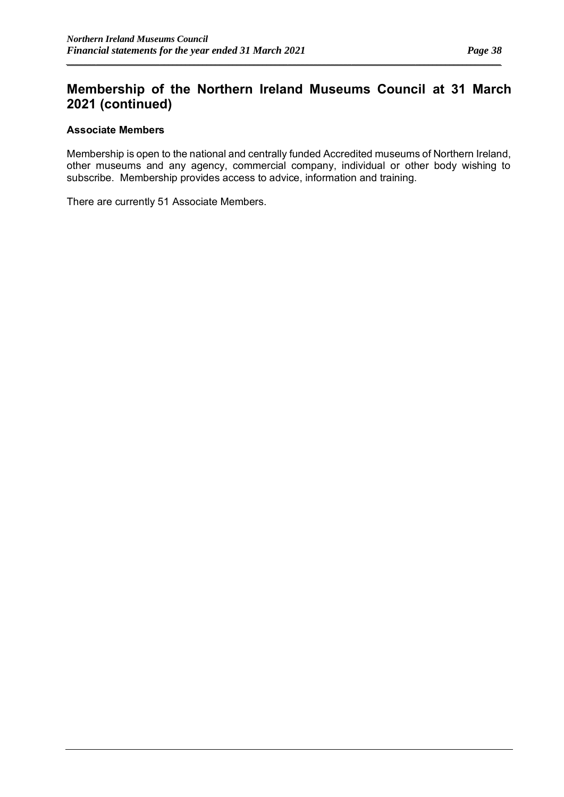### **Membership of the Northern Ireland Museums Council at 31 March 2021 (continued)**

*\_\_\_\_\_\_\_\_\_\_\_\_\_\_\_\_\_\_\_\_\_\_\_\_\_\_\_\_\_\_\_\_\_\_\_\_\_\_\_\_\_\_\_\_\_\_\_\_\_\_\_\_\_\_\_\_\_\_\_\_\_\_\_\_\_\_\_\_\_\_\_\_\_\_\_\_\_\_\_\_\_\_\_\_\_\_\_\_\_\_\_\_\_\_\_\_\_\_\_\_\_\_*

### **Associate Members**

Membership is open to the national and centrally funded Accredited museums of Northern Ireland, other museums and any agency, commercial company, individual or other body wishing to subscribe. Membership provides access to advice, information and training.

There are currently 51 Associate Members.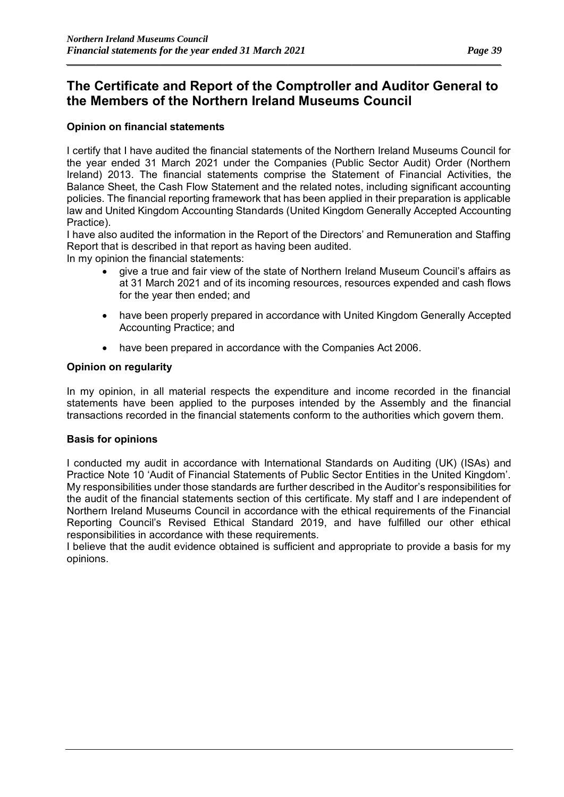*\_\_\_\_\_\_\_\_\_\_\_\_\_\_\_\_\_\_\_\_\_\_\_\_\_\_\_\_\_\_\_\_\_\_\_\_\_\_\_\_\_\_\_\_\_\_\_\_\_\_\_\_\_\_\_\_\_\_\_\_\_\_\_\_\_\_\_\_\_\_\_\_\_\_\_\_\_\_\_\_\_\_\_\_\_\_\_\_\_\_\_\_\_\_\_\_\_\_\_\_\_\_*

### **Opinion on financial statements**

I certify that I have audited the financial statements of the Northern Ireland Museums Council for the year ended 31 March 2021 under the Companies (Public Sector Audit) Order (Northern Ireland) 2013. The financial statements comprise the Statement of Financial Activities, the Balance Sheet, the Cash Flow Statement and the related notes, including significant accounting policies. The financial reporting framework that has been applied in their preparation is applicable law and United Kingdom Accounting Standards (United Kingdom Generally Accepted Accounting Practice).

I have also audited the information in the Report of the Directors' and Remuneration and Staffing Report that is described in that report as having been audited.

In my opinion the financial statements:

- give a true and fair view of the state of Northern Ireland Museum Council's affairs as at 31 March 2021 and of its incoming resources, resources expended and cash flows for the year then ended; and
- have been properly prepared in accordance with United Kingdom Generally Accepted Accounting Practice; and
- have been prepared in accordance with the Companies Act 2006.

#### **Opinion on regularity**

In my opinion, in all material respects the expenditure and income recorded in the financial statements have been applied to the purposes intended by the Assembly and the financial transactions recorded in the financial statements conform to the authorities which govern them.

#### **Basis for opinions**

I conducted my audit in accordance with International Standards on Auditing (UK) (ISAs) and Practice Note 10 'Audit of Financial Statements of Public Sector Entities in the United Kingdom'. My responsibilities under those standards are further described in the Auditor's responsibilities for the audit of the financial statements section of this certificate. My staff and I are independent of Northern Ireland Museums Council in accordance with the ethical requirements of the Financial Reporting Council's Revised Ethical Standard 2019, and have fulfilled our other ethical responsibilities in accordance with these requirements.

I believe that the audit evidence obtained is sufficient and appropriate to provide a basis for my opinions.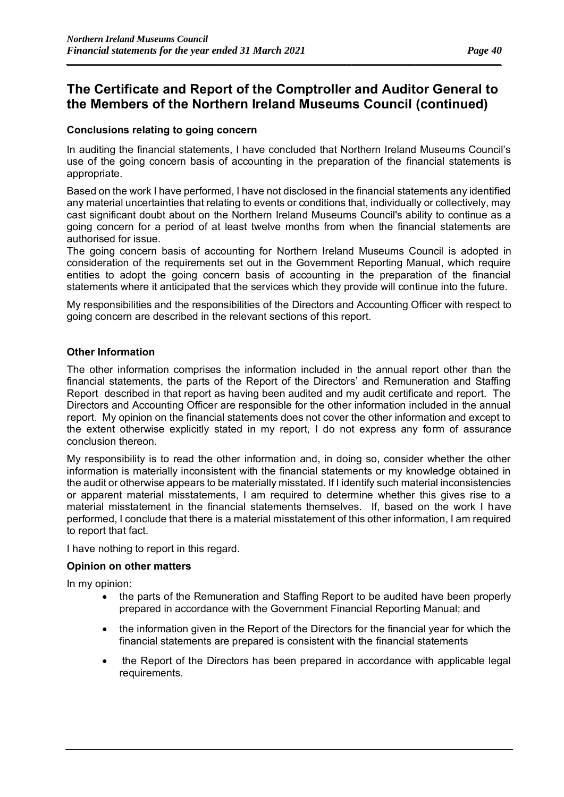*\_\_\_\_\_\_\_\_\_\_\_\_\_\_\_\_\_\_\_\_\_\_\_\_\_\_\_\_\_\_\_\_\_\_\_\_\_\_\_\_\_\_\_\_\_\_\_\_\_\_\_\_\_\_\_\_\_\_\_\_\_\_\_\_\_\_\_\_\_\_\_\_\_\_\_\_\_\_\_\_\_\_\_\_\_\_\_\_\_\_\_\_\_\_\_\_\_\_\_\_\_\_*

### **Conclusions relating to going concern**

In auditing the financial statements, I have concluded that Northern Ireland Museums Council's use of the going concern basis of accounting in the preparation of the financial statements is appropriate.

Based on the work I have performed, I have not disclosed in the financial statements any identified any material uncertainties that relating to events or conditions that, individually or collectively, may cast significant doubt about on the Northern Ireland Museums Council's ability to continue as a going concern for a period of at least twelve months from when the financial statements are authorised for issue.

The going concern basis of accounting for Northern Ireland Museums Council is adopted in consideration of the requirements set out in the Government Reporting Manual, which require entities to adopt the going concern basis of accounting in the preparation of the financial statements where it anticipated that the services which they provide will continue into the future.

My responsibilities and the responsibilities of the Directors and Accounting Officer with respect to going concern are described in the relevant sections of this report.

### **Other Information**

The other information comprises the information included in the annual report other than the financial statements, the parts of the Report of the Directors' and Remuneration and Staffing Report described in that report as having been audited and my audit certificate and report. The Directors and Accounting Officer are responsible for the other information included in the annual report. My opinion on the financial statements does not cover the other information and except to the extent otherwise explicitly stated in my report, I do not express any form of assurance conclusion thereon.

My responsibility is to read the other information and, in doing so, consider whether the other information is materially inconsistent with the financial statements or my knowledge obtained in the audit or otherwise appears to be materially misstated. If I identify such material inconsistencies or apparent material misstatements, I am required to determine whether this gives rise to a material misstatement in the financial statements themselves. If, based on the work I have performed, I conclude that there is a material misstatement of this other information, I am required to report that fact.

I have nothing to report in this regard.

### **Opinion on other matters**

In my opinion:

- the parts of the Remuneration and Staffing Report to be audited have been properly prepared in accordance with the Government Financial Reporting Manual; and
- the information given in the Report of the Directors for the financial year for which the financial statements are prepared is consistent with the financial statements
- the Report of the Directors has been prepared in accordance with applicable legal requirements.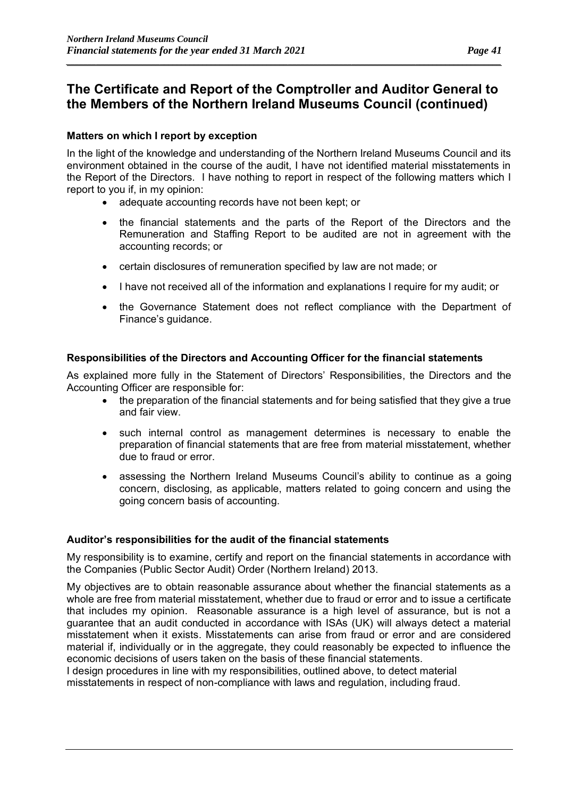*\_\_\_\_\_\_\_\_\_\_\_\_\_\_\_\_\_\_\_\_\_\_\_\_\_\_\_\_\_\_\_\_\_\_\_\_\_\_\_\_\_\_\_\_\_\_\_\_\_\_\_\_\_\_\_\_\_\_\_\_\_\_\_\_\_\_\_\_\_\_\_\_\_\_\_\_\_\_\_\_\_\_\_\_\_\_\_\_\_\_\_\_\_\_\_\_\_\_\_\_\_\_*

### **Matters on which I report by exception**

In the light of the knowledge and understanding of the Northern Ireland Museums Council and its environment obtained in the course of the audit, I have not identified material misstatements in the Report of the Directors. I have nothing to report in respect of the following matters which I report to you if, in my opinion:

- adequate accounting records have not been kept; or
- the financial statements and the parts of the Report of the Directors and the Remuneration and Staffing Report to be audited are not in agreement with the accounting records; or
- certain disclosures of remuneration specified by law are not made; or
- I have not received all of the information and explanations I require for my audit; or
- the Governance Statement does not reflect compliance with the Department of Finance's guidance.

### **Responsibilities of the Directors and Accounting Officer for the financial statements**

As explained more fully in the Statement of Directors' Responsibilities, the Directors and the Accounting Officer are responsible for:

- the preparation of the financial statements and for being satisfied that they give a true and fair view.
- such internal control as management determines is necessary to enable the preparation of financial statements that are free from material misstatement, whether due to fraud or error.
- assessing the Northern Ireland Museums Council's ability to continue as a going concern, disclosing, as applicable, matters related to going concern and using the going concern basis of accounting.

### **Auditor's responsibilities for the audit of the financial statements**

My responsibility is to examine, certify and report on the financial statements in accordance with the Companies (Public Sector Audit) Order (Northern Ireland) 2013.

My objectives are to obtain reasonable assurance about whether the financial statements as a whole are free from material misstatement, whether due to fraud or error and to issue a certificate that includes my opinion. Reasonable assurance is a high level of assurance, but is not a guarantee that an audit conducted in accordance with ISAs (UK) will always detect a material misstatement when it exists. Misstatements can arise from fraud or error and are considered material if, individually or in the aggregate, they could reasonably be expected to influence the economic decisions of users taken on the basis of these financial statements.

I design procedures in line with my responsibilities, outlined above, to detect material misstatements in respect of non-compliance with laws and regulation, including fraud.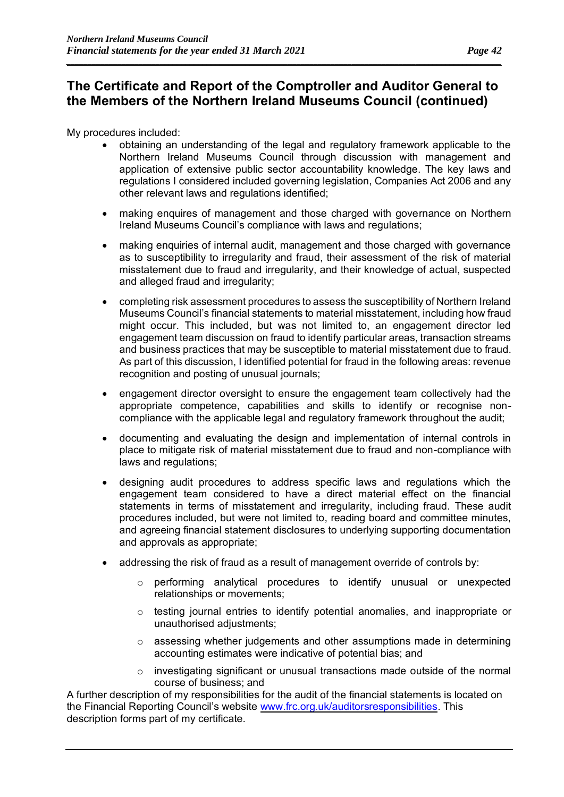*\_\_\_\_\_\_\_\_\_\_\_\_\_\_\_\_\_\_\_\_\_\_\_\_\_\_\_\_\_\_\_\_\_\_\_\_\_\_\_\_\_\_\_\_\_\_\_\_\_\_\_\_\_\_\_\_\_\_\_\_\_\_\_\_\_\_\_\_\_\_\_\_\_\_\_\_\_\_\_\_\_\_\_\_\_\_\_\_\_\_\_\_\_\_\_\_\_\_\_\_\_\_*

My procedures included:

- obtaining an understanding of the legal and regulatory framework applicable to the Northern Ireland Museums Council through discussion with management and application of extensive public sector accountability knowledge. The key laws and regulations I considered included governing legislation, Companies Act 2006 and any other relevant laws and regulations identified;
- making enquires of management and those charged with governance on Northern Ireland Museums Council's compliance with laws and regulations;
- making enquiries of internal audit, management and those charged with governance as to susceptibility to irregularity and fraud, their assessment of the risk of material misstatement due to fraud and irregularity, and their knowledge of actual, suspected and alleged fraud and irregularity;
- completing risk assessment procedures to assess the susceptibility of Northern Ireland Museums Council's financial statements to material misstatement, including how fraud might occur. This included, but was not limited to, an engagement director led engagement team discussion on fraud to identify particular areas, transaction streams and business practices that may be susceptible to material misstatement due to fraud. As part of this discussion, I identified potential for fraud in the following areas: revenue recognition and posting of unusual journals;
- engagement director oversight to ensure the engagement team collectively had the appropriate competence, capabilities and skills to identify or recognise noncompliance with the applicable legal and regulatory framework throughout the audit;
- documenting and evaluating the design and implementation of internal controls in place to mitigate risk of material misstatement due to fraud and non-compliance with laws and regulations;
- designing audit procedures to address specific laws and regulations which the engagement team considered to have a direct material effect on the financial statements in terms of misstatement and irregularity, including fraud. These audit procedures included, but were not limited to, reading board and committee minutes, and agreeing financial statement disclosures to underlying supporting documentation and approvals as appropriate;
- addressing the risk of fraud as a result of management override of controls by:
	- $\circ$  performing analytical procedures to identify unusual or unexpected relationships or movements;
	- o testing journal entries to identify potential anomalies, and inappropriate or unauthorised adjustments;
	- $\circ$  assessing whether judgements and other assumptions made in determining accounting estimates were indicative of potential bias; and
	- o investigating significant or unusual transactions made outside of the normal course of business; and

A further description of my responsibilities for the audit of the financial statements is located on the Financial Reporting Council's website [www.frc.org.uk/auditorsresponsibilities.](http://www.frc.org.uk/auditorsresponsibilities) This description forms part of my certificate.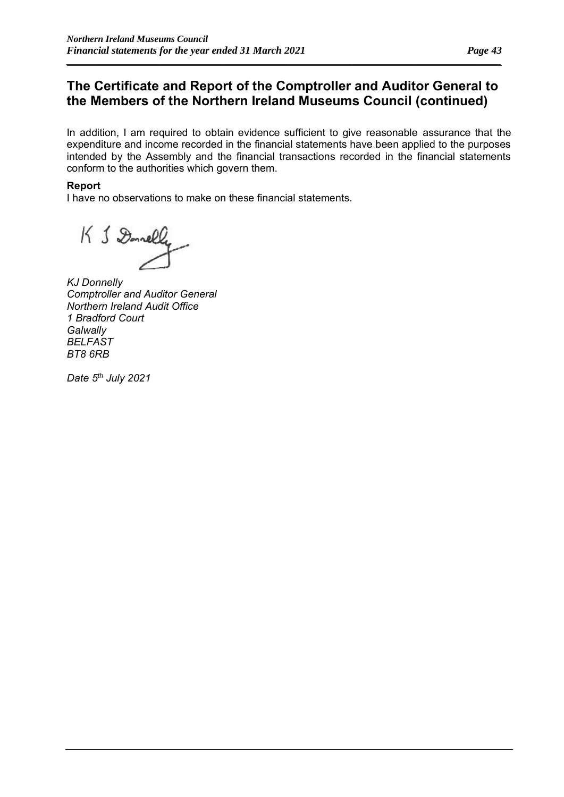*\_\_\_\_\_\_\_\_\_\_\_\_\_\_\_\_\_\_\_\_\_\_\_\_\_\_\_\_\_\_\_\_\_\_\_\_\_\_\_\_\_\_\_\_\_\_\_\_\_\_\_\_\_\_\_\_\_\_\_\_\_\_\_\_\_\_\_\_\_\_\_\_\_\_\_\_\_\_\_\_\_\_\_\_\_\_\_\_\_\_\_\_\_\_\_\_\_\_\_\_\_\_*

In addition, I am required to obtain evidence sufficient to give reasonable assurance that the expenditure and income recorded in the financial statements have been applied to the purposes intended by the Assembly and the financial transactions recorded in the financial statements conform to the authorities which govern them.

### **Report**

I have no observations to make on these financial statements.

K & Donelly

*KJ Donnelly Comptroller and Auditor General Northern Ireland Audit Office 1 Bradford Court Galwally BELFAST BT8 6RB*

*Date 5th July 2021*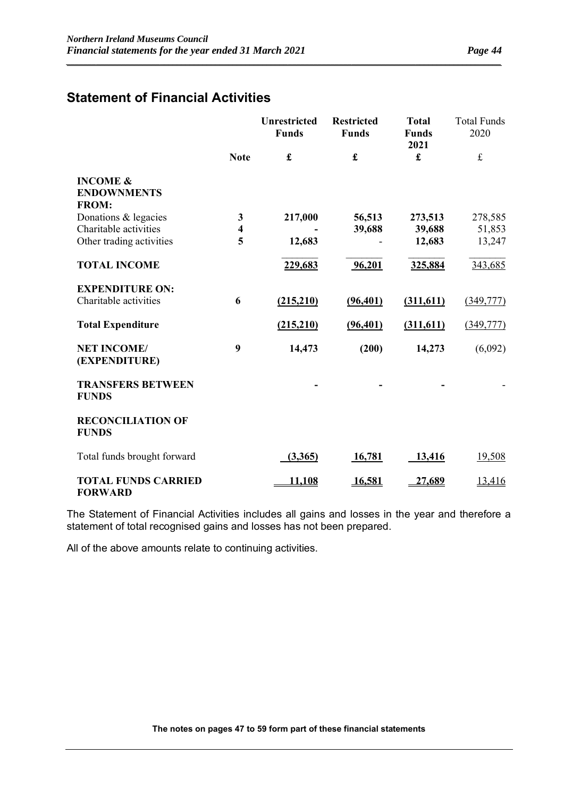### **Statement of Financial Activities**

|                                                           |                         | <b>Unrestricted</b><br><b>Funds</b> | <b>Restricted</b><br><b>Funds</b> | <b>Total</b><br><b>Funds</b><br>2021 | <b>Total Funds</b><br>2020 |
|-----------------------------------------------------------|-------------------------|-------------------------------------|-----------------------------------|--------------------------------------|----------------------------|
|                                                           | <b>Note</b>             | $\pmb{\mathfrak{L}}$                | £                                 | £                                    | $\mathbf f$                |
| <b>INCOME &amp;</b><br><b>ENDOWNMENTS</b><br><b>FROM:</b> |                         |                                     |                                   |                                      |                            |
| Donations & legacies                                      | 3                       | 217,000                             | 56,513                            | 273,513                              | 278,585                    |
| Charitable activities                                     | $\overline{\mathbf{4}}$ |                                     | 39,688                            | 39,688                               | 51,853                     |
| Other trading activities                                  | 5                       | 12,683                              |                                   | 12,683                               | 13,247                     |
| <b>TOTAL INCOME</b>                                       |                         | 229,683                             | 96,201                            | 325,884                              | 343,685                    |
| <b>EXPENDITURE ON:</b>                                    |                         |                                     |                                   |                                      |                            |
| Charitable activities                                     | 6                       | (215,210)                           | (96, 401)                         | (311, 611)                           | (349,777)                  |
| <b>Total Expenditure</b>                                  |                         | (215,210)                           | (96, 401)                         | (311,611)                            | (349,777)                  |
| <b>NET INCOME/</b><br>(EXPENDITURE)                       | 9                       | 14,473                              | (200)                             | 14,273                               | (6,092)                    |
| <b>TRANSFERS BETWEEN</b><br><b>FUNDS</b>                  |                         |                                     |                                   |                                      |                            |
| <b>RECONCILIATION OF</b><br><b>FUNDS</b>                  |                         |                                     |                                   |                                      |                            |
| Total funds brought forward                               |                         | (3,365)                             | 16,781                            | 13,416                               | 19,508                     |
| <b>TOTAL FUNDS CARRIED</b><br><b>FORWARD</b>              |                         | 11,108                              | <u>16,581</u>                     | <u>27,689</u>                        | 13,416                     |

*\_\_\_\_\_\_\_\_\_\_\_\_\_\_\_\_\_\_\_\_\_\_\_\_\_\_\_\_\_\_\_\_\_\_\_\_\_\_\_\_\_\_\_\_\_\_\_\_\_\_\_\_\_\_\_\_\_\_\_\_\_\_\_\_\_\_\_\_\_\_\_\_\_\_\_\_\_\_\_\_\_\_\_\_\_\_\_\_\_\_\_\_\_\_\_\_\_\_\_\_\_\_*

The Statement of Financial Activities includes all gains and losses in the year and therefore a statement of total recognised gains and losses has not been prepared.

All of the above amounts relate to continuing activities.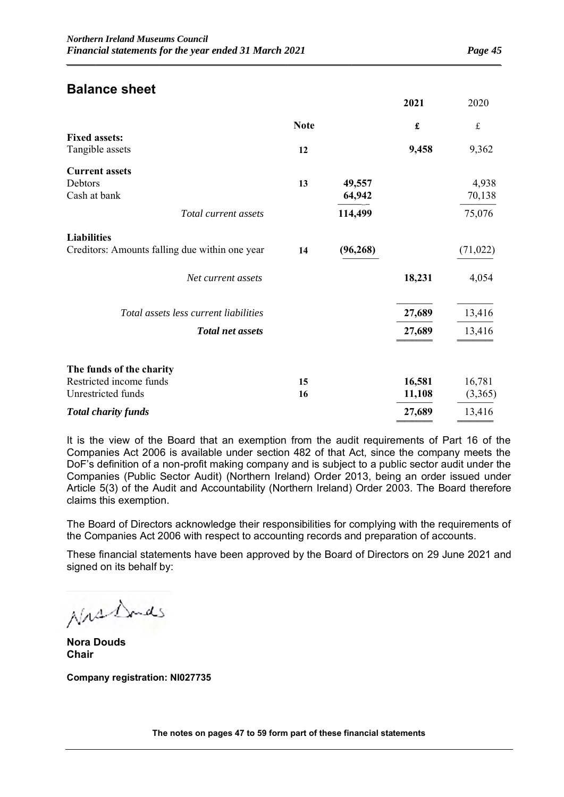### **Balance sheet**

|                                                |             |           | 2021                 | 2020        |
|------------------------------------------------|-------------|-----------|----------------------|-------------|
|                                                | <b>Note</b> |           | $\pmb{\mathfrak{L}}$ | $\mathbf f$ |
| <b>Fixed assets:</b>                           |             |           |                      |             |
| Tangible assets                                | 12          |           | 9,458                | 9,362       |
| <b>Current assets</b>                          |             |           |                      |             |
| Debtors                                        | 13          | 49,557    |                      | 4,938       |
| Cash at bank                                   |             | 64,942    |                      | 70,138      |
| Total current assets                           |             | 114,499   |                      | 75,076      |
| <b>Liabilities</b>                             |             |           |                      |             |
| Creditors: Amounts falling due within one year | 14          | (96, 268) |                      | (71, 022)   |
| Net current assets                             |             |           | 18,231               | 4,054       |
| Total assets less current liabilities          |             |           | 27,689               | 13,416      |
| <b>Total net assets</b>                        |             |           | 27,689               | 13,416      |
|                                                |             |           |                      |             |
| The funds of the charity                       |             |           |                      |             |
| Restricted income funds                        | 15          |           | 16,581               | 16,781      |
| Unrestricted funds                             | 16          |           | 11,108               | (3,365)     |
| <b>Total charity funds</b>                     |             |           | 27,689               | 13,416      |
|                                                |             |           |                      |             |

*\_\_\_\_\_\_\_\_\_\_\_\_\_\_\_\_\_\_\_\_\_\_\_\_\_\_\_\_\_\_\_\_\_\_\_\_\_\_\_\_\_\_\_\_\_\_\_\_\_\_\_\_\_\_\_\_\_\_\_\_\_\_\_\_\_\_\_\_\_\_\_\_\_\_\_\_\_\_\_\_\_\_\_\_\_\_\_\_\_\_\_\_\_\_\_\_\_\_\_\_\_\_*

It is the view of the Board that an exemption from the audit requirements of Part 16 of the Companies Act 2006 is available under section 482 of that Act, since the company meets the DoF's definition of a non-profit making company and is subject to a public sector audit under the Companies (Public Sector Audit) (Northern Ireland) Order 2013, being an order issued under Article 5(3) of the Audit and Accountability (Northern Ireland) Order 2003. The Board therefore claims this exemption.

The Board of Directors acknowledge their responsibilities for complying with the requirements of the Companies Act 2006 with respect to accounting records and preparation of accounts.

These financial statements have been approved by the Board of Directors on 29 June 2021 and signed on its behalf by:

Nrs Donds

**Nora Douds Chair**

**Company registration: NI027735**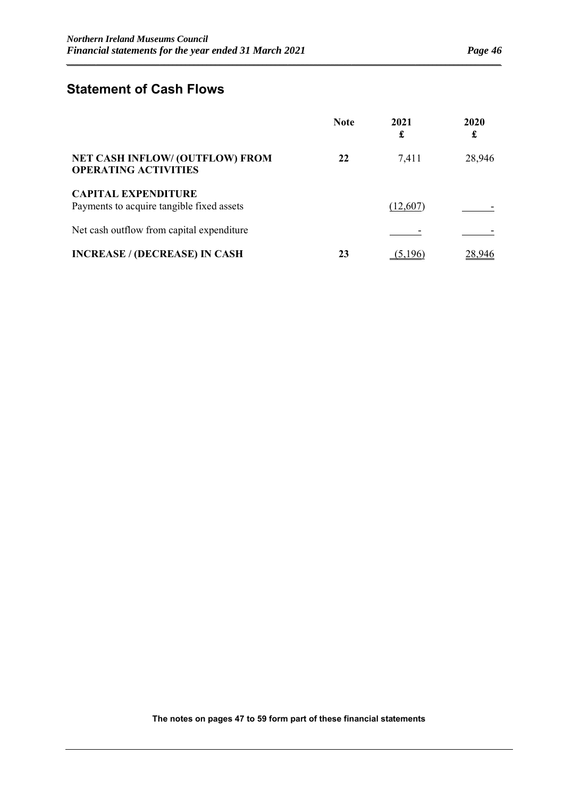### **Statement of Cash Flows**

|                                                                         | <b>Note</b> | 2021<br>£ | 2020<br>£ |
|-------------------------------------------------------------------------|-------------|-----------|-----------|
| <b>NET CASH INFLOW/ (OUTFLOW) FROM</b><br><b>OPERATING ACTIVITIES</b>   | 22          | 7,411     | 28,946    |
| <b>CAPITAL EXPENDITURE</b><br>Payments to acquire tangible fixed assets |             | (12,607)  |           |
| Net cash outflow from capital expenditure                               |             |           |           |
| <b>INCREASE / (DECREASE) IN CASH</b>                                    | 23          | (5,196)   | 28,946    |

*\_\_\_\_\_\_\_\_\_\_\_\_\_\_\_\_\_\_\_\_\_\_\_\_\_\_\_\_\_\_\_\_\_\_\_\_\_\_\_\_\_\_\_\_\_\_\_\_\_\_\_\_\_\_\_\_\_\_\_\_\_\_\_\_\_\_\_\_\_\_\_\_\_\_\_\_\_\_\_\_\_\_\_\_\_\_\_\_\_\_\_\_\_\_\_\_\_\_\_\_\_\_*

**The notes on pages 47 to 59 form part of these financial statements**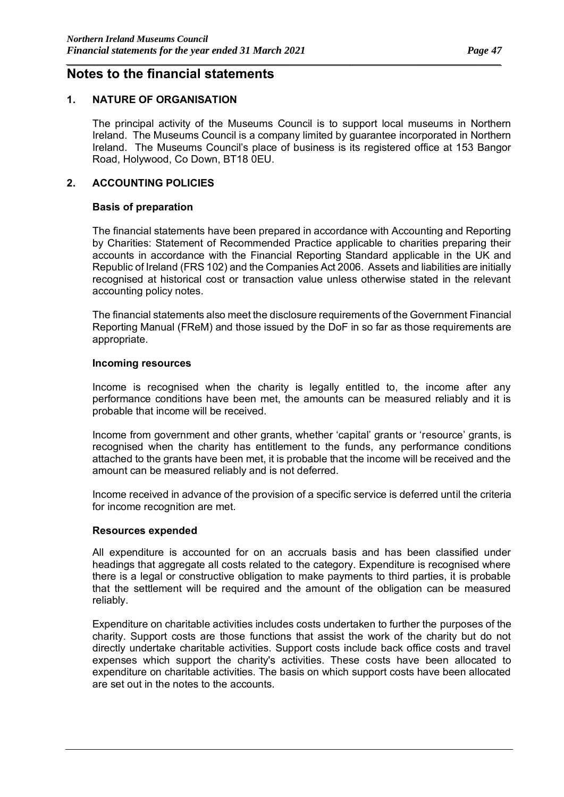### **Notes to the financial statements**

### **1. NATURE OF ORGANISATION**

The principal activity of the Museums Council is to support local museums in Northern Ireland. The Museums Council is a company limited by guarantee incorporated in Northern Ireland. The Museums Council's place of business is its registered office at 153 Bangor Road, Holywood, Co Down, BT18 0EU.

*\_\_\_\_\_\_\_\_\_\_\_\_\_\_\_\_\_\_\_\_\_\_\_\_\_\_\_\_\_\_\_\_\_\_\_\_\_\_\_\_\_\_\_\_\_\_\_\_\_\_\_\_\_\_\_\_\_\_\_\_\_\_\_\_\_\_\_\_\_\_\_\_\_\_\_\_\_\_\_\_\_\_\_\_\_\_\_\_\_\_\_\_\_\_\_\_\_\_\_\_\_\_*

#### **2. ACCOUNTING POLICIES**

#### **Basis of preparation**

The financial statements have been prepared in accordance with Accounting and Reporting by Charities: Statement of Recommended Practice applicable to charities preparing their accounts in accordance with the Financial Reporting Standard applicable in the UK and Republic of Ireland (FRS 102) and the Companies Act 2006. Assets and liabilities are initially recognised at historical cost or transaction value unless otherwise stated in the relevant accounting policy notes.

The financial statements also meet the disclosure requirements of the Government Financial Reporting Manual (FReM) and those issued by the DoF in so far as those requirements are appropriate.

#### **Incoming resources**

Income is recognised when the charity is legally entitled to, the income after any performance conditions have been met, the amounts can be measured reliably and it is probable that income will be received.

Income from government and other grants, whether 'capital' grants or 'resource' grants, is recognised when the charity has entitlement to the funds, any performance conditions attached to the grants have been met, it is probable that the income will be received and the amount can be measured reliably and is not deferred.

Income received in advance of the provision of a specific service is deferred until the criteria for income recognition are met.

#### **Resources expended**

All expenditure is accounted for on an accruals basis and has been classified under headings that aggregate all costs related to the category. Expenditure is recognised where there is a legal or constructive obligation to make payments to third parties, it is probable that the settlement will be required and the amount of the obligation can be measured reliably.

Expenditure on charitable activities includes costs undertaken to further the purposes of the charity. Support costs are those functions that assist the work of the charity but do not directly undertake charitable activities. Support costs include back office costs and travel expenses which support the charity's activities. These costs have been allocated to expenditure on charitable activities. The basis on which support costs have been allocated are set out in the notes to the accounts.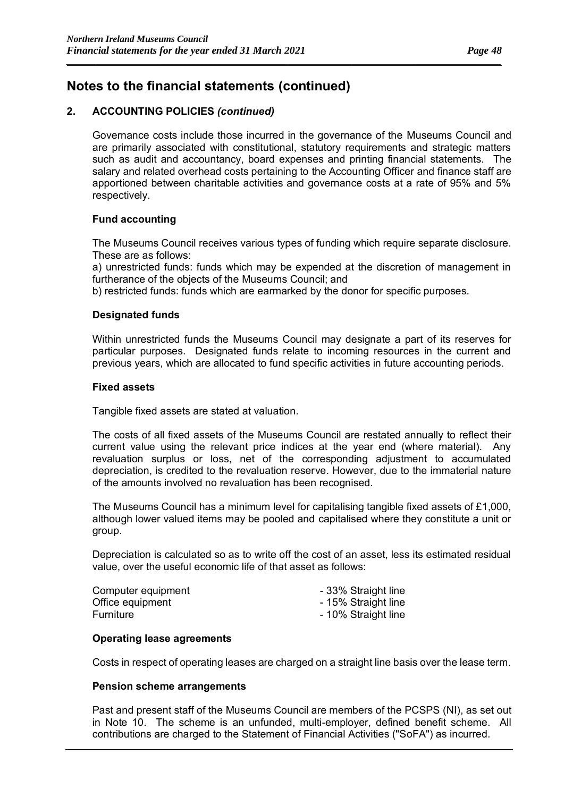### **2. ACCOUNTING POLICIES** *(continued)*

Governance costs include those incurred in the governance of the Museums Council and are primarily associated with constitutional, statutory requirements and strategic matters such as audit and accountancy, board expenses and printing financial statements. The salary and related overhead costs pertaining to the Accounting Officer and finance staff are apportioned between charitable activities and governance costs at a rate of 95% and 5% respectively.

*\_\_\_\_\_\_\_\_\_\_\_\_\_\_\_\_\_\_\_\_\_\_\_\_\_\_\_\_\_\_\_\_\_\_\_\_\_\_\_\_\_\_\_\_\_\_\_\_\_\_\_\_\_\_\_\_\_\_\_\_\_\_\_\_\_\_\_\_\_\_\_\_\_\_\_\_\_\_\_\_\_\_\_\_\_\_\_\_\_\_\_\_\_\_\_\_\_\_\_\_\_\_*

### **Fund accounting**

The Museums Council receives various types of funding which require separate disclosure. These are as follows:

a) unrestricted funds: funds which may be expended at the discretion of management in furtherance of the objects of the Museums Council; and

b) restricted funds: funds which are earmarked by the donor for specific purposes.

#### **Designated funds**

Within unrestricted funds the Museums Council may designate a part of its reserves for particular purposes. Designated funds relate to incoming resources in the current and previous years, which are allocated to fund specific activities in future accounting periods.

#### **Fixed assets**

Tangible fixed assets are stated at valuation.

The costs of all fixed assets of the Museums Council are restated annually to reflect their current value using the relevant price indices at the year end (where material). Any revaluation surplus or loss, net of the corresponding adjustment to accumulated depreciation, is credited to the revaluation reserve. However, due to the immaterial nature of the amounts involved no revaluation has been recognised.

The Museums Council has a minimum level for capitalising tangible fixed assets of £1,000, although lower valued items may be pooled and capitalised where they constitute a unit or group.

Depreciation is calculated so as to write off the cost of an asset, less its estimated residual value, over the useful economic life of that asset as follows:

| Computer equipment | - 33% Straight line |
|--------------------|---------------------|
| Office equipment   | - 15% Straight line |
| Furniture          | - 10% Straight line |

#### **Operating lease agreements**

Costs in respect of operating leases are charged on a straight line basis over the lease term.

#### **Pension scheme arrangements**

Past and present staff of the Museums Council are members of the PCSPS (NI), as set out in Note 10. The scheme is an unfunded, multi-employer, defined benefit scheme. All contributions are charged to the Statement of Financial Activities ("SoFA") as incurred.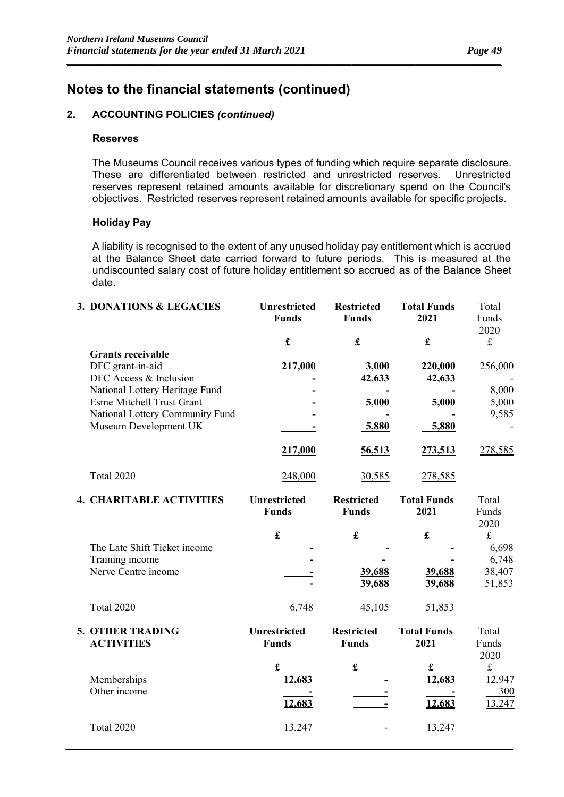#### **2. ACCOUNTING POLICIES** *(continued)*

#### **Reserves**

The Museums Council receives various types of funding which require separate disclosure. These are differentiated between restricted and unrestricted reserves. Unrestricted reserves represent retained amounts available for discretionary spend on the Council's objectives. Restricted reserves represent retained amounts available for specific projects.

*\_\_\_\_\_\_\_\_\_\_\_\_\_\_\_\_\_\_\_\_\_\_\_\_\_\_\_\_\_\_\_\_\_\_\_\_\_\_\_\_\_\_\_\_\_\_\_\_\_\_\_\_\_\_\_\_\_\_\_\_\_\_\_\_\_\_\_\_\_\_\_\_\_\_\_\_\_\_\_\_\_\_\_\_\_\_\_\_\_\_\_\_\_\_\_\_\_\_\_\_\_\_*

#### **Holiday Pay**

A liability is recognised to the extent of any unused holiday pay entitlement which is accrued at the Balance Sheet date carried forward to future periods. This is measured at the undiscounted salary cost of future holiday entitlement so accrued as of the Balance Sheet date.

| 3. DONATIONS & LEGACIES          | <b>Unrestricted</b><br><b>Funds</b> | <b>Restricted</b><br><b>Funds</b> | <b>Total Funds</b><br>2021 | Total<br>Funds<br>2020 |
|----------------------------------|-------------------------------------|-----------------------------------|----------------------------|------------------------|
|                                  | £                                   | £                                 | £                          | $\pounds$              |
| <b>Grants receivable</b>         |                                     |                                   |                            |                        |
| DFC grant-in-aid                 | 217,000                             | 3,000                             | 220,000                    | 256,000                |
| DFC Access & Inclusion           |                                     | 42,633                            | 42,633                     |                        |
| National Lottery Heritage Fund   |                                     |                                   |                            | 8,000                  |
| <b>Esme Mitchell Trust Grant</b> |                                     | 5,000                             | 5,000                      | 5,000                  |
| National Lottery Community Fund  |                                     |                                   |                            | 9,585                  |
| Museum Development UK            |                                     | $-5,880$                          | 5,880                      |                        |
|                                  | 217,000                             | 56,513                            | 273,513                    | 278,585                |
| Total 2020                       | 248,000                             | 30,585                            | 278,585                    |                        |
| <b>4. CHARITABLE ACTIVITIES</b>  | <b>Unrestricted</b>                 | <b>Restricted</b>                 | <b>Total Funds</b>         | Total                  |
|                                  | <b>Funds</b>                        | <b>Funds</b>                      | 2021                       | Funds                  |
|                                  |                                     |                                   |                            | 2020                   |
|                                  | £                                   | £                                 | £                          | £                      |
| The Late Shift Ticket income     |                                     |                                   |                            | 6,698                  |

| Training income<br>Nerve Centre income       |                                     | 39,688<br>39,688                  | 39,688<br>39,688           | 6,748<br>38,407<br>51,853            |
|----------------------------------------------|-------------------------------------|-----------------------------------|----------------------------|--------------------------------------|
| <b>Total 2020</b>                            | 6,748                               | 45,105                            | 51,853                     |                                      |
| <b>5. OTHER TRADING</b><br><b>ACTIVITIES</b> | <b>Unrestricted</b><br><b>Funds</b> | <b>Restricted</b><br><b>Funds</b> | <b>Total Funds</b><br>2021 | Total<br>Funds<br>2020               |
| Memberships<br>Other income                  | £<br>12,683<br>12,683               | £                                 | £<br>12,683<br>12,683      | $\pounds$<br>12,947<br>300<br>13,247 |
| Total 2020                                   | 13,247                              |                                   | 13,247                     |                                      |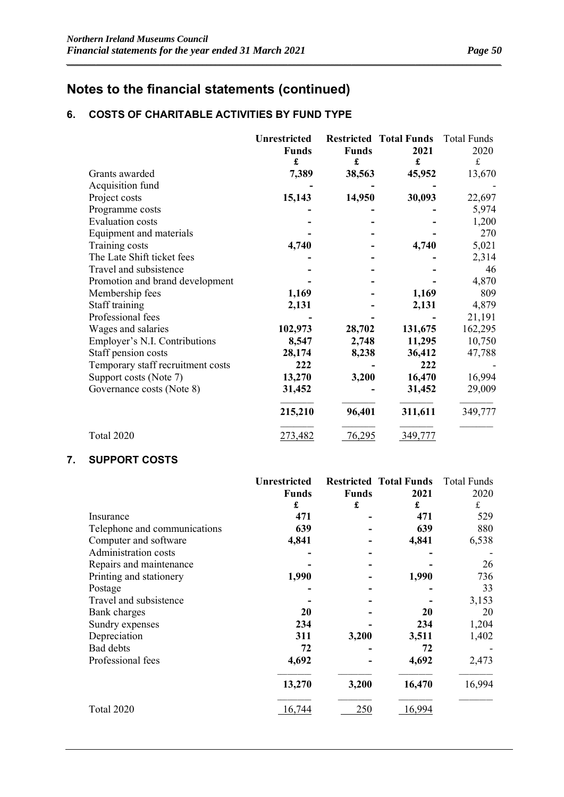### **6. COSTS OF CHARITABLE ACTIVITIES BY FUND TYPE**

|                                   | <b>Unrestricted</b><br><b>Funds</b><br>£ | <b>Funds</b><br>£ | <b>Restricted Total Funds</b><br>2021<br>£ | <b>Total Funds</b><br>2020<br>£ |
|-----------------------------------|------------------------------------------|-------------------|--------------------------------------------|---------------------------------|
| Grants awarded                    | 7,389                                    | 38,563            | 45,952                                     | 13,670                          |
| Acquisition fund                  |                                          |                   |                                            |                                 |
| Project costs                     | 15,143                                   | 14,950            | 30,093                                     | 22,697                          |
| Programme costs                   |                                          |                   |                                            | 5,974                           |
| <b>Evaluation costs</b>           |                                          |                   |                                            | 1,200                           |
| Equipment and materials           |                                          |                   |                                            | 270                             |
| Training costs                    | 4,740                                    |                   | 4,740                                      | 5,021                           |
| The Late Shift ticket fees        |                                          |                   |                                            | 2,314                           |
| Travel and subsistence            |                                          |                   |                                            | 46                              |
| Promotion and brand development   |                                          |                   |                                            | 4,870                           |
| Membership fees                   | 1,169                                    |                   | 1,169                                      | 809                             |
| Staff training                    | 2,131                                    |                   | 2,131                                      | 4,879                           |
| Professional fees                 |                                          |                   |                                            | 21,191                          |
| Wages and salaries                | 102,973                                  | 28,702            | 131,675                                    | 162,295                         |
| Employer's N.I. Contributions     | 8,547                                    | 2,748             | 11,295                                     | 10,750                          |
| Staff pension costs               | 28,174                                   | 8,238             | 36,412                                     | 47,788                          |
| Temporary staff recruitment costs | 222                                      |                   | 222                                        |                                 |
| Support costs (Note 7)            | 13,270                                   | 3,200             | 16,470                                     | 16,994                          |
| Governance costs (Note 8)         | 31,452                                   |                   | 31,452                                     | 29,009                          |
|                                   | 215,210                                  | 96,401            | 311,611                                    | 349,777                         |
| Total 2020                        | 273,482                                  | 76,295            | 349,777                                    |                                 |

*\_\_\_\_\_\_\_\_\_\_\_\_\_\_\_\_\_\_\_\_\_\_\_\_\_\_\_\_\_\_\_\_\_\_\_\_\_\_\_\_\_\_\_\_\_\_\_\_\_\_\_\_\_\_\_\_\_\_\_\_\_\_\_\_\_\_\_\_\_\_\_\_\_\_\_\_\_\_\_\_\_\_\_\_\_\_\_\_\_\_\_\_\_\_\_\_\_\_\_\_\_\_*

### **7. SUPPORT COSTS**

|                              | <b>Unrestricted</b> |              | <b>Restricted Total Funds</b> | <b>Total Funds</b> |
|------------------------------|---------------------|--------------|-------------------------------|--------------------|
|                              | Funds               | <b>Funds</b> | 2021                          | 2020               |
|                              | £                   | £            | £                             | ${\bf f}$          |
| Insurance                    | 471                 |              | 471                           | 529                |
| Telephone and communications | 639                 |              | 639                           | 880                |
| Computer and software        | 4,841               |              | 4,841                         | 6,538              |
| Administration costs         |                     |              |                               |                    |
| Repairs and maintenance      |                     |              |                               | 26                 |
| Printing and stationery      | 1,990               |              | 1,990                         | 736                |
| Postage                      |                     |              |                               | 33                 |
| Travel and subsistence       |                     |              |                               | 3,153              |
| Bank charges                 | 20                  |              | <b>20</b>                     | 20                 |
| Sundry expenses              | 234                 |              | 234                           | 1,204              |
| Depreciation                 | 311                 | 3,200        | 3,511                         | 1,402              |
| Bad debts                    | 72                  |              | 72                            |                    |
| Professional fees            | 4,692               |              | 4,692                         | 2,473              |
|                              | 13,270              | 3,200        | 16,470                        | 16,994             |
| Total 2020                   | 16,744              | 250          | 16,994                        |                    |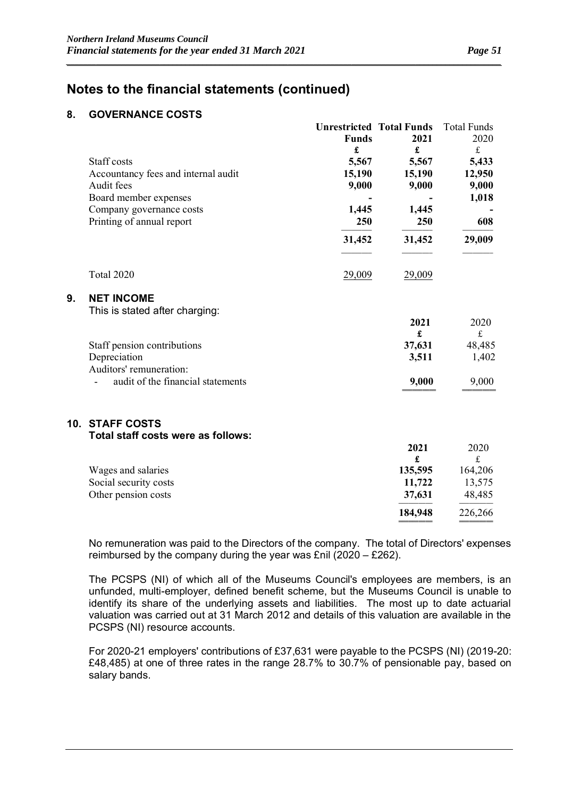═════════════════════════════

### **Notes to the financial statements (continued)**

### **8. GOVERNANCE COSTS**

|    |                                                     |              | <b>Unrestricted Total Funds</b> | <b>Total Funds</b> |
|----|-----------------------------------------------------|--------------|---------------------------------|--------------------|
|    |                                                     | <b>Funds</b> | 2021                            | 2020               |
|    |                                                     | £            | £                               | $\mathbf f$        |
|    | Staff costs                                         | 5,567        | 5,567                           | 5,433              |
|    | Accountancy fees and internal audit                 | 15,190       | 15,190                          | 12,950             |
|    | Audit fees                                          | 9,000        | 9,000                           | 9,000              |
|    | Board member expenses                               |              |                                 | 1,018              |
|    | Company governance costs                            | 1,445        | 1,445                           |                    |
|    | Printing of annual report                           | 250          | 250                             | 608                |
|    |                                                     | 31,452       | 31,452                          | 29,009             |
|    | Total 2020                                          | 29,009       | 29,009                          |                    |
| 9. | <b>NET INCOME</b><br>This is stated after charging: |              |                                 |                    |
|    |                                                     |              | 2021                            | 2020               |
|    |                                                     |              | £                               | $\mathbf f$        |
|    | Staff pension contributions                         |              | 37,631                          | 48,485             |
|    | Depreciation                                        |              | 3,511                           | 1,402              |
|    | Auditors' remuneration:                             |              |                                 |                    |
|    | audit of the financial statements                   |              | 9,000                           | 9,000              |
|    | <b>10. STAFF COSTS</b>                              |              |                                 |                    |
|    | Total staff costs were as follows:                  |              | 2021                            | 2020               |
|    |                                                     |              | £                               | $\mathbf f$        |
|    | Wages and salaries                                  |              | 135,595                         | 164,206            |
|    | Social security costs                               |              | 11,722                          | 13,575             |
|    | Other pension costs                                 |              | 37,631                          | 48,485             |
|    |                                                     |              | 184,948                         | 226,266            |
|    |                                                     |              |                                 |                    |

*\_\_\_\_\_\_\_\_\_\_\_\_\_\_\_\_\_\_\_\_\_\_\_\_\_\_\_\_\_\_\_\_\_\_\_\_\_\_\_\_\_\_\_\_\_\_\_\_\_\_\_\_\_\_\_\_\_\_\_\_\_\_\_\_\_\_\_\_\_\_\_\_\_\_\_\_\_\_\_\_\_\_\_\_\_\_\_\_\_\_\_\_\_\_\_\_\_\_\_\_\_\_*

No remuneration was paid to the Directors of the company. The total of Directors' expenses reimbursed by the company during the year was £nil (2020 – £262).

The PCSPS (NI) of which all of the Museums Council's employees are members, is an unfunded, multi-employer, defined benefit scheme, but the Museums Council is unable to identify its share of the underlying assets and liabilities. The most up to date actuarial valuation was carried out at 31 March 2012 and details of this valuation are available in the PCSPS (NI) resource accounts.

For 2020-21 employers' contributions of £37,631 were payable to the PCSPS (NI) (2019-20: £48,485) at one of three rates in the range 28.7% to 30.7% of pensionable pay, based on salary bands.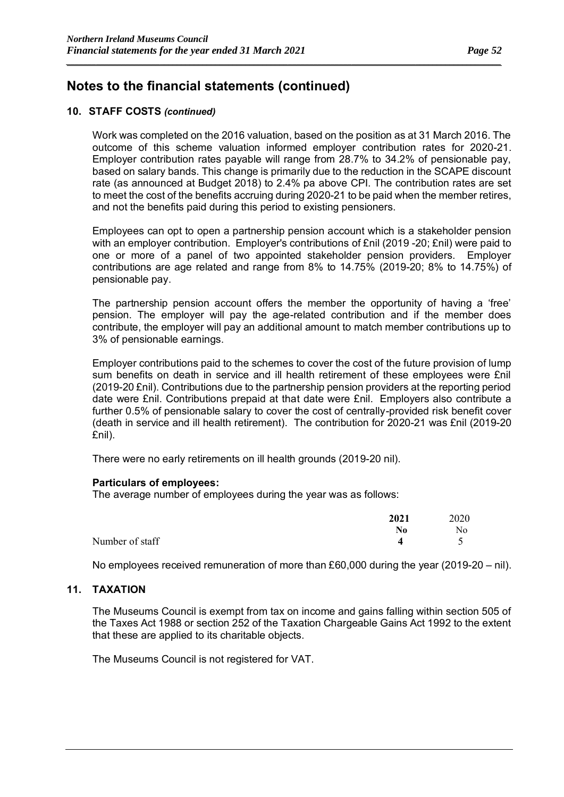### **10. STAFF COSTS** *(continued)*

Work was completed on the 2016 valuation, based on the position as at 31 March 2016. The outcome of this scheme valuation informed employer contribution rates for 2020-21. Employer contribution rates payable will range from 28.7% to 34.2% of pensionable pay, based on salary bands. This change is primarily due to the reduction in the SCAPE discount rate (as announced at Budget 2018) to 2.4% pa above CPI. The contribution rates are set to meet the cost of the benefits accruing during 2020-21 to be paid when the member retires, and not the benefits paid during this period to existing pensioners.

*\_\_\_\_\_\_\_\_\_\_\_\_\_\_\_\_\_\_\_\_\_\_\_\_\_\_\_\_\_\_\_\_\_\_\_\_\_\_\_\_\_\_\_\_\_\_\_\_\_\_\_\_\_\_\_\_\_\_\_\_\_\_\_\_\_\_\_\_\_\_\_\_\_\_\_\_\_\_\_\_\_\_\_\_\_\_\_\_\_\_\_\_\_\_\_\_\_\_\_\_\_\_*

Employees can opt to open a partnership pension account which is a stakeholder pension with an employer contribution. Employer's contributions of £nil (2019 -20; £nil) were paid to one or more of a panel of two appointed stakeholder pension providers. Employer contributions are age related and range from 8% to 14.75% (2019-20; 8% to 14.75%) of pensionable pay.

The partnership pension account offers the member the opportunity of having a 'free' pension. The employer will pay the age-related contribution and if the member does contribute, the employer will pay an additional amount to match member contributions up to 3% of pensionable earnings.

Employer contributions paid to the schemes to cover the cost of the future provision of lump sum benefits on death in service and ill health retirement of these employees were £nil (2019-20 £nil). Contributions due to the partnership pension providers at the reporting period date were £nil. Contributions prepaid at that date were £nil. Employers also contribute a further 0.5% of pensionable salary to cover the cost of centrally-provided risk benefit cover (death in service and ill health retirement). The contribution for 2020-21 was £nil (2019-20 £nil).

There were no early retirements on ill health grounds (2019-20 nil).

#### **Particulars of employees:**

The average number of employees during the year was as follows:

|                 | 2021 | 2020 |
|-----------------|------|------|
|                 | No   | No   |
| Number of staff |      |      |

No employees received remuneration of more than £60,000 during the year (2019-20 – nil).

#### **11. TAXATION**

The Museums Council is exempt from tax on income and gains falling within section 505 of the Taxes Act 1988 or section 252 of the Taxation Chargeable Gains Act 1992 to the extent that these are applied to its charitable objects.

The Museums Council is not registered for VAT.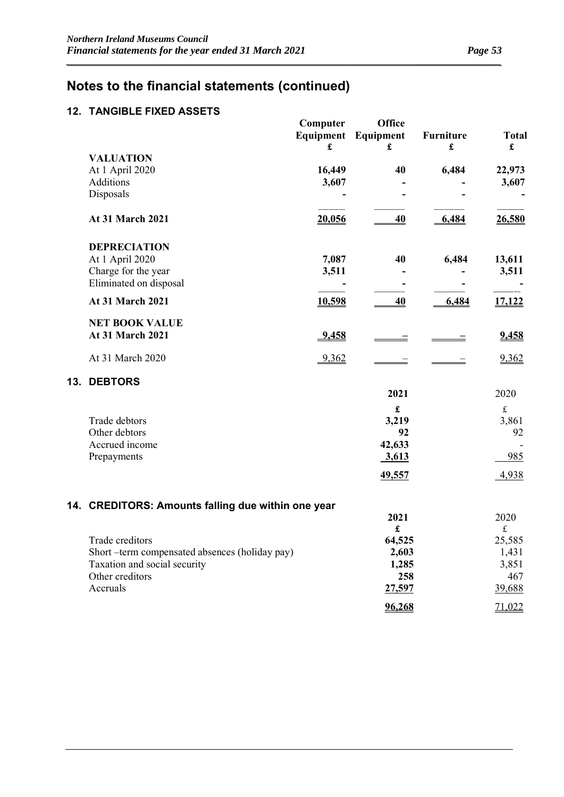### **12. TANGIBLE FIXED ASSETS**

|                                                    | Computer | <b>Office</b><br><b>Equipment</b> Equipment | <b>Furniture</b> | <b>Total</b> |
|----------------------------------------------------|----------|---------------------------------------------|------------------|--------------|
| <b>VALUATION</b>                                   | £        | £                                           | £                | £            |
| At 1 April 2020                                    | 16,449   | 40                                          | 6,484            | 22,973       |
| Additions                                          | 3,607    |                                             |                  | 3,607        |
| Disposals                                          |          |                                             |                  |              |
| At 31 March 2021                                   | 20,056   | 40                                          | 6,484            | 26,580       |
| <b>DEPRECIATION</b>                                |          |                                             |                  |              |
| At 1 April 2020                                    | 7,087    | 40                                          | 6,484            | 13,611       |
| Charge for the year                                | 3,511    |                                             |                  | 3,511        |
| Eliminated on disposal                             |          |                                             |                  |              |
| <b>At 31 March 2021</b>                            | 10,598   | 40                                          | 6,484            | 17,122       |
| <b>NET BOOK VALUE</b>                              |          |                                             |                  |              |
| <b>At 31 March 2021</b>                            | 9,458    |                                             |                  | 9,458        |
| At 31 March 2020                                   | $-9,362$ |                                             |                  | 9,362        |
| 13. DEBTORS                                        |          |                                             |                  |              |
|                                                    |          | 2021                                        |                  | 2020         |
|                                                    |          | $\mathbf f$                                 |                  | $\mathbf f$  |
| Trade debtors                                      |          | 3,219                                       |                  | 3,861        |
| Other debtors                                      |          | 92                                          |                  | 92           |
| Accrued income                                     |          | 42,633                                      |                  |              |
| Prepayments                                        |          | 3,613                                       |                  | 985          |
|                                                    |          | 49,557                                      |                  | 4,938        |
| 14. CREDITORS: Amounts falling due within one year |          |                                             |                  |              |
|                                                    |          | 2021                                        |                  | 2020         |
|                                                    |          | £                                           |                  | $\mathbf f$  |
| Trade creditors                                    |          | 64,525                                      |                  | 25,585       |
| Short-term compensated absences (holiday pay)      |          | 2,603                                       |                  | 1,431        |
| Taxation and social security                       |          | 1,285                                       |                  | 3,851        |
| Other creditors                                    |          | 258                                         |                  | 467          |
| Accruals                                           |          | 27,597                                      |                  | 39,688       |
|                                                    |          | 96,268                                      |                  | 71,022       |

*\_\_\_\_\_\_\_\_\_\_\_\_\_\_\_\_\_\_\_\_\_\_\_\_\_\_\_\_\_\_\_\_\_\_\_\_\_\_\_\_\_\_\_\_\_\_\_\_\_\_\_\_\_\_\_\_\_\_\_\_\_\_\_\_\_\_\_\_\_\_\_\_\_\_\_\_\_\_\_\_\_\_\_\_\_\_\_\_\_\_\_\_\_\_\_\_\_\_\_\_\_\_*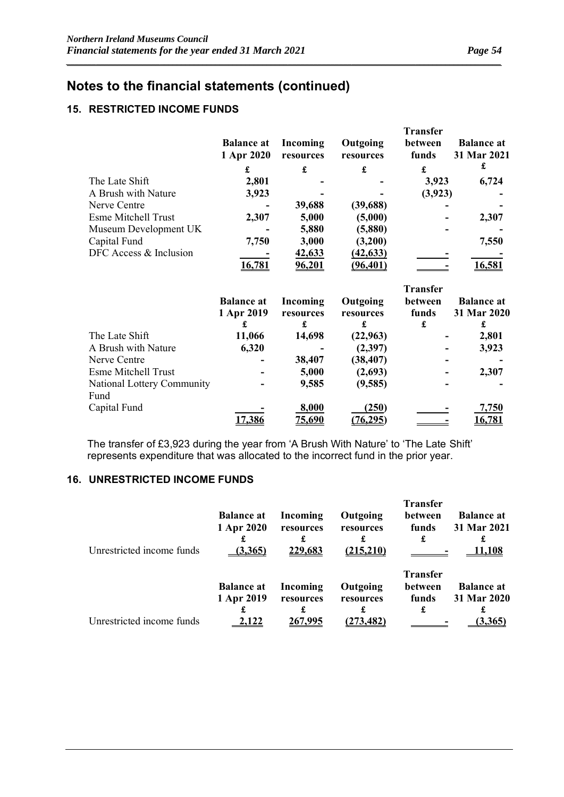### **15. RESTRICTED INCOME FUNDS**

|                            |                                      |                            |                            | <b>Transfer</b>       |                                       |
|----------------------------|--------------------------------------|----------------------------|----------------------------|-----------------------|---------------------------------------|
|                            | <b>Balance at</b>                    | Incoming                   | Outgoing                   | between               | <b>Balance at</b>                     |
|                            | 1 Apr 2020                           | resources                  | resources                  | funds                 | 31 Mar 2021                           |
|                            | £                                    | $\pmb{\mathfrak{L}}$       | £                          | £                     | £                                     |
| The Late Shift             | 2,801                                |                            |                            | 3,923                 | 6,724                                 |
| A Brush with Nature        | 3,923                                |                            |                            | (3, 923)              |                                       |
| Nerve Centre               |                                      | 39,688                     | (39, 688)                  |                       |                                       |
| <b>Esme Mitchell Trust</b> | 2,307                                | 5,000                      | (5,000)                    |                       | 2,307                                 |
| Museum Development UK      |                                      | 5,880                      | (5,880)                    |                       |                                       |
| Capital Fund               | 7,750                                | 3,000                      | (3,200)                    |                       | 7,550                                 |
| DFC Access & Inclusion     |                                      | 42,633                     | (42, 633)                  |                       |                                       |
|                            | 16,781                               | <u>96,201</u>              | (96, 401)                  |                       | 16,581                                |
|                            |                                      |                            |                            | <b>Transfer</b>       |                                       |
|                            | <b>Balance</b> at<br>1 Apr 2019<br>£ | Incoming<br>resources<br>£ | Outgoing<br>resources<br>£ | between<br>funds<br>£ | <b>Balance at</b><br>31 Mar 2020<br>£ |
| The Late Shift             | 11,066                               | 14,698                     | (22, 963)                  |                       | 2,801                                 |
| A Brush with Nature        | 6,320                                |                            | (2,397)                    |                       | 3,923                                 |
| Nerve Centre               |                                      | 38,407                     | (38, 407)                  |                       |                                       |
| Esme Mitchell Trust        |                                      | 5,000                      | (2,693)                    |                       | 2,307                                 |
| National Lottery Community |                                      | 9,585                      | (9,585)                    |                       |                                       |
| Fund                       |                                      |                            |                            |                       |                                       |
| Capital Fund               |                                      | 8,000                      | (250)                      |                       | 7,750                                 |
|                            | 17,386                               | <u>75,690</u>              | (76, 295)                  |                       | <u>16,781</u>                         |

*\_\_\_\_\_\_\_\_\_\_\_\_\_\_\_\_\_\_\_\_\_\_\_\_\_\_\_\_\_\_\_\_\_\_\_\_\_\_\_\_\_\_\_\_\_\_\_\_\_\_\_\_\_\_\_\_\_\_\_\_\_\_\_\_\_\_\_\_\_\_\_\_\_\_\_\_\_\_\_\_\_\_\_\_\_\_\_\_\_\_\_\_\_\_\_\_\_\_\_\_\_\_*

The transfer of £3,923 during the year from 'A Brush With Nature' to 'The Late Shift' represents expenditure that was allocated to the incorrect fund in the prior year.

### **16. UNRESTRICTED INCOME FUNDS**

| Unrestricted income funds | <b>Balance at</b><br>1 Apr 2020<br>(3,365) | Incoming<br>resources<br>229,683 | Outgoing<br>resources<br>(215,210) | <b>Transfer</b><br>between<br>funds<br>£ | <b>Balance at</b><br>31 Mar 2021<br>11,108  |
|---------------------------|--------------------------------------------|----------------------------------|------------------------------------|------------------------------------------|---------------------------------------------|
| Unrestricted income funds | <b>Balance at</b><br>1 Apr 2019            | Incoming<br>resources<br>267,995 | Outgoing<br>resources<br>(273,482) | <b>Transfer</b><br>between<br>funds<br>£ | <b>Balance at</b><br>31 Mar 2020<br>(3.365) |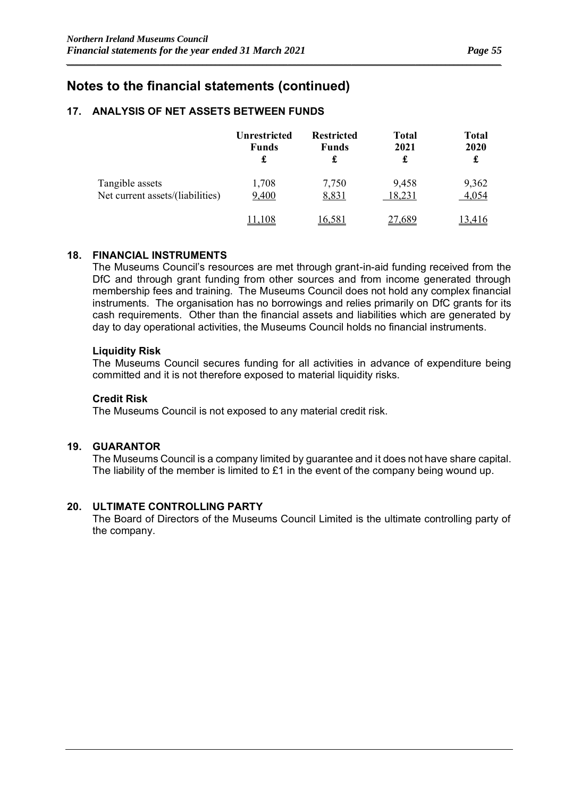### **17. ANALYSIS OF NET ASSETS BETWEEN FUNDS**

|                                  | <b>Unrestricted</b><br><b>Funds</b> | <b>Restricted</b><br><b>Funds</b><br>£ | <b>Total</b><br>2021<br>£ | <b>Total</b><br>2020<br>£ |
|----------------------------------|-------------------------------------|----------------------------------------|---------------------------|---------------------------|
| Tangible assets                  | 1,708                               | 7,750                                  | 9,458                     | 9,362                     |
| Net current assets/(liabilities) | 9,400                               | 8,831                                  | 18,231<br><u>.689</u>     | 4,054<br>.416             |

*\_\_\_\_\_\_\_\_\_\_\_\_\_\_\_\_\_\_\_\_\_\_\_\_\_\_\_\_\_\_\_\_\_\_\_\_\_\_\_\_\_\_\_\_\_\_\_\_\_\_\_\_\_\_\_\_\_\_\_\_\_\_\_\_\_\_\_\_\_\_\_\_\_\_\_\_\_\_\_\_\_\_\_\_\_\_\_\_\_\_\_\_\_\_\_\_\_\_\_\_\_\_*

### **18. FINANCIAL INSTRUMENTS**

The Museums Council's resources are met through grant-in-aid funding received from the DfC and through grant funding from other sources and from income generated through membership fees and training. The Museums Council does not hold any complex financial instruments. The organisation has no borrowings and relies primarily on DfC grants for its cash requirements. Other than the financial assets and liabilities which are generated by day to day operational activities, the Museums Council holds no financial instruments.

#### **Liquidity Risk**

The Museums Council secures funding for all activities in advance of expenditure being committed and it is not therefore exposed to material liquidity risks.

### **Credit Risk**

The Museums Council is not exposed to any material credit risk.

### **19. GUARANTOR**

The Museums Council is a company limited by guarantee and it does not have share capital. The liability of the member is limited to £1 in the event of the company being wound up.

### **20. ULTIMATE CONTROLLING PARTY**

The Board of Directors of the Museums Council Limited is the ultimate controlling party of the company.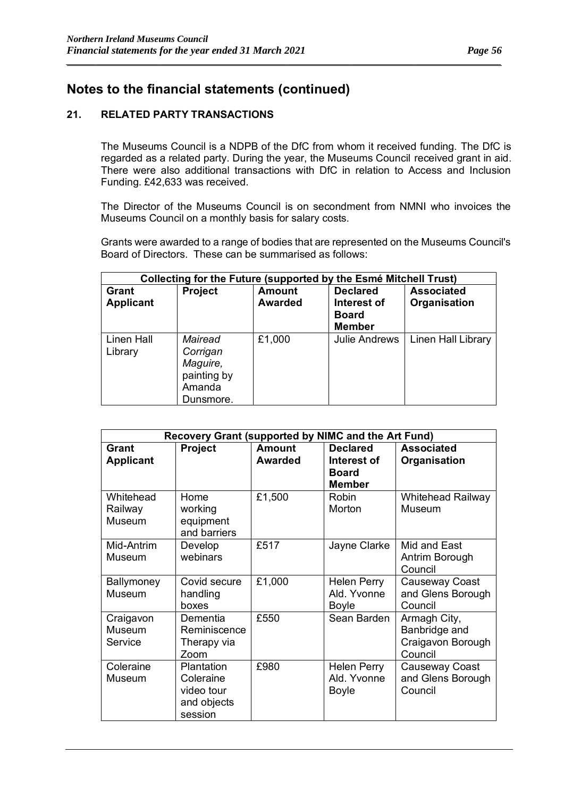### **21. RELATED PARTY TRANSACTIONS**

The Museums Council is a NDPB of the DfC from whom it received funding. The DfC is regarded as a related party. During the year, the Museums Council received grant in aid. There were also additional transactions with DfC in relation to Access and Inclusion Funding. £42,633 was received.

*\_\_\_\_\_\_\_\_\_\_\_\_\_\_\_\_\_\_\_\_\_\_\_\_\_\_\_\_\_\_\_\_\_\_\_\_\_\_\_\_\_\_\_\_\_\_\_\_\_\_\_\_\_\_\_\_\_\_\_\_\_\_\_\_\_\_\_\_\_\_\_\_\_\_\_\_\_\_\_\_\_\_\_\_\_\_\_\_\_\_\_\_\_\_\_\_\_\_\_\_\_\_*

The Director of the Museums Council is on secondment from NMNI who invoices the Museums Council on a monthly basis for salary costs.

Grants were awarded to a range of bodies that are represented on the Museums Council's Board of Directors. These can be summarised as follows:

|                                  | Collecting for the Future (supported by the Esmé Mitchell Trust)      |                                 |                                                                 |                                   |  |
|----------------------------------|-----------------------------------------------------------------------|---------------------------------|-----------------------------------------------------------------|-----------------------------------|--|
| <b>Grant</b><br><b>Applicant</b> | <b>Project</b>                                                        | <b>Amount</b><br><b>Awarded</b> | <b>Declared</b><br>Interest of<br><b>Board</b><br><b>Member</b> | <b>Associated</b><br>Organisation |  |
| Linen Hall<br>Library            | Mairead<br>Corrigan<br>Maguire,<br>painting by<br>Amanda<br>Dunsmore. | £1,000                          | <b>Julie Andrews</b>                                            | Linen Hall Library                |  |

|                                  | Recovery Grant (supported by NIMC and the Art Fund)             |                                 |                                                                 |                                                               |  |  |
|----------------------------------|-----------------------------------------------------------------|---------------------------------|-----------------------------------------------------------------|---------------------------------------------------------------|--|--|
| <b>Grant</b><br><b>Applicant</b> | <b>Project</b>                                                  | <b>Amount</b><br><b>Awarded</b> | <b>Declared</b><br>Interest of<br><b>Board</b><br><b>Member</b> | <b>Associated</b><br>Organisation                             |  |  |
| Whitehead<br>Railway<br>Museum   | Home<br>working<br>equipment<br>and barriers                    | £1,500                          | Robin<br>Morton                                                 | <b>Whitehead Railway</b><br>Museum                            |  |  |
| Mid-Antrim<br>Museum             | Develop<br>webinars                                             | £517                            | Jayne Clarke                                                    | Mid and East<br>Antrim Borough<br>Council                     |  |  |
| Ballymoney<br>Museum             | Covid secure<br>handling<br>boxes                               | £1,000                          | <b>Helen Perry</b><br>Ald. Yvonne<br>Boyle                      | Causeway Coast<br>and Glens Borough<br>Council                |  |  |
| Craigavon<br>Museum<br>Service   | Dementia<br>Reminiscence<br>Therapy via<br>Zoom                 | £550                            | Sean Barden                                                     | Armagh City,<br>Banbridge and<br>Craigavon Borough<br>Council |  |  |
| Coleraine<br>Museum              | Plantation<br>Coleraine<br>video tour<br>and objects<br>session | £980                            | <b>Helen Perry</b><br>Ald. Yvonne<br><b>Boyle</b>               | Causeway Coast<br>and Glens Borough<br>Council                |  |  |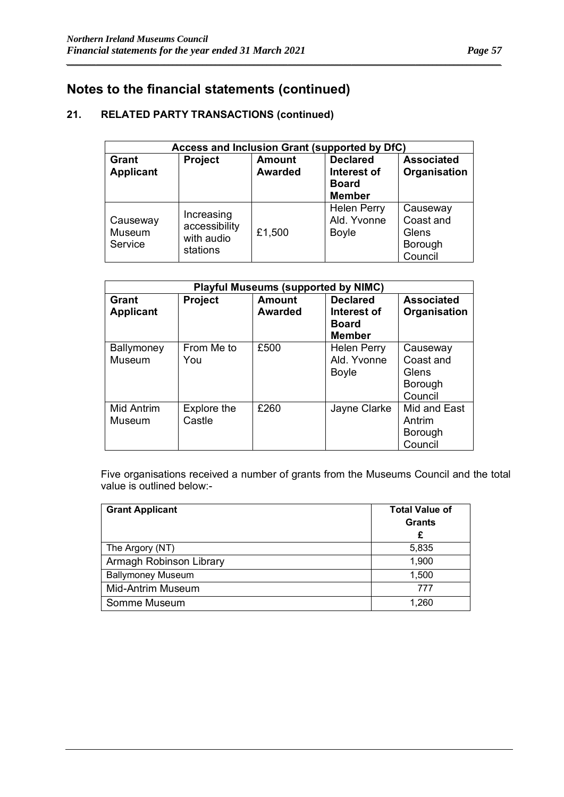### **21. RELATED PARTY TRANSACTIONS (continued)**

| Access and Inclusion Grant (supported by DfC) |                                                       |                                 |                                                                 |                                                      |  |
|-----------------------------------------------|-------------------------------------------------------|---------------------------------|-----------------------------------------------------------------|------------------------------------------------------|--|
| Grant<br><b>Applicant</b>                     | Project                                               | <b>Amount</b><br><b>Awarded</b> | <b>Declared</b><br>Interest of<br><b>Board</b><br><b>Member</b> | <b>Associated</b><br>Organisation                    |  |
| Causeway<br>Museum<br>Service                 | Increasing<br>accessibility<br>with audio<br>stations | £1,500                          | <b>Helen Perry</b><br>Ald. Yvonne<br>Boyle                      | Causeway<br>Coast and<br>Glens<br>Borough<br>Council |  |

*\_\_\_\_\_\_\_\_\_\_\_\_\_\_\_\_\_\_\_\_\_\_\_\_\_\_\_\_\_\_\_\_\_\_\_\_\_\_\_\_\_\_\_\_\_\_\_\_\_\_\_\_\_\_\_\_\_\_\_\_\_\_\_\_\_\_\_\_\_\_\_\_\_\_\_\_\_\_\_\_\_\_\_\_\_\_\_\_\_\_\_\_\_\_\_\_\_\_\_\_\_\_*

| <b>Playful Museums (supported by NIMC)</b> |                       |                                 |                                                                 |                                                      |  |  |
|--------------------------------------------|-----------------------|---------------------------------|-----------------------------------------------------------------|------------------------------------------------------|--|--|
| Grant<br><b>Applicant</b>                  | <b>Project</b>        | <b>Amount</b><br><b>Awarded</b> | <b>Declared</b><br>Interest of<br><b>Board</b><br><b>Member</b> | <b>Associated</b><br>Organisation                    |  |  |
| Ballymoney<br>Museum                       | From Me to<br>You     | £500                            | <b>Helen Perry</b><br>Ald. Yvonne<br>Boyle                      | Causeway<br>Coast and<br>Glens<br>Borough<br>Council |  |  |
| Mid Antrim<br>Museum                       | Explore the<br>Castle | £260                            | Jayne Clarke                                                    | Mid and East<br>Antrim<br>Borough<br>Council         |  |  |

Five organisations received a number of grants from the Museums Council and the total value is outlined below:-

| <b>Grant Applicant</b>   | <b>Total Value of</b> |
|--------------------------|-----------------------|
|                          | <b>Grants</b>         |
|                          | £                     |
| The Argory (NT)          | 5,835                 |
| Armagh Robinson Library  | 1,900                 |
| <b>Ballymoney Museum</b> | 1,500                 |
| <b>Mid-Antrim Museum</b> | 777                   |
| Somme Museum             | 1,260                 |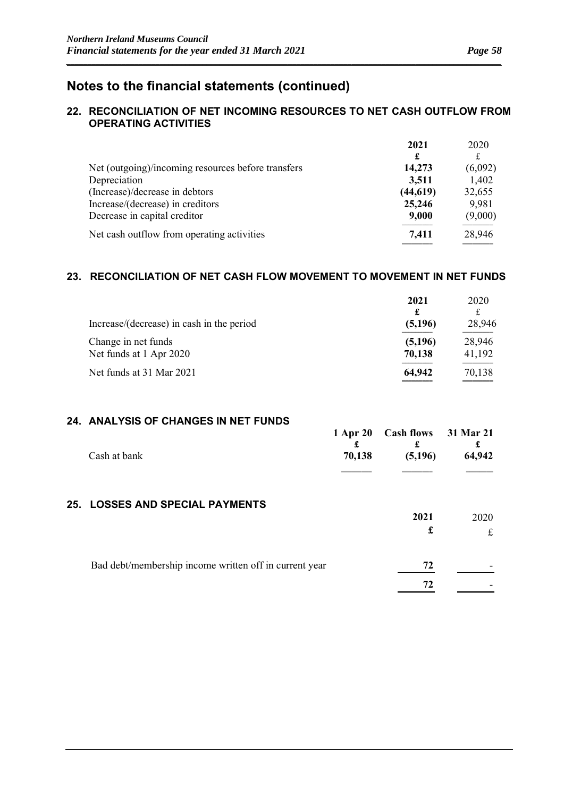### **22. RECONCILIATION OF NET INCOMING RESOURCES TO NET CASH OUTFLOW FROM OPERATING ACTIVITIES**

*\_\_\_\_\_\_\_\_\_\_\_\_\_\_\_\_\_\_\_\_\_\_\_\_\_\_\_\_\_\_\_\_\_\_\_\_\_\_\_\_\_\_\_\_\_\_\_\_\_\_\_\_\_\_\_\_\_\_\_\_\_\_\_\_\_\_\_\_\_\_\_\_\_\_\_\_\_\_\_\_\_\_\_\_\_\_\_\_\_\_\_\_\_\_\_\_\_\_\_\_\_\_*

|                                                    | 2021      | 2020    |
|----------------------------------------------------|-----------|---------|
|                                                    | £         | £       |
| Net (outgoing)/incoming resources before transfers | 14,273    | (6,092) |
| Depreciation                                       | 3,511     | 1,402   |
| (Increase)/decrease in debtors                     | (44, 619) | 32,655  |
| Increase/(decrease) in creditors                   | 25,246    | 9,981   |
| Decrease in capital creditor                       | 9,000     | (9,000) |
| Net cash outflow from operating activities         | 7,411     | 28,946  |

### **23. RECONCILIATION OF NET CASH FLOW MOVEMENT TO MOVEMENT IN NET FUNDS**

| Increase/(decrease) in cash in the period      | 2021<br>£<br>(5,196) | 2020<br>28,946   |
|------------------------------------------------|----------------------|------------------|
| Change in net funds<br>Net funds at 1 Apr 2020 | (5,196)<br>70,138    | 28,946<br>41,192 |
| Net funds at 31 Mar 2021                       | 64,942               | 70,138           |

### **24. ANALYSIS OF CHANGES IN NET FUNDS**

| Cash at bank                                           | 1 Apr 20<br>£<br>70,138 | Cash flows 31 Mar 21<br>£<br>(5,196) | 64,942 |
|--------------------------------------------------------|-------------------------|--------------------------------------|--------|
|                                                        |                         |                                      |        |
| <b>25. LOSSES AND SPECIAL PAYMENTS</b>                 |                         |                                      |        |
|                                                        |                         | 2021                                 | 2020   |
|                                                        |                         | £                                    | £      |
| Bad debt/membership income written off in current year |                         | 72                                   |        |
|                                                        |                         | 72                                   |        |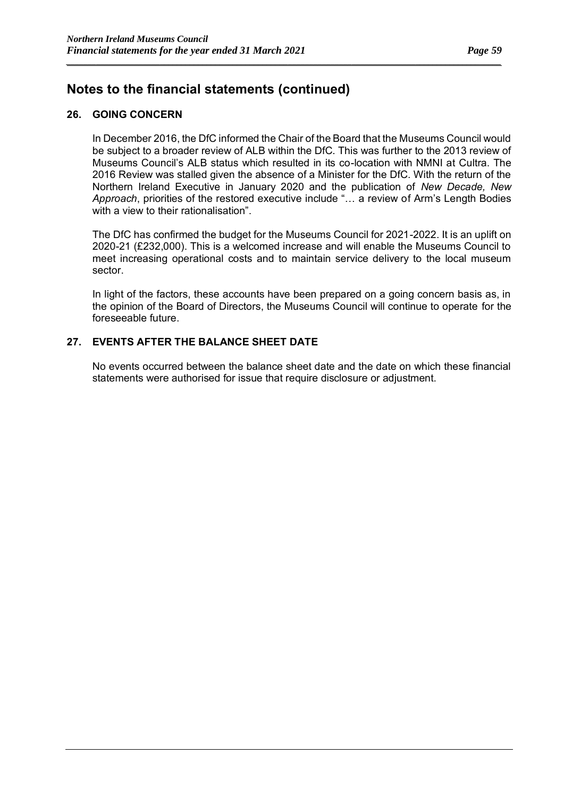### **26. GOING CONCERN**

In December 2016, the DfC informed the Chair of the Board that the Museums Council would be subject to a broader review of ALB within the DfC. This was further to the 2013 review of Museums Council's ALB status which resulted in its co-location with NMNI at Cultra. The 2016 Review was stalled given the absence of a Minister for the DfC. With the return of the Northern Ireland Executive in January 2020 and the publication of *New Decade, New Approach*, priorities of the restored executive include "… a review of Arm's Length Bodies with a view to their rationalisation"

*\_\_\_\_\_\_\_\_\_\_\_\_\_\_\_\_\_\_\_\_\_\_\_\_\_\_\_\_\_\_\_\_\_\_\_\_\_\_\_\_\_\_\_\_\_\_\_\_\_\_\_\_\_\_\_\_\_\_\_\_\_\_\_\_\_\_\_\_\_\_\_\_\_\_\_\_\_\_\_\_\_\_\_\_\_\_\_\_\_\_\_\_\_\_\_\_\_\_\_\_\_\_*

The DfC has confirmed the budget for the Museums Council for 2021-2022. It is an uplift on 2020-21 (£232,000). This is a welcomed increase and will enable the Museums Council to meet increasing operational costs and to maintain service delivery to the local museum sector.

In light of the factors, these accounts have been prepared on a going concern basis as, in the opinion of the Board of Directors, the Museums Council will continue to operate for the foreseeable future.

### **27. EVENTS AFTER THE BALANCE SHEET DATE**

No events occurred between the balance sheet date and the date on which these financial statements were authorised for issue that require disclosure or adjustment.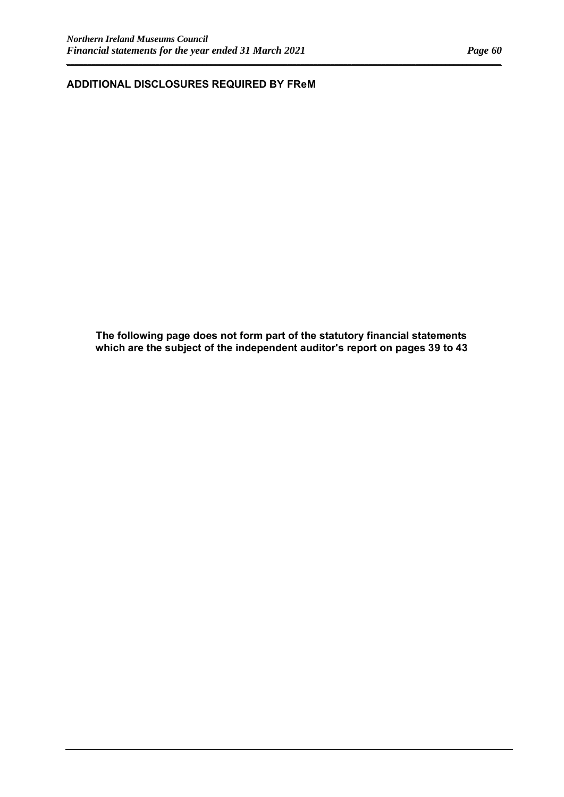**ADDITIONAL DISCLOSURES REQUIRED BY FReM**

**The following page does not form part of the statutory financial statements which are the subject of the independent auditor's report on pages 39 to 43**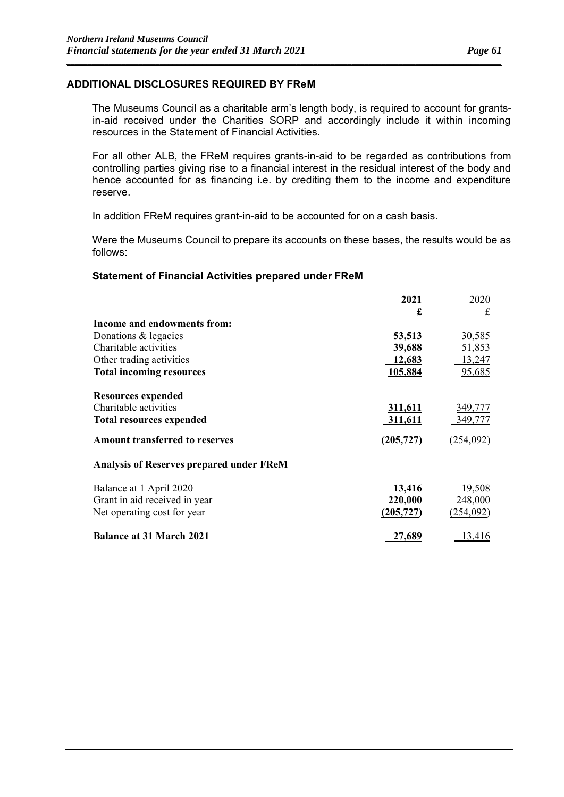### **ADDITIONAL DISCLOSURES REQUIRED BY FReM**

The Museums Council as a charitable arm's length body, is required to account for grantsin-aid received under the Charities SORP and accordingly include it within incoming resources in the Statement of Financial Activities.

*\_\_\_\_\_\_\_\_\_\_\_\_\_\_\_\_\_\_\_\_\_\_\_\_\_\_\_\_\_\_\_\_\_\_\_\_\_\_\_\_\_\_\_\_\_\_\_\_\_\_\_\_\_\_\_\_\_\_\_\_\_\_\_\_\_\_\_\_\_\_\_\_\_\_\_\_\_\_\_\_\_\_\_\_\_\_\_\_\_\_\_\_\_\_\_\_\_\_\_\_\_\_*

For all other ALB, the FReM requires grants-in-aid to be regarded as contributions from controlling parties giving rise to a financial interest in the residual interest of the body and hence accounted for as financing i.e. by crediting them to the income and expenditure reserve.

In addition FReM requires grant-in-aid to be accounted for on a cash basis.

Were the Museums Council to prepare its accounts on these bases, the results would be as follows:

#### **Statement of Financial Activities prepared under FReM**

|                                                 | 2021       | 2020      |
|-------------------------------------------------|------------|-----------|
|                                                 | £          | £         |
| Income and endowments from:                     |            |           |
| Donations & legacies                            | 53,513     | 30,585    |
| Charitable activities                           | 39,688     | 51,853    |
| Other trading activities                        | 12,683     | 13,247    |
| <b>Total incoming resources</b>                 | 105,884    | 95,685    |
| <b>Resources expended</b>                       |            |           |
| Charitable activities                           | 311,611    | 349,777   |
| <b>Total resources expended</b>                 | 311,611    | 349,777   |
| <b>Amount transferred to reserves</b>           | (205, 727) | (254,092) |
| <b>Analysis of Reserves prepared under FReM</b> |            |           |
| Balance at 1 April 2020                         | 13,416     | 19,508    |
| Grant in aid received in year                   | 220,000    | 248,000   |
| Net operating cost for year                     | (205, 727) | (254,092) |
| <b>Balance at 31 March 2021</b>                 | 27,689     | 13,416    |